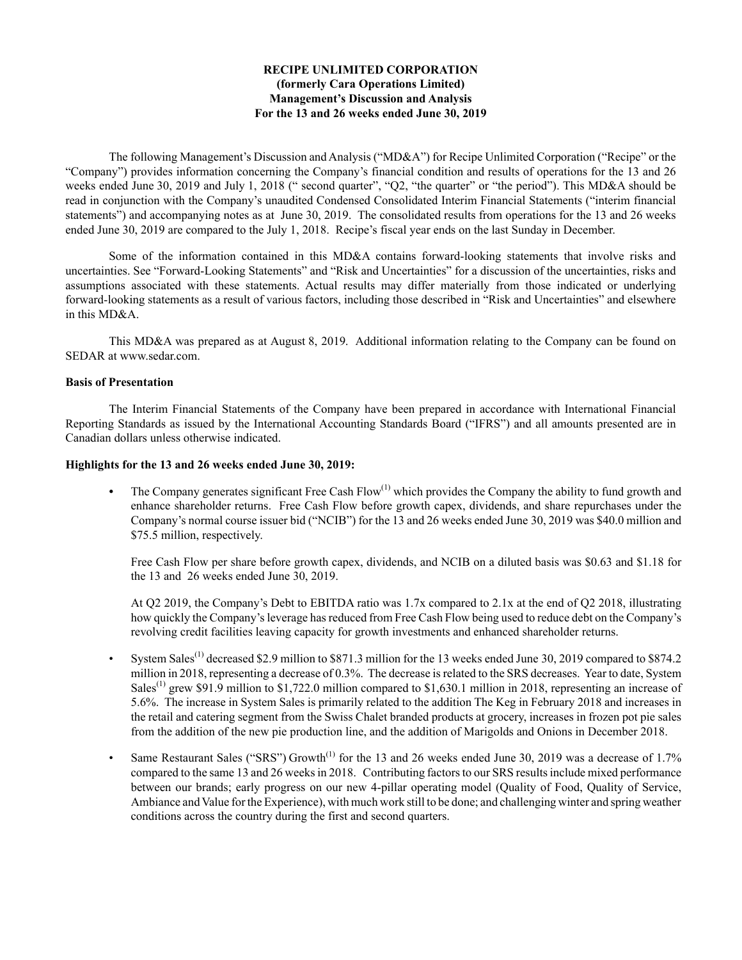# **RECIPE UNLIMITED CORPORATION (formerly Cara Operations Limited) Management's Discussion and Analysis For the 13 and 26 weeks ended June 30, 2019**

The following Management's Discussion and Analysis ("MD&A") for Recipe Unlimited Corporation ("Recipe" or the "Company") provides information concerning the Company's financial condition and results of operations for the 13 and 26 weeks ended June 30, 2019 and July 1, 2018 (" second quarter", "Q2, "the quarter" or "the period"). This MD&A should be read in conjunction with the Company's unaudited Condensed Consolidated Interim Financial Statements ("interim financial statements") and accompanying notes as at June 30, 2019. The consolidated results from operations for the 13 and 26 weeks ended June 30, 2019 are compared to the July 1, 2018. Recipe's fiscal year ends on the last Sunday in December.

Some of the information contained in this MD&A contains forward-looking statements that involve risks and uncertainties. See "Forward‑Looking Statements" and "Risk and Uncertainties" for a discussion of the uncertainties, risks and assumptions associated with these statements. Actual results may differ materially from those indicated or underlying forward-looking statements as a result of various factors, including those described in "Risk and Uncertainties" and elsewhere in this MD&A.

This MD&A was prepared as at August 8, 2019. Additional information relating to the Company can be found on SEDAR at www.sedar.com.

## **Basis of Presentation**

The Interim Financial Statements of the Company have been prepared in accordance with International Financial Reporting Standards as issued by the International Accounting Standards Board ("IFRS") and all amounts presented are in Canadian dollars unless otherwise indicated.

## **Highlights for the 13 and 26 weeks ended June 30, 2019:**

The Company generates significant Free Cash Flow<sup>(1)</sup> which provides the Company the ability to fund growth and enhance shareholder returns. Free Cash Flow before growth capex, dividends, and share repurchases under the Company's normal course issuer bid ("NCIB") for the 13 and 26 weeks ended June 30, 2019 was \$40.0 million and \$75.5 million, respectively.

Free Cash Flow per share before growth capex, dividends, and NCIB on a diluted basis was \$0.63 and \$1.18 for the 13 and 26 weeks ended June 30, 2019.

At Q2 2019, the Company's Debt to EBITDA ratio was 1.7x compared to 2.1x at the end of Q2 2018, illustrating how quickly the Company's leverage has reduced from Free Cash Flow being used to reduce debt on the Company's revolving credit facilities leaving capacity for growth investments and enhanced shareholder returns.

- System Sales(1) decreased \$2.9 million to \$871.3 million for the 13 weeks ended June 30, 2019 compared to \$874.2 million in 2018, representing a decrease of 0.3%. The decrease is related to the SRS decreases. Year to date, System Sales<sup>(1)</sup> grew \$91.9 million to \$1,722.0 million compared to \$1,630.1 million in 2018, representing an increase of 5.6%. The increase in System Sales is primarily related to the addition The Keg in February 2018 and increases in the retail and catering segment from the Swiss Chalet branded products at grocery, increases in frozen pot pie sales from the addition of the new pie production line, and the addition of Marigolds and Onions in December 2018.
- Same Restaurant Sales ("SRS") Growth<sup>(1)</sup> for the 13 and 26 weeks ended June 30, 2019 was a decrease of 1.7% compared to the same 13 and 26 weeks in 2018. Contributing factors to our SRS results include mixed performance between our brands; early progress on our new 4-pillar operating model (Quality of Food, Quality of Service, Ambiance and Value for the Experience), with much work still to be done; and challenging winter and spring weather conditions across the country during the first and second quarters.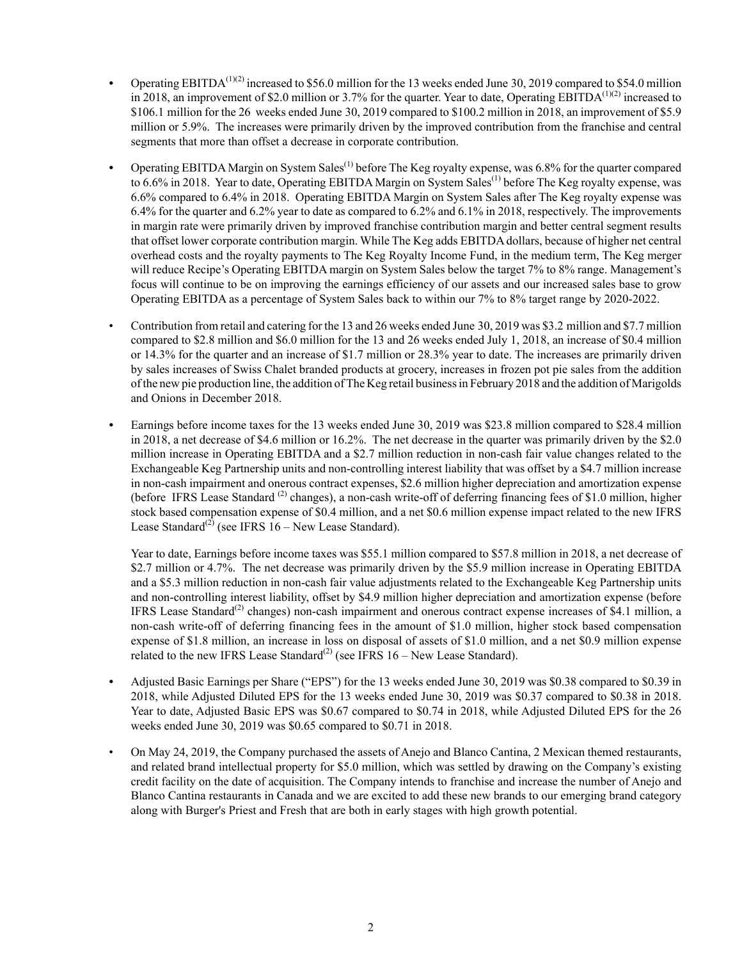- *•* Operating EBITDA(1)(2) increased to \$56.0 million for the 13 weeks ended June 30, 2019 compared to \$54.0 million in 2018, an improvement of \$2.0 million or 3.7% for the quarter. Year to date, Operating EBITDA<sup>(1)(2)</sup> increased to \$106.1 million for the 26 weeks ended June 30, 2019 compared to \$100.2 million in 2018, an improvement of \$5.9 million or 5.9%. The increases were primarily driven by the improved contribution from the franchise and central segments that more than offset a decrease in corporate contribution.
- Operating EBITDA Margin on System Sales<sup>(1)</sup> before The Keg royalty expense, was 6.8% for the quarter compared to 6.6% in 2018. Year to date, Operating EBITDA Margin on System Sales<sup>(1)</sup> before The Keg royalty expense, was 6.6% compared to 6.4% in 2018. Operating EBITDA Margin on System Sales after The Keg royalty expense was 6.4% for the quarter and 6.2% year to date as compared to 6.2% and 6.1% in 2018, respectively. The improvements in margin rate were primarily driven by improved franchise contribution margin and better central segment results that offset lower corporate contribution margin. While The Keg adds EBITDA dollars, because of higher net central overhead costs and the royalty payments to The Keg Royalty Income Fund, in the medium term, The Keg merger will reduce Recipe's Operating EBITDA margin on System Sales below the target 7% to 8% range. Management's focus will continue to be on improving the earnings efficiency of our assets and our increased sales base to grow Operating EBITDA as a percentage of System Sales back to within our 7% to 8% target range by 2020-2022.
- Contribution from retail and catering for the 13 and 26 weeks ended June 30, 2019 was \$3.2 million and \$7.7 million compared to \$2.8 million and \$6.0 million for the 13 and 26 weeks ended July 1, 2018, an increase of \$0.4 million or 14.3% for the quarter and an increase of \$1.7 million or 28.3% year to date. The increases are primarily driven by sales increases of Swiss Chalet branded products at grocery, increases in frozen pot pie sales from the addition of the new pie production line, the addition of The Keg retail business in February 2018 and the addition of Marigolds and Onions in December 2018.
- *•* Earnings before income taxes for the 13 weeks ended June 30, 2019 was \$23.8 million compared to \$28.4 million in 2018, a net decrease of \$4.6 million or 16.2%. The net decrease in the quarter was primarily driven by the \$2.0 million increase in Operating EBITDA and a \$2.7 million reduction in non-cash fair value changes related to the Exchangeable Keg Partnership units and non-controlling interest liability that was offset by a \$4.7 million increase in non-cash impairment and onerous contract expenses, \$2.6 million higher depreciation and amortization expense (before IFRS Lease Standard  $^{(2)}$  changes), a non-cash write-off of deferring financing fees of \$1.0 million, higher stock based compensation expense of \$0.4 million, and a net \$0.6 million expense impact related to the new IFRS Lease Standard<sup>(2)</sup> (see IFRS 16 – New Lease Standard).

Year to date, Earnings before income taxes was \$55.1 million compared to \$57.8 million in 2018, a net decrease of \$2.7 million or 4.7%. The net decrease was primarily driven by the \$5.9 million increase in Operating EBITDA and a \$5.3 million reduction in non-cash fair value adjustments related to the Exchangeable Keg Partnership units and non-controlling interest liability, offset by \$4.9 million higher depreciation and amortization expense (before IFRS Lease Standard<sup>(2)</sup> changes) non-cash impairment and onerous contract expense increases of \$4.1 million, a non-cash write-off of deferring financing fees in the amount of \$1.0 million, higher stock based compensation expense of \$1.8 million, an increase in loss on disposal of assets of \$1.0 million, and a net \$0.9 million expense related to the new IFRS Lease Standard<sup>(2)</sup> (see IFRS  $16$  – New Lease Standard).

- *•* Adjusted Basic Earnings per Share ("EPS") for the 13 weeks ended June 30, 2019 was \$0.38 compared to \$0.39 in 2018, while Adjusted Diluted EPS for the 13 weeks ended June 30, 2019 was \$0.37 compared to \$0.38 in 2018. Year to date, Adjusted Basic EPS was \$0.67 compared to \$0.74 in 2018, while Adjusted Diluted EPS for the 26 weeks ended June 30, 2019 was \$0.65 compared to \$0.71 in 2018.
- On May 24, 2019, the Company purchased the assets of Anejo and Blanco Cantina, 2 Mexican themed restaurants, and related brand intellectual property for \$5.0 million, which was settled by drawing on the Company's existing credit facility on the date of acquisition. The Company intends to franchise and increase the number of Anejo and Blanco Cantina restaurants in Canada and we are excited to add these new brands to our emerging brand category along with Burger's Priest and Fresh that are both in early stages with high growth potential.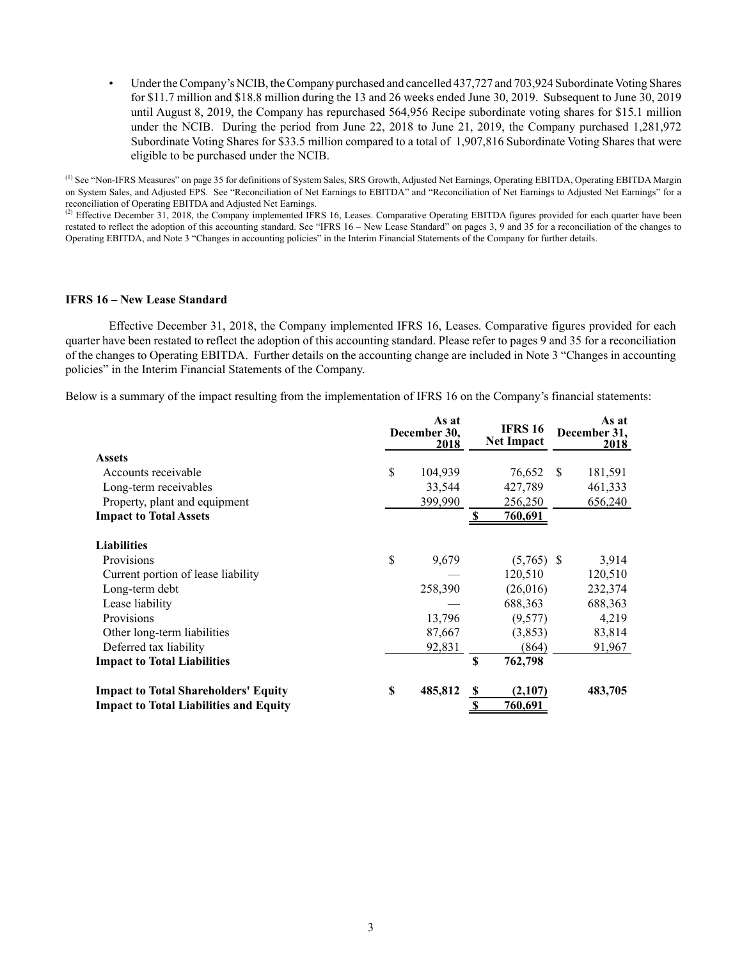• Under the Company's NCIB, the Company purchased and cancelled 437,727 and 703,924 Subordinate Voting Shares for \$11.7 million and \$18.8 million during the 13 and 26 weeks ended June 30, 2019. Subsequent to June 30, 2019 until August 8, 2019, the Company has repurchased 564,956 Recipe subordinate voting shares for \$15.1 million under the NCIB. During the period from June 22, 2018 to June 21, 2019, the Company purchased 1,281,972 Subordinate Voting Shares for \$33.5 million compared to a total of 1,907,816 Subordinate Voting Shares that were eligible to be purchased under the NCIB.

(1) See "Non-IFRS Measures" on page 35 for definitions of System Sales, SRS Growth, Adjusted Net Earnings, Operating EBITDA, Operating EBITDA Margin on System Sales, and Adjusted EPS. See "Reconciliation of Net Earnings to EBITDA" and "Reconciliation of Net Earnings to Adjusted Net Earnings" for a reconciliation of Operating EBITDA and Adjusted Net Earnings.

 $<sup>(2)</sup>$  Effective December 31, 2018, the Company implemented IFRS 16, Leases. Comparative Operating EBITDA figures provided for each quarter have been</sup> restated to reflect the adoption of this accounting standard. See "IFRS 16 – New Lease Standard" on pages 3, 9 and 35 for a reconciliation of the changes to Operating EBITDA, and Note 3 "Changes in accounting policies" in the Interim Financial Statements of the Company for further details.

#### **IFRS 16 – New Lease Standard**

Effective December 31, 2018, the Company implemented IFRS 16, Leases. Comparative figures provided for each quarter have been restated to reflect the adoption of this accounting standard. Please refer to pages 9 and 35 for a reconciliation of the changes to Operating EBITDA. Further details on the accounting change are included in Note 3 "Changes in accounting policies" in the Interim Financial Statements of the Company.

Below is a summary of the impact resulting from the implementation of IFRS 16 on the Company's financial statements:

|                                               | As at<br>December 30,<br><u>2018</u> |              |                |              | As at<br>December 31,<br>2018 |
|-----------------------------------------------|--------------------------------------|--------------|----------------|--------------|-------------------------------|
| <b>Assets</b>                                 |                                      |              |                |              |                               |
| Accounts receivable                           | \$<br>104,939                        |              | 76,652         | <sup>S</sup> | 181,591                       |
| Long-term receivables                         | 33,544                               |              | 427,789        |              | 461,333                       |
| Property, plant and equipment                 | 399,990                              |              | 256,250        |              | 656,240                       |
| <b>Impact to Total Assets</b>                 |                                      | -S           | <u>760,691</u> |              |                               |
| <b>Liabilities</b>                            |                                      |              |                |              |                               |
| Provisions                                    | \$<br>9,679                          |              | $(5,765)$ \$   |              | 3,914                         |
| Current portion of lease liability            |                                      |              | 120,510        |              | 120,510                       |
| Long-term debt                                | 258,390                              |              | (26,016)       |              | 232,374                       |
| Lease liability                               |                                      |              | 688,363        |              | 688,363                       |
| Provisions                                    | 13,796                               |              | (9,577)        |              | 4,219                         |
| Other long-term liabilities                   | 87,667                               |              | (3,853)        |              | 83,814                        |
| Deferred tax liability                        | 92,831                               |              | (864)          |              | 91,967                        |
| <b>Impact to Total Liabilities</b>            |                                      | \$           | 762,798        |              |                               |
| <b>Impact to Total Shareholders' Equity</b>   | \$<br>485,812                        | S            | (2,107)        |              | 483,705                       |
| <b>Impact to Total Liabilities and Equity</b> |                                      | $\mathbf{s}$ | 760,691        |              |                               |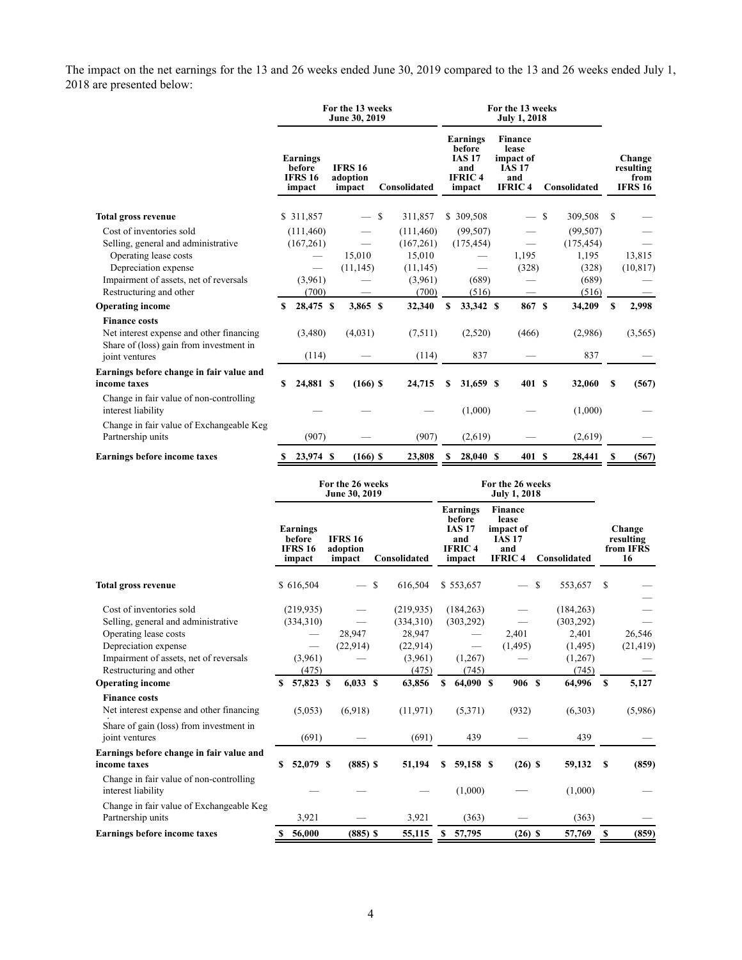The impact on the net earnings for the 13 and 26 weeks ended June 30, 2019 compared to the 13 and 26 weeks ended July 1, 2018 are presented below:

|                                                                                                             |                                                       | For the 13 weeks<br>June 30, 2019    |                                   |               | For the 13 weeks                                                      |                                                                               |                          |                                   |              |                                               |
|-------------------------------------------------------------------------------------------------------------|-------------------------------------------------------|--------------------------------------|-----------------------------------|---------------|-----------------------------------------------------------------------|-------------------------------------------------------------------------------|--------------------------|-----------------------------------|--------------|-----------------------------------------------|
|                                                                                                             | <b>Earnings</b><br>before<br><b>IFRS 16</b><br>impact | <b>IFRS 16</b><br>adoption<br>impact | Consolidated                      |               | Earnings<br>before<br>IAS 17<br>and<br><b>IFRIC4</b><br>impact        | <b>Finance</b><br>lease<br>impact of<br><b>IAS 17</b><br>and<br><b>IFRIC4</b> |                          | Consolidated                      |              | Change<br>resulting<br>from<br><b>IFRS 16</b> |
| <b>Total gross revenue</b>                                                                                  | \$311,857                                             | $-$ \$                               | 311,857                           |               | \$309,508                                                             |                                                                               | $-$ \$                   | 309,508                           | \$           |                                               |
| Cost of inventories sold<br>Selling, general and administrative<br>Operating lease costs                    | (111, 460)<br>(167, 261)                              | $\overline{\phantom{0}}$<br>15,010   | (111, 460)<br>(167,261)<br>15,010 |               | (99, 507)<br>(175, 454)                                               | 1,195                                                                         | $\overline{\phantom{0}}$ | (99, 507)<br>(175, 454)<br>1,195  |              | 13,815                                        |
| Depreciation expense<br>Impairment of assets, net of reversals<br>Restructuring and other                   | (3,961)<br>(700)                                      | (11, 145)                            | (11, 145)<br>(3,961)<br>(700)     |               | (689)<br>(516)                                                        | (328)                                                                         |                          | (328)<br>(689)<br>(516)           |              | (10, 817)                                     |
| <b>Operating income</b>                                                                                     | \$<br>28,475 \$                                       | 3,865 \$                             | 32,340                            | $\mathbf{s}$  | 33,342 \$                                                             |                                                                               | 867 S                    | 34,209                            | \$           | 2,998                                         |
| <b>Finance costs</b><br>Net interest expense and other financing<br>Share of (loss) gain from investment in | (3,480)                                               | (4,031)                              | (7,511)                           |               | (2,520)                                                               | (466)                                                                         |                          | (2,986)                           |              | (3,565)                                       |
| joint ventures                                                                                              | (114)                                                 |                                      | (114)                             |               | 837                                                                   |                                                                               |                          | 837                               |              |                                               |
| Earnings before change in fair value and<br>income taxes                                                    | 24,881 \$<br>\$                                       | $(166)$ \$                           | 24,715                            | \$            | 31,659 \$                                                             |                                                                               | 401 S                    | 32,060                            | S            | (567)                                         |
| Change in fair value of non-controlling<br>interest liability                                               |                                                       |                                      |                                   |               | (1,000)                                                               |                                                                               |                          | (1,000)                           |              |                                               |
| Change in fair value of Exchangeable Keg<br>Partnership units                                               | (907)                                                 |                                      | (907)                             |               | (2,619)                                                               |                                                                               |                          | (2,619)                           |              |                                               |
| <b>Earnings before income taxes</b>                                                                         | 23,974 \$<br>S                                        | $(166)$ \$                           | 23,808                            | <sup>\$</sup> | 28,040 \$                                                             |                                                                               | 401 S                    | 28,441                            | S            | (567)                                         |
|                                                                                                             |                                                       | For the 26 weeks<br>June 30, 2019    |                                   |               |                                                                       | For the 26 weeks<br><b>July 1, 2018</b>                                       |                          |                                   |              |                                               |
|                                                                                                             | <b>Earnings</b><br>before<br><b>IFRS 16</b><br>impact | <b>IFRS 16</b><br>adoption<br>impact | Consolidated                      |               | Earnings<br>before<br><b>IAS 17</b><br>and<br><b>IFRIC4</b><br>impact | <b>Finance</b><br>lease<br>impact of<br><b>IAS 17</b><br>and<br><b>IFRIC4</b> |                          | Consolidated                      |              | Change<br>resulting<br>from IFRS<br>16        |
| <b>Total gross revenue</b>                                                                                  | \$616,504                                             | $-$ \$                               | 616,504                           |               | \$553,657                                                             | $\overline{\phantom{0}}$                                                      | <sup>\$</sup>            | 553,657                           | \$           |                                               |
| Cost of inventories sold<br>Selling, general and administrative<br>Operating lease costs                    | (219, 935)<br>(334,310)                               | 28.947                               | (219, 935)<br>(334,310)<br>28,947 |               | (184, 263)<br>(303, 292)                                              | $\equiv$<br>2,401                                                             |                          | (184, 263)<br>(303, 292)<br>2,401 |              | 26,546                                        |
| Depreciation expense<br>Impairment of assets, net of reversals<br>Restructuring and other                   | (3,961)<br>(475)                                      | (22, 914)                            | (22, 914)<br>(3,961)<br>(475)     |               | (1,267)<br>(745)                                                      | (1, 495)                                                                      |                          | (1, 495)<br>(1,267)<br>(745)      |              | (21, 419)                                     |
| <b>Operating income</b>                                                                                     | 57,823 \$<br>$\mathbf{s}$                             | $6,033$ \$                           | 63,856                            | $\mathbf{s}$  | 64,090 \$                                                             | 906 \$                                                                        |                          | 64,996                            | $\mathbf{s}$ | 5,127                                         |
| <b>Finance costs</b><br>Net interest expense and other financing<br>Share of gain (loss) from investment in | (5,053)                                               | (6.918)                              | (11, 971)                         |               | (5,371)                                                               | (932)                                                                         |                          | (6,303)                           |              | (5,986)                                       |

| joint ventures                                                | (691)    |            | (691)  | 439            |           | 439     |       |
|---------------------------------------------------------------|----------|------------|--------|----------------|-----------|---------|-------|
| Earnings before change in fair value and<br>income taxes      | 52,079 S | $(885)$ \$ | 51,194 | 59.158 S<br>S. | $(26)$ \$ | 59,132  | (859) |
| Change in fair value of non-controlling<br>interest liability |          |            |        | (1.000)        |           | (1,000) |       |
| Change in fair value of Exchangeable Keg<br>Partnership units | 3.921    |            | 3.921  | (363)          |           | (363)   |       |
| <b>Earnings before income taxes</b>                           | 56,000   | $(885)$ \$ | 55,115 | 57,795         | $(26)$ \$ | 57,769  | (859) |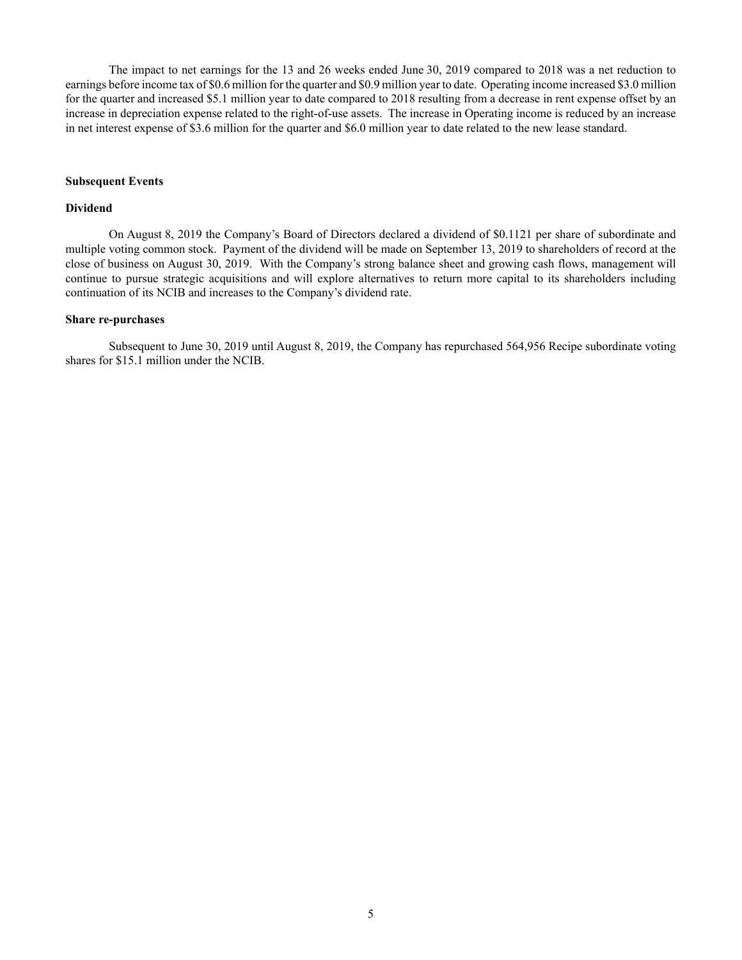The impact to net earnings for the 13 and 26 weeks ended June 30, 2019 compared to 2018 was a net reduction to earnings before income tax of \$0.6 million for the quarter and \$0.9 million year to date. Operating income increased \$3.0 million for the quarter and increased \$5.1 million year to date compared to 2018 resulting from a decrease in rent expense offset by an increase in depreciation expense related to the right-of-use assets. The increase in Operating income is reduced by an increase in net interest expense of \$3.6 million for the quarter and \$6.0 million year to date related to the new lease standard.

#### **Subsequent Events**

# **Dividend**

On August 8, 2019 the Company's Board of Directors declared a dividend of \$0.1121 per share of subordinate and multiple voting common stock. Payment of the dividend will be made on September 13, 2019 to shareholders of record at the close of business on August 30, 2019. With the Company's strong balance sheet and growing cash flows, management will continue to pursue strategic acquisitions and will explore alternatives to return more capital to its shareholders including continuation of its NCIB and increases to the Company's dividend rate.

#### **Share re-purchases**

Subsequent to June 30, 2019 until August 8, 2019, the Company has repurchased 564,956 Recipe subordinate voting shares for \$15.1 million under the NCIB.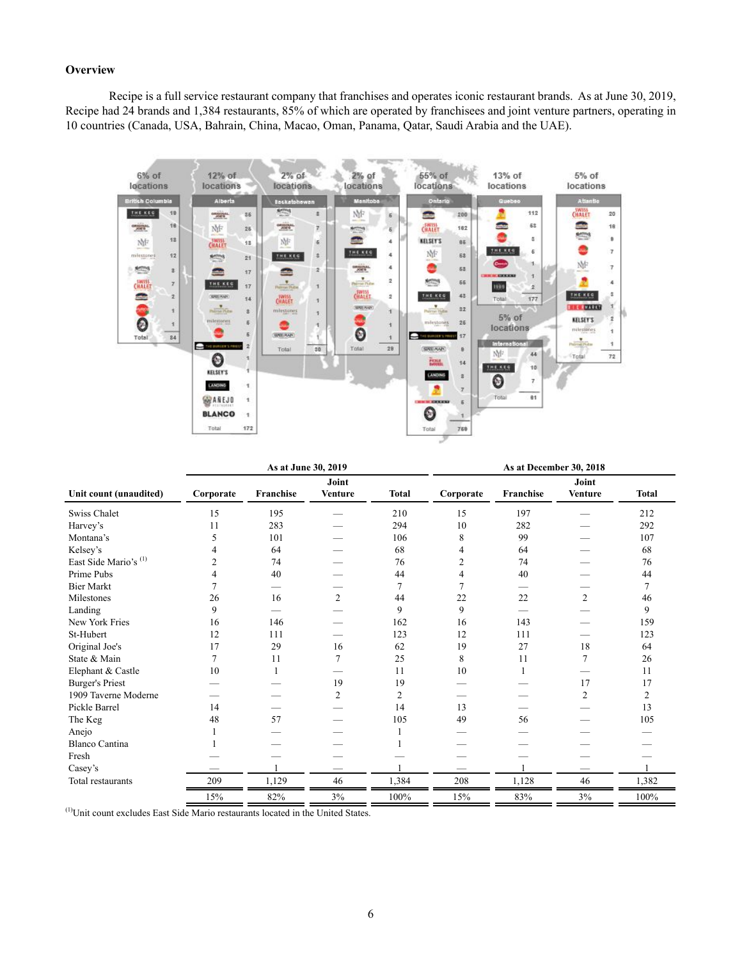# **Overview**

Recipe is a full service restaurant company that franchises and operates iconic restaurant brands. As at June 30, 2019, Recipe had 24 brands and 1,384 restaurants, 85% of which are operated by franchisees and joint venture partners, operating in 10 countries (Canada, USA, Bahrain, China, Macao, Oman, Panama, Qatar, Saudi Arabia and the UAE).



|                        |                | As at June 30, 2019 |                         |              |           | As at December 30, 2018  |                         |                |  |  |  |  |  |  |
|------------------------|----------------|---------------------|-------------------------|--------------|-----------|--------------------------|-------------------------|----------------|--|--|--|--|--|--|
| Unit count (unaudited) | Corporate      | Franchise           | Joint<br><b>Venture</b> | <b>Total</b> | Corporate | Franchise                | Joint<br><b>Venture</b> | <b>Total</b>   |  |  |  |  |  |  |
| Swiss Chalet           | 15             | 195                 |                         | 210          | 15        | 197                      |                         | 212            |  |  |  |  |  |  |
| Harvey's               | 11             | 283                 |                         | 294          | 10        | 282                      |                         | 292            |  |  |  |  |  |  |
| Montana's              | 5              | 101                 |                         | 106          | 8         | 99                       |                         | 107            |  |  |  |  |  |  |
| Kelsey's               |                | 64                  |                         | 68           | 4         | 64                       |                         | 68             |  |  |  |  |  |  |
| East Side Mario's (1)  | $\overline{c}$ | 74                  |                         | 76           | 2         | 74                       |                         | 76             |  |  |  |  |  |  |
| Prime Pubs             |                | 40                  |                         | 44           |           | 40                       |                         | 44             |  |  |  |  |  |  |
| <b>Bier Markt</b>      |                |                     |                         | 7            |           |                          |                         | $\overline{7}$ |  |  |  |  |  |  |
| Milestones             | 26             | 16                  | $\overline{2}$          | 44           | 22        | 22                       | $\overline{2}$          | 46             |  |  |  |  |  |  |
| Landing                | 9              |                     |                         | 9            | 9         | $\overline{\phantom{0}}$ |                         | 9              |  |  |  |  |  |  |
| New York Fries         | 16             | 146                 |                         | 162          | 16        | 143                      |                         | 159            |  |  |  |  |  |  |
| St-Hubert              | 12             | 111                 |                         | 123          | 12        | 111                      |                         | 123            |  |  |  |  |  |  |
| Original Joe's         | 17             | 29                  | 16                      | 62           | 19        | 27                       | 18                      | 64             |  |  |  |  |  |  |
| State & Main           | 7              | 11                  | 7                       | 25           | 8         | 11                       | 7                       | 26             |  |  |  |  |  |  |
| Elephant & Castle      | 10             |                     |                         | 11           | 10        |                          |                         | 11             |  |  |  |  |  |  |
| <b>Burger's Priest</b> |                |                     | 19                      | 19           |           |                          | 17                      | 17             |  |  |  |  |  |  |
| 1909 Taverne Moderne   |                |                     | $\overline{2}$          | 2            |           |                          | $\overline{2}$          | 2              |  |  |  |  |  |  |
| Pickle Barrel          | 14             |                     |                         | 14           | 13        |                          |                         | 13             |  |  |  |  |  |  |
| The Keg                | 48             | 57                  |                         | 105          | 49        | 56                       |                         | 105            |  |  |  |  |  |  |
| Anejo                  |                |                     |                         |              |           |                          |                         |                |  |  |  |  |  |  |
| <b>Blanco Cantina</b>  |                |                     |                         |              |           |                          |                         |                |  |  |  |  |  |  |
| Fresh                  |                |                     |                         |              |           |                          |                         |                |  |  |  |  |  |  |
| Casey's                |                |                     |                         |              |           |                          |                         |                |  |  |  |  |  |  |
| Total restaurants      | 209            | 1,129               | 46                      | 1,384        | 208       | 1,128                    | 46                      | 1,382          |  |  |  |  |  |  |
|                        | 15%            | 82%                 | 3%                      | 100%         | 15%       | 83%                      | 3%                      | $100\%$        |  |  |  |  |  |  |

<sup>(1)</sup>Unit count excludes East Side Mario restaurants located in the United States.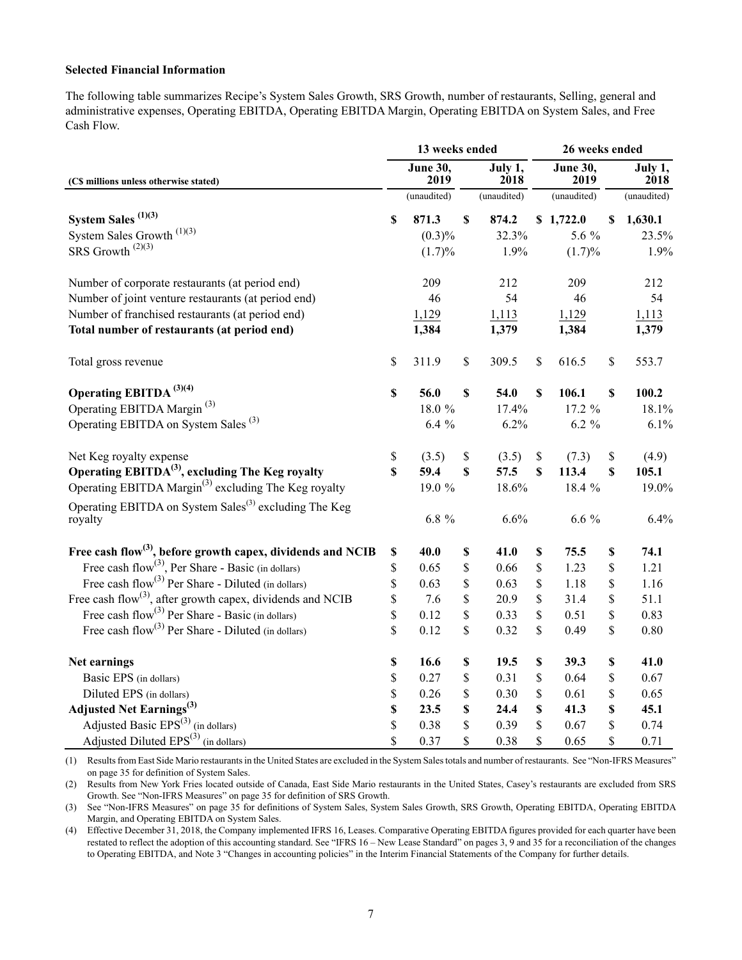## **Selected Financial Information**

The following table summarizes Recipe's System Sales Growth, SRS Growth, number of restaurants, Selling, general and administrative expenses, Operating EBITDA, Operating EBITDA Margin, Operating EBITDA on System Sales, and Free Cash Flow.

|                                                                         |             | 13 weeks ended          |    |                 | 26 weeks ended          |             |                 |  |  |  |
|-------------------------------------------------------------------------|-------------|-------------------------|----|-----------------|-------------------------|-------------|-----------------|--|--|--|
| (C\$ millions unless otherwise stated)                                  |             | <b>June 30,</b><br>2019 |    | July 1,<br>2018 | <b>June 30,</b><br>2019 |             | July 1,<br>2018 |  |  |  |
|                                                                         |             | (unaudited)             |    | (unaudited)     | (unaudited)             |             | (unaudited)     |  |  |  |
| System Sales $(1)(3)$                                                   | \$          | 871.3                   | S  | 874.2           | \$1,722.0               | \$          | 1,630.1         |  |  |  |
| System Sales Growth $^{(1)(3)}$                                         |             | (0.3)%                  |    | 32.3%           | 5.6 %                   |             | 23.5%           |  |  |  |
| SRS Growth <sup>(2)(3)</sup>                                            |             | (1.7)%                  |    | 1.9%            | $(1.7)\%$               |             | 1.9%            |  |  |  |
| Number of corporate restaurants (at period end)                         |             | 209                     |    | 212             | 209                     |             | 212             |  |  |  |
| Number of joint venture restaurants (at period end)                     |             | 46                      |    | 54              | 46                      |             | 54              |  |  |  |
| Number of franchised restaurants (at period end)                        |             | 1,129                   |    | 1,113           | 1,129                   |             | 1,113           |  |  |  |
| Total number of restaurants (at period end)                             |             | 1,384                   |    | 1,379           | 1,384                   |             | 1,379           |  |  |  |
| Total gross revenue                                                     | \$          | 311.9                   | \$ | 309.5           | \$<br>616.5             | \$          | 553.7           |  |  |  |
| Operating EBITDA $^{(3)(4)}$                                            | $\mathbb S$ | 56.0                    | \$ | 54.0            | \$<br>106.1             | \$          | 100.2           |  |  |  |
| Operating EBITDA Margin <sup>(3)</sup>                                  |             | 18.0 %                  |    | 17.4%           | 17.2 %                  |             | 18.1%           |  |  |  |
| Operating EBITDA on System Sales <sup>(3)</sup>                         |             | $6.4\%$                 |    | 6.2%            | $6.2 \%$                |             | 6.1%            |  |  |  |
| Net Keg royalty expense                                                 | \$          | (3.5)                   | \$ | (3.5)           | \$<br>(7.3)             | \$          | (4.9)           |  |  |  |
| Operating EBITDA <sup>(3)</sup> , excluding The Keg royalty             | \$          | 59.4                    | \$ | 57.5            | \$<br>113.4             | $\mathbf S$ | 105.1           |  |  |  |
| Operating EBITDA Margin <sup>(3)</sup> excluding The Keg royalty        |             | 19.0 %                  |    | 18.6%           | 18.4 %                  |             | 19.0%           |  |  |  |
| Operating EBITDA on System Sales <sup>(3)</sup> excluding The Keg       |             |                         |    |                 |                         |             |                 |  |  |  |
| royalty                                                                 |             | $6.8\%$                 |    | 6.6%            | $6.6\%$                 |             | 6.4%            |  |  |  |
| Free cash flow <sup>(3)</sup> , before growth capex, dividends and NCIB | \$          | 40.0                    | \$ | 41.0            | \$<br>75.5              | \$          | 74.1            |  |  |  |
| Free cash flow <sup>(3)</sup> , Per Share - Basic (in dollars)          | \$          | 0.65                    | \$ | 0.66            | \$<br>1.23              | \$          | 1.21            |  |  |  |
| Free cash flow <sup>(3)</sup> Per Share - Diluted (in dollars)          | \$          | 0.63                    | \$ | 0.63            | \$<br>1.18              | \$          | 1.16            |  |  |  |
| Free cash flow <sup>(3)</sup> , after growth capex, dividends and NCIB  | \$          | 7.6                     | \$ | 20.9            | \$<br>31.4              | \$          | 51.1            |  |  |  |
| Free cash $flow^{(3)}$ Per Share - Basic (in dollars)                   | \$          | 0.12                    | \$ | 0.33            | \$<br>0.51              | \$          | 0.83            |  |  |  |
| Free cash flow <sup>(3)</sup> Per Share - Diluted (in dollars)          | \$          | 0.12                    | \$ | 0.32            | \$<br>0.49              | \$          | 0.80            |  |  |  |
| Net earnings                                                            | \$          | 16.6                    | \$ | 19.5            | \$<br>39.3              | \$          | 41.0            |  |  |  |
| Basic EPS (in dollars)                                                  | \$          | 0.27                    | \$ | 0.31            | \$<br>0.64              | \$          | 0.67            |  |  |  |
| Diluted EPS (in dollars)                                                | \$          | 0.26                    | \$ | 0.30            | \$<br>0.61              | \$          | 0.65            |  |  |  |
| <b>Adjusted Net Earnings</b> <sup>(3)</sup>                             | \$          | 23.5                    | \$ | 24.4            | \$<br>41.3              | \$          | 45.1            |  |  |  |
| Adjusted Basic EPS <sup>(3)</sup> (in dollars)                          | \$          | 0.38                    | \$ | 0.39            | \$<br>0.67              | \$          | 0.74            |  |  |  |
| Adjusted Diluted EPS <sup>(3)</sup> (in dollars)                        | \$          | 0.37                    | \$ | 0.38            | \$<br>0.65              | \$          | 0.71            |  |  |  |

(1) Results from East Side Mario restaurants in the United States are excluded in the System Sales totals and number of restaurants. See "Non-IFRS Measures" on page 35 for definition of System Sales.

(2) Results from New York Fries located outside of Canada, East Side Mario restaurants in the United States, Casey's restaurants are excluded from SRS Growth. See "Non-IFRS Measures" on page 35 for definition of SRS Growth.

(3) See "Non-IFRS Measures" on page 35 for definitions of System Sales, System Sales Growth, SRS Growth, Operating EBITDA, Operating EBITDA Margin, and Operating EBITDA on System Sales.

(4) Effective December 31, 2018, the Company implemented IFRS 16, Leases. Comparative Operating EBITDA figures provided for each quarter have been restated to reflect the adoption of this accounting standard. See "IFRS 16 – New Lease Standard" on pages 3, 9 and 35 for a reconciliation of the changes to Operating EBITDA, and Note 3 "Changes in accounting policies" in the Interim Financial Statements of the Company for further details.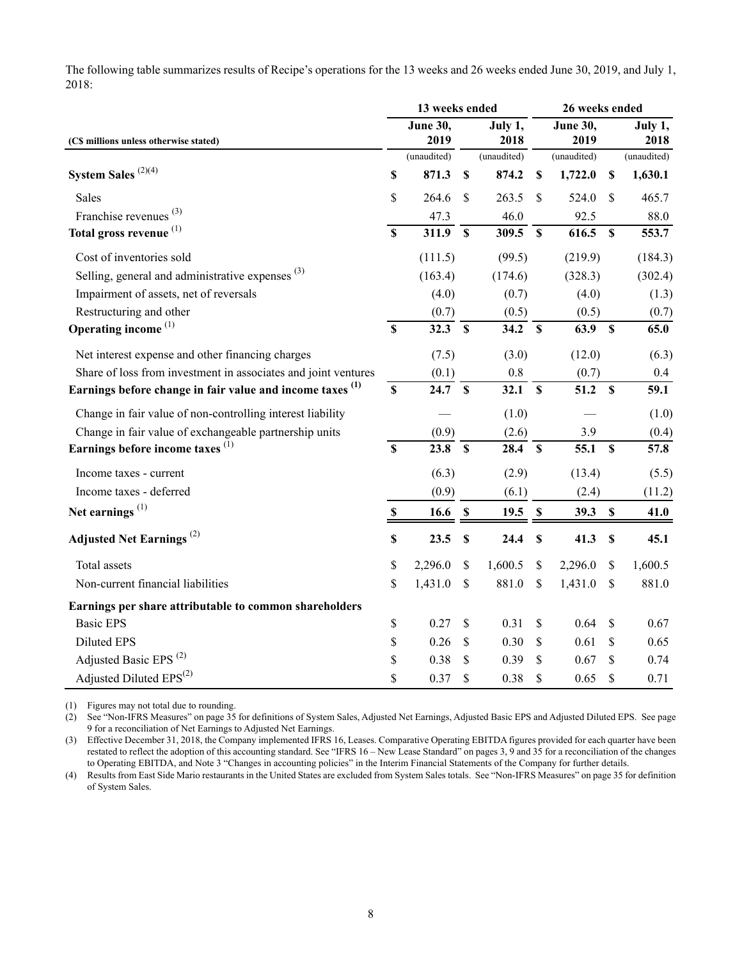The following table summarizes results of Recipe's operations for the 13 weeks and 26 weeks ended June 30, 2019, and July 1, 2018:

|                                                                      |                           | 13 weeks ended             |                           |                 | 26 weeks ended            |                         |                           |                 |  |  |
|----------------------------------------------------------------------|---------------------------|----------------------------|---------------------------|-----------------|---------------------------|-------------------------|---------------------------|-----------------|--|--|
| (CS millions unless otherwise stated)                                |                           | <b>June 30,</b><br>2019    |                           | July 1,<br>2018 |                           | <b>June 30,</b><br>2019 |                           | July 1,<br>2018 |  |  |
|                                                                      |                           | (unaudited)                |                           | (unaudited)     |                           | (unaudited)             |                           | (unaudited)     |  |  |
| System Sales $^{(2)(4)}$                                             | \$                        | 871.3                      | $\boldsymbol{\mathsf{S}}$ | 874.2           | $\boldsymbol{\mathsf{S}}$ | 1,722.0                 | $\boldsymbol{\mathsf{S}}$ | 1,630.1         |  |  |
| <b>Sales</b>                                                         | \$                        | 264.6                      | \$                        | 263.5           | $\mathcal{S}$             | 524.0                   | $\mathcal{S}$             | 465.7           |  |  |
| Franchise revenues <sup>(3)</sup>                                    |                           | 47.3                       |                           | 46.0            |                           | 92.5                    |                           | 88.0            |  |  |
| Total gross revenue <sup>(1)</sup>                                   | $\overline{\mathbf{s}}$   | 311.9                      | $\mathbf{s}$              | $309.5$ \$      |                           | 616.5                   | $\boldsymbol{\mathsf{S}}$ | 553.7           |  |  |
| Cost of inventories sold                                             |                           | (111.5)                    |                           | (99.5)          |                           | (219.9)                 |                           | (184.3)         |  |  |
| Selling, general and administrative expenses <sup>(3)</sup>          |                           | (163.4)                    |                           | (174.6)         |                           | (328.3)                 |                           | (302.4)         |  |  |
| Impairment of assets, net of reversals                               |                           | (4.0)                      |                           | (0.7)           |                           | (4.0)                   |                           | (1.3)           |  |  |
| Restructuring and other                                              |                           | (0.7)                      |                           | (0.5)           |                           | (0.5)                   |                           | (0.7)           |  |  |
| Operating income $(1)$                                               | $\mathbf S$               | 32.3                       | $\mathbf{s}$              | 34.2            | $\mathbf{s}$              | 63.9                    | $\mathbf S$               | 65.0            |  |  |
| Net interest expense and other financing charges                     |                           | (7.5)                      |                           | (3.0)           |                           | (12.0)                  |                           | (6.3)           |  |  |
| Share of loss from investment in associates and joint ventures       |                           | (0.1)                      |                           | $0.8\,$         |                           | (0.7)                   |                           | 0.4             |  |  |
| Earnings before change in fair value and income taxes <sup>(1)</sup> | $\overline{\mathbf{s}}$   | $24.7 \overline{\text{S}}$ |                           | 32.1            | $\overline{\mathbf{s}}$   | 51.2                    | $\overline{\mathbf{s}}$   | 59.1            |  |  |
| Change in fair value of non-controlling interest liability           |                           |                            |                           | (1.0)           |                           |                         |                           | (1.0)           |  |  |
| Change in fair value of exchangeable partnership units               |                           | (0.9)                      |                           | (2.6)           |                           | 3.9                     |                           | (0.4)           |  |  |
| Earnings before income taxes <sup>(1)</sup>                          | $\boldsymbol{\mathsf{S}}$ | 23.8 S                     |                           | 28.4            | $\mathbf s$               | 55.1                    | $\mathbf S$               | 57.8            |  |  |
| Income taxes - current                                               |                           | (6.3)                      |                           | (2.9)           |                           | (13.4)                  |                           | (5.5)           |  |  |
| Income taxes - deferred                                              |                           | (0.9)                      |                           | (6.1)           |                           | (2.4)                   |                           | (11.2)          |  |  |
| Net earnings <sup>(1)</sup>                                          | $\mathbb S$               | 16.6                       | $\boldsymbol{\mathsf{S}}$ | 19.5            | $\mathbb S$               | 39.3                    | $\mathbb S$               | 41.0            |  |  |
| <b>Adjusted Net Earnings</b> <sup>(2)</sup>                          | \$                        | 23.5                       | \$                        | 24.4            | $\boldsymbol{\mathsf{s}}$ | 41.3                    | $\mathbb{S}$              | 45.1            |  |  |
| Total assets                                                         | \$                        | 2,296.0                    | \$                        | 1,600.5         | \$                        | 2,296.0                 | \$                        | 1,600.5         |  |  |
| Non-current financial liabilities                                    | \$                        | 1,431.0                    | \$                        | 881.0           | \$                        | 1,431.0                 | $\mathcal{S}$             | 881.0           |  |  |
| Earnings per share attributable to common shareholders               |                           |                            |                           |                 |                           |                         |                           |                 |  |  |
| <b>Basic EPS</b>                                                     | \$                        | 0.27                       | \$                        | 0.31            | $\mathcal{S}$             | 0.64                    | $\mathcal{S}$             | 0.67            |  |  |
| <b>Diluted EPS</b>                                                   | \$                        | 0.26                       | \$                        | 0.30            | \$                        | 0.61                    | \$                        | 0.65            |  |  |
| Adjusted Basic EPS <sup>(2)</sup>                                    | \$                        | 0.38                       | \$                        | 0.39            | \$                        | 0.67                    | \$                        | 0.74            |  |  |
| Adjusted Diluted EPS <sup>(2)</sup>                                  | \$                        | 0.37                       | \$                        | 0.38            | \$                        | 0.65                    | \$                        | 0.71            |  |  |

(1) Figures may not total due to rounding.

(2) See "Non-IFRS Measures" on page 35 for definitions of System Sales, Adjusted Net Earnings, Adjusted Basic EPS and Adjusted Diluted EPS. See page 9 for a reconciliation of Net Earnings to Adjusted Net Earnings.

(3) Effective December 31, 2018, the Company implemented IFRS 16, Leases. Comparative Operating EBITDA figures provided for each quarter have been restated to reflect the adoption of this accounting standard. See "IFRS 16 – New Lease Standard" on pages 3, 9 and 35 for a reconciliation of the changes to Operating EBITDA, and Note 3 "Changes in accounting policies" in the Interim Financial Statements of the Company for further details.

(4) Results from East Side Mario restaurants in the United States are excluded from System Sales totals. See "Non-IFRS Measures" on page 35 for definition of System Sales.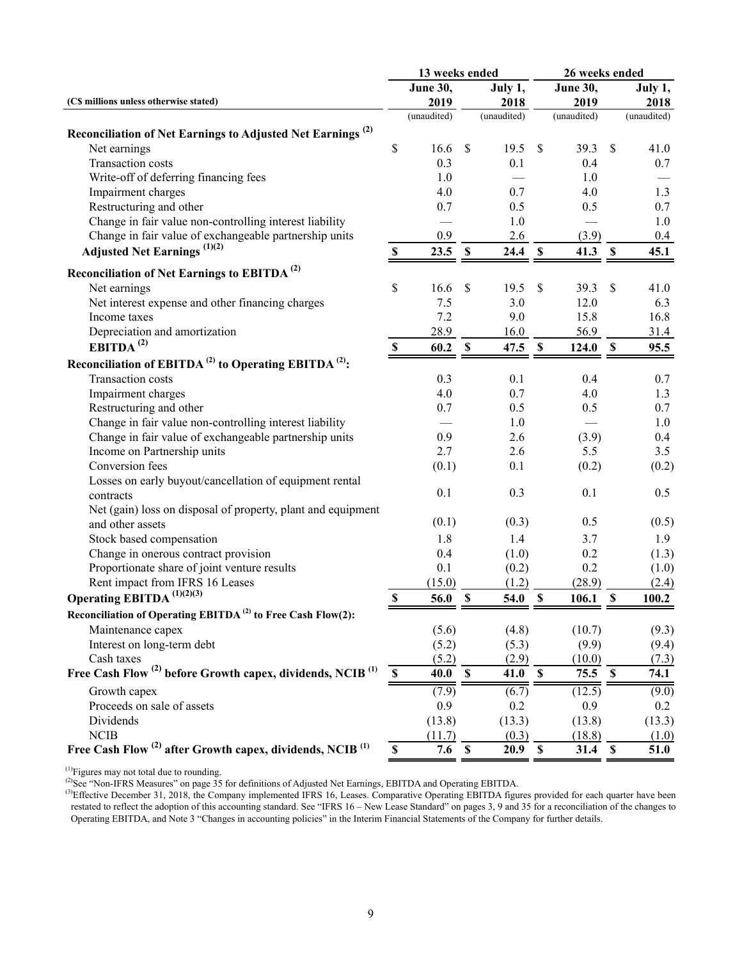|                                                                                   | 13 weeks ended            |                     |                           |                     |                           | 26 weeks ended      |                           |                     |  |  |
|-----------------------------------------------------------------------------------|---------------------------|---------------------|---------------------------|---------------------|---------------------------|---------------------|---------------------------|---------------------|--|--|
|                                                                                   |                           | <b>June 30,</b>     |                           | July 1,             |                           | <b>June 30,</b>     |                           | July 1,             |  |  |
| (CS millions unless otherwise stated)                                             |                           | 2019<br>(unaudited) |                           | 2018<br>(unaudited) |                           | 2019<br>(unaudited) |                           | 2018<br>(unaudited) |  |  |
|                                                                                   |                           |                     |                           |                     |                           |                     |                           |                     |  |  |
| Reconciliation of Net Earnings to Adjusted Net Earnings <sup>(2)</sup>            |                           |                     |                           |                     |                           |                     |                           |                     |  |  |
| Net earnings                                                                      | \$                        | 16.6                | $\boldsymbol{\mathsf{S}}$ | 19.5                | $\mathcal{S}$             | 39.3                | $\mathbb{S}$              | 41.0                |  |  |
| Transaction costs                                                                 |                           | 0.3                 |                           | 0.1                 |                           | 0.4                 |                           | 0.7                 |  |  |
| Write-off of deferring financing fees                                             |                           | 1.0                 |                           |                     |                           | 1.0                 |                           |                     |  |  |
| Impairment charges                                                                |                           | 4.0                 |                           | 0.7                 |                           | 4.0                 |                           | 1.3                 |  |  |
| Restructuring and other                                                           |                           | 0.7                 |                           | 0.5                 |                           | 0.5                 |                           | 0.7                 |  |  |
| Change in fair value non-controlling interest liability                           |                           |                     |                           | 1.0                 |                           |                     |                           | 1.0                 |  |  |
| Change in fair value of exchangeable partnership units                            |                           | 0.9                 |                           | 2.6                 |                           | (3.9)               |                           | $0.4\,$             |  |  |
| <b>Adjusted Net Earnings</b> (1)(2)                                               | $\mathbb{S}$              | 23.5                | $\mathbf{\$}$             | 24.4                | \$                        | 41.3                | $\mathbf S$               | 45.1                |  |  |
| Reconciliation of Net Earnings to EBITDA <sup>(2)</sup>                           |                           |                     |                           |                     |                           |                     |                           |                     |  |  |
| Net earnings                                                                      | \$                        | 16.6                | \$                        | 19.5                | \$                        | 39.3                | \$                        | 41.0                |  |  |
| Net interest expense and other financing charges                                  |                           | 7.5                 |                           | 3.0                 |                           | 12.0                |                           | 6.3                 |  |  |
| Income taxes                                                                      |                           | 7.2                 |                           | 9.0                 |                           | 15.8                |                           | 16.8                |  |  |
| Depreciation and amortization                                                     |                           | 28.9                |                           | 16.0                |                           | 56.9                |                           | 31.4                |  |  |
| EBITDA <sup>(2)</sup>                                                             | $\mathbf S$               | 60.2                | $\mathbf S$               | 47.5                | $\mathbf S$               | 124.0               | <sup>\$</sup>             | 95.5                |  |  |
| Reconciliation of EBITDA <sup>(2)</sup> to Operating EBITDA <sup>(2)</sup> :      |                           |                     |                           |                     |                           |                     |                           |                     |  |  |
| Transaction costs                                                                 |                           | 0.3                 |                           | 0.1                 |                           | 0.4                 |                           | 0.7                 |  |  |
| Impairment charges                                                                |                           | 4.0                 |                           | 0.7                 |                           | 4.0                 |                           | 1.3                 |  |  |
| Restructuring and other                                                           |                           | 0.7                 |                           | 0.5                 |                           | 0.5                 |                           | 0.7                 |  |  |
| Change in fair value non-controlling interest liability                           |                           |                     |                           | 1.0                 |                           |                     |                           | 1.0                 |  |  |
| Change in fair value of exchangeable partnership units                            |                           | 0.9                 |                           | 2.6                 |                           | (3.9)               |                           | 0.4                 |  |  |
| Income on Partnership units                                                       |                           | 2.7                 |                           | 2.6                 |                           | 5.5                 |                           | 3.5                 |  |  |
| Conversion fees                                                                   |                           | (0.1)               |                           | 0.1                 |                           | (0.2)               |                           | (0.2)               |  |  |
| Losses on early buyout/cancellation of equipment rental                           |                           |                     |                           |                     |                           |                     |                           |                     |  |  |
| contracts                                                                         |                           | 0.1                 |                           | 0.3                 |                           | 0.1                 |                           | 0.5                 |  |  |
| Net (gain) loss on disposal of property, plant and equipment                      |                           |                     |                           |                     |                           |                     |                           |                     |  |  |
| and other assets                                                                  |                           | (0.1)               |                           | (0.3)               |                           | 0.5                 |                           | (0.5)               |  |  |
| Stock based compensation                                                          |                           | 1.8                 |                           | 1.4                 |                           | 3.7                 |                           | 1.9                 |  |  |
| Change in onerous contract provision                                              |                           | 0.4                 |                           | (1.0)               |                           | 0.2                 |                           | (1.3)               |  |  |
| Proportionate share of joint venture results                                      |                           | 0.1                 |                           | (0.2)               |                           | 0.2                 |                           | (1.0)               |  |  |
| Rent impact from IFRS 16 Leases                                                   |                           | (15.0)              |                           | (1.2)               |                           | (28.9)              |                           | (2.4)               |  |  |
| Operating EBITDA $^{(1)(2)(3)}$                                                   | $\boldsymbol{\mathsf{S}}$ | 56.0                | $\boldsymbol{\mathsf{S}}$ | 54.0                | $\boldsymbol{\mathsf{S}}$ | 106.1               | $\boldsymbol{\mathsf{S}}$ | 100.2               |  |  |
| Reconciliation of Operating EBITDA <sup>(2)</sup> to Free Cash Flow(2):           |                           |                     |                           |                     |                           |                     |                           |                     |  |  |
| Maintenance capex                                                                 |                           | (5.6)               |                           | (4.8)               |                           | (10.7)              |                           | (9.3)               |  |  |
| Interest on long-term debt                                                        |                           | (5.2)               |                           | (5.3)               |                           | (9.9)               |                           | (9.4)               |  |  |
| Cash taxes                                                                        |                           | (5.2)               |                           | (2.9)               |                           | (10.0)              |                           | (7.3)               |  |  |
| Free Cash Flow <sup>(2)</sup> before Growth capex, dividends, NCIB <sup>(1)</sup> | $\mathbf S$               | 40.0                | $\mathbf S$               | 41.0                | $\mathbf s$               | 75.5 S              |                           | 74.1                |  |  |
| Growth capex                                                                      |                           | (7.9)               |                           | (6.7)               |                           | (12.5)              |                           | (9.0)               |  |  |
| Proceeds on sale of assets                                                        |                           | 0.9                 |                           | 0.2                 |                           | 0.9                 |                           | 0.2                 |  |  |
| Dividends                                                                         |                           | (13.8)              |                           | (13.3)              |                           | (13.8)              |                           | (13.3)              |  |  |
| NCIB                                                                              |                           | (11.7)              |                           | (0.3)               |                           | (18.8)              |                           | (1.0)               |  |  |
| Free Cash Flow <sup>(2)</sup> after Growth capex, dividends, NCIB <sup>(1)</sup>  | $\mathbf S$               | $\overline{7.6}$    | $\mathbf{s}$              | 20.9                | $\mathbf{s}$              | 31.4                | $\mathbf s$               | $\overline{51.0}$   |  |  |

 $<sup>(1)</sup>$ Figures may not total due to rounding.</sup>

( $^{2}$ )See "Non-IFRS Measures" on page 35 for definitions of Adjusted Net Earnings, EBITDA and Operating EBITDA.

 $(3)$ Effective December 31, 2018, the Company implemented IFRS 16, Leases. Comparative Operating EBITDA figures provided for each quarter have been restated to reflect the adoption of this accounting standard. See "IFRS 16 – New Lease Standard" on pages 3, 9 and 35 for a reconciliation of the changes to Operating EBITDA, and Note 3 "Changes in accounting policies" in the Interim Financial Statements of the Company for further details.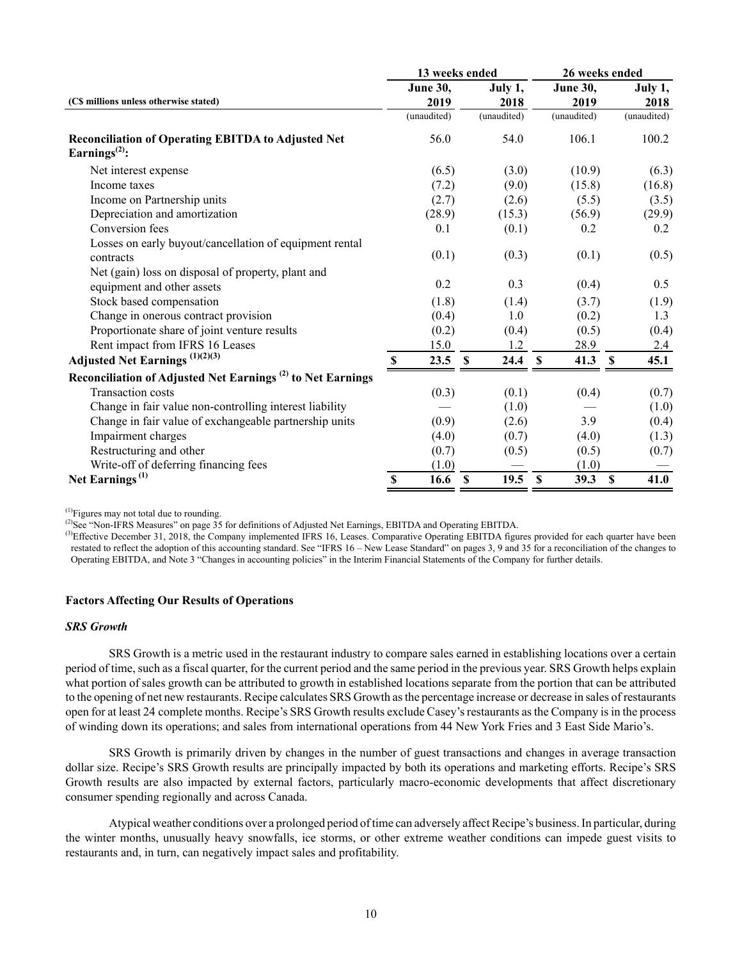|                                                                                        |                 | 13 weeks ended                    | 26 weeks ended      |                       |  |  |  |
|----------------------------------------------------------------------------------------|-----------------|-----------------------------------|---------------------|-----------------------|--|--|--|
|                                                                                        | <b>June 30,</b> | July 1,                           | <b>June 30,</b>     | July 1,               |  |  |  |
| (C\$ millions unless otherwise stated)                                                 | 2019            | 2018                              | 2019                | 2018                  |  |  |  |
|                                                                                        | (unaudited)     | (unaudited)                       | (unaudited)         | (unaudited)           |  |  |  |
| <b>Reconciliation of Operating EBITDA to Adjusted Net</b><br>Earnings <sup>(2)</sup> : | 56.0            | 54.0                              | 106.1               | 100.2                 |  |  |  |
| Net interest expense                                                                   | (6.5)           | (3.0)                             | (10.9)              | (6.3)                 |  |  |  |
| Income taxes                                                                           | (7.2)           | (9.0)                             | (15.8)              | (16.8)                |  |  |  |
| Income on Partnership units                                                            | (2.7)           | (2.6)                             | (5.5)               | (3.5)                 |  |  |  |
| Depreciation and amortization                                                          | (28.9)          | (15.3)                            | (56.9)              | (29.9)                |  |  |  |
| Conversion fees                                                                        | 0.1             | (0.1)                             | 0.2                 | 0.2                   |  |  |  |
| Losses on early buyout/cancellation of equipment rental<br>contracts                   | (0.1)           | (0.3)                             | (0.1)               | (0.5)                 |  |  |  |
| Net (gain) loss on disposal of property, plant and<br>equipment and other assets       | 0.2             | 0.3                               | (0.4)               | 0.5                   |  |  |  |
| Stock based compensation                                                               | (1.8)           | (1.4)                             | (3.7)               | (1.9)                 |  |  |  |
| Change in onerous contract provision                                                   | (0.4)           | 1.0                               | (0.2)               | 1.3                   |  |  |  |
| Proportionate share of joint venture results                                           | (0.2)           | (0.4)                             | (0.5)               | (0.4)                 |  |  |  |
| Rent impact from IFRS 16 Leases                                                        | 15.0            | 1.2                               | 28.9                | 2.4                   |  |  |  |
| Adjusted Net Earnings $^{(1)(2)(3)}$                                                   | 23.5<br>\$      | 24.4<br>$\mathbf S$               | 41.3<br>$\mathbf s$ | $\mathbf{\$}$<br>45.1 |  |  |  |
| Reconciliation of Adjusted Net Earnings <sup>(2)</sup> to Net Earnings                 |                 |                                   |                     |                       |  |  |  |
| <b>Transaction costs</b>                                                               | (0.3)           | (0.1)                             | (0.4)               | (0.7)                 |  |  |  |
| Change in fair value non-controlling interest liability                                |                 | (1.0)                             |                     | (1.0)                 |  |  |  |
| Change in fair value of exchangeable partnership units                                 | (0.9)           | (2.6)                             | 3.9                 | (0.4)                 |  |  |  |
| Impairment charges                                                                     | (4.0)           | (0.7)                             | (4.0)               | (1.3)                 |  |  |  |
| Restructuring and other                                                                | (0.7)           | (0.5)                             | (0.5)               | (0.7)                 |  |  |  |
| Write-off of deferring financing fees                                                  | (1.0)           |                                   | (1.0)               |                       |  |  |  |
| Net Earnings <sup>(1)</sup>                                                            | 16.6<br>\$      | 19.5<br>$\boldsymbol{\mathsf{S}}$ | $\mathbf s$<br>39.3 | $\mathbf{s}$<br>41.0  |  |  |  |

(1)Figures may not total due to rounding.

<sup>(2)</sup>See "Non-IFRS Measures" on page 35 for definitions of Adjusted Net Earnings, EBITDA and Operating EBITDA.

<sup>(3)</sup>Effective December 31, 2018, the Company implemented IFRS 16, Leases. Comparative Operating EBITDA figures provided for each quarter have been restated to reflect the adoption of this accounting standard. See "IFRS 16 – New Lease Standard" on pages 3, 9 and 35 for a reconciliation of the changes to Operating EBITDA, and Note 3 "Changes in accounting policies" in the Interim Financial Statements of the Company for further details.

# **Factors Affecting Our Results of Operations**

# *SRS Growth*

SRS Growth is a metric used in the restaurant industry to compare sales earned in establishing locations over a certain period of time, such as a fiscal quarter, for the current period and the same period in the previous year. SRS Growth helps explain what portion of sales growth can be attributed to growth in established locations separate from the portion that can be attributed to the opening of net new restaurants. Recipe calculates SRS Growth as the percentage increase or decrease in sales of restaurants open for at least 24 complete months. Recipe's SRS Growth results exclude Casey's restaurants as the Company is in the process of winding down its operations; and sales from international operations from 44 New York Fries and 3 East Side Mario's.

SRS Growth is primarily driven by changes in the number of guest transactions and changes in average transaction dollar size. Recipe's SRS Growth results are principally impacted by both its operations and marketing efforts. Recipe's SRS Growth results are also impacted by external factors, particularly macro‑economic developments that affect discretionary consumer spending regionally and across Canada.

Atypical weather conditions over a prolonged period of time can adversely affect Recipe's business. In particular, during the winter months, unusually heavy snowfalls, ice storms, or other extreme weather conditions can impede guest visits to restaurants and, in turn, can negatively impact sales and profitability.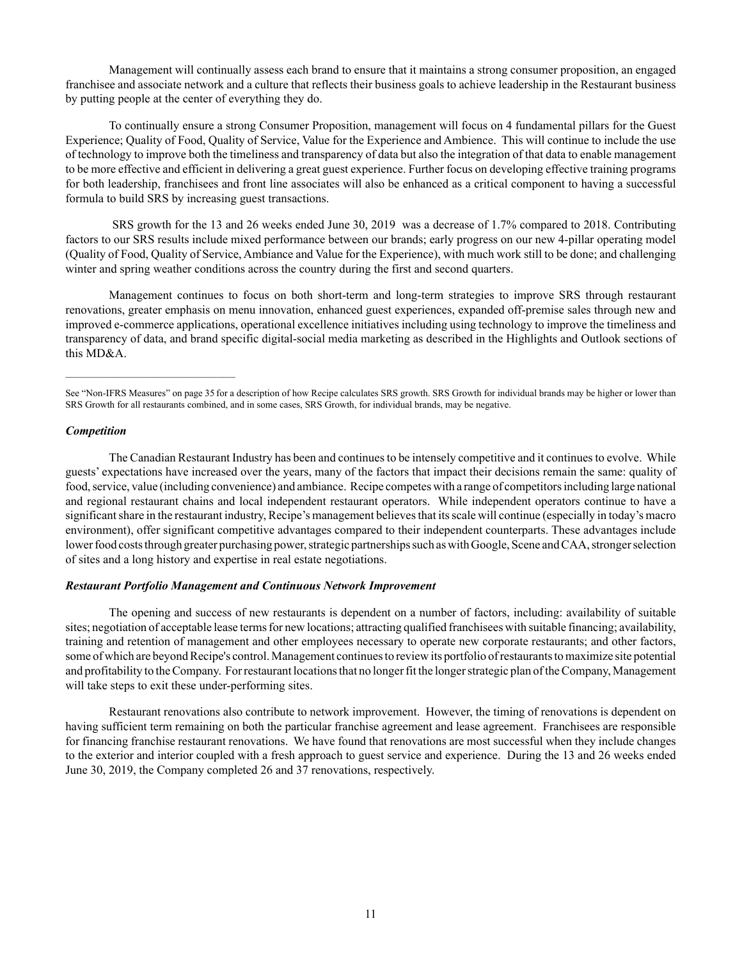Management will continually assess each brand to ensure that it maintains a strong consumer proposition, an engaged franchisee and associate network and a culture that reflects their business goals to achieve leadership in the Restaurant business by putting people at the center of everything they do.

To continually ensure a strong Consumer Proposition, management will focus on 4 fundamental pillars for the Guest Experience; Quality of Food, Quality of Service, Value for the Experience and Ambience. This will continue to include the use of technology to improve both the timeliness and transparency of data but also the integration of that data to enable management to be more effective and efficient in delivering a great guest experience. Further focus on developing effective training programs for both leadership, franchisees and front line associates will also be enhanced as a critical component to having a successful formula to build SRS by increasing guest transactions.

 SRS growth for the 13 and 26 weeks ended June 30, 2019 was a decrease of 1.7% compared to 2018. Contributing factors to our SRS results include mixed performance between our brands; early progress on our new 4-pillar operating model (Quality of Food, Quality of Service, Ambiance and Value for the Experience), with much work still to be done; and challenging winter and spring weather conditions across the country during the first and second quarters.

Management continues to focus on both short-term and long-term strategies to improve SRS through restaurant renovations, greater emphasis on menu innovation, enhanced guest experiences, expanded off-premise sales through new and improved e-commerce applications, operational excellence initiatives including using technology to improve the timeliness and transparency of data, and brand specific digital-social media marketing as described in the Highlights and Outlook sections of this MD&A.

# *Competition*

The Canadian Restaurant Industry has been and continues to be intensely competitive and it continues to evolve. While guests' expectations have increased over the years, many of the factors that impact their decisions remain the same: quality of food, service, value (including convenience) and ambiance. Recipe competes with a range of competitors including large national and regional restaurant chains and local independent restaurant operators. While independent operators continue to have a significant share in the restaurant industry, Recipe's management believes that its scale will continue (especially in today's macro environment), offer significant competitive advantages compared to their independent counterparts. These advantages include lower food costs through greater purchasing power, strategic partnerships such as with Google, Scene and CAA, stronger selection of sites and a long history and expertise in real estate negotiations.

# *Restaurant Portfolio Management and Continuous Network Improvement*

The opening and success of new restaurants is dependent on a number of factors, including: availability of suitable sites; negotiation of acceptable lease terms for new locations; attracting qualified franchisees with suitable financing; availability, training and retention of management and other employees necessary to operate new corporate restaurants; and other factors, some of which are beyond Recipe's control. Management continues to review its portfolio of restaurants to maximize site potential and profitability to the Company. For restaurant locations that no longer fit the longer strategic plan of the Company, Management will take steps to exit these under-performing sites.

Restaurant renovations also contribute to network improvement. However, the timing of renovations is dependent on having sufficient term remaining on both the particular franchise agreement and lease agreement. Franchisees are responsible for financing franchise restaurant renovations. We have found that renovations are most successful when they include changes to the exterior and interior coupled with a fresh approach to guest service and experience. During the 13 and 26 weeks ended June 30, 2019, the Company completed 26 and 37 renovations, respectively.

See "Non-IFRS Measures" on page 35 for a description of how Recipe calculates SRS growth. SRS Growth for individual brands may be higher or lower than SRS Growth for all restaurants combined, and in some cases, SRS Growth, for individual brands, may be negative.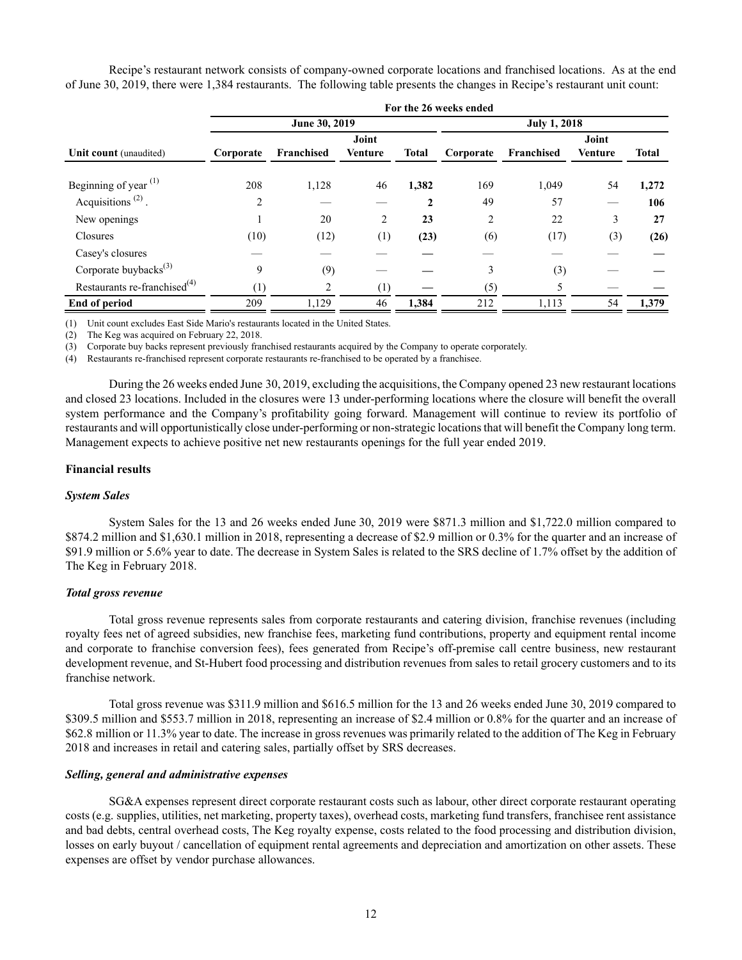Recipe's restaurant network consists of company-owned corporate locations and franchised locations. As at the end of June 30, 2019, there were 1,384 restaurants. The following table presents the changes in Recipe's restaurant unit count:

|                                            | For the 26 weeks ended |               |                |              |                     |            |                |              |  |  |  |  |  |  |
|--------------------------------------------|------------------------|---------------|----------------|--------------|---------------------|------------|----------------|--------------|--|--|--|--|--|--|
|                                            |                        | June 30, 2019 |                |              | <b>July 1, 2018</b> |            |                |              |  |  |  |  |  |  |
|                                            |                        |               | Joint          |              |                     |            | Joint          |              |  |  |  |  |  |  |
| Unit count (unaudited)                     | Corporate              | Franchised    | <b>Venture</b> | <b>Total</b> | Corporate           | Franchised | <b>Venture</b> | <b>Total</b> |  |  |  |  |  |  |
| Beginning of year $(1)$                    | 208                    | 1,128         | 46             | 1,382        | 169                 | 1,049      | 54             | 1,272        |  |  |  |  |  |  |
| Acquisitions <sup><math>(2)</math></sup> . | $\overline{2}$         |               |                | 2            | 49                  | 57         |                | 106          |  |  |  |  |  |  |
| New openings                               |                        | 20            | 2              | 23           | 2                   | 22         | 3              | 27           |  |  |  |  |  |  |
| Closures                                   | (10)                   | (12)          | (1)            | (23)         | (6)                 | (17)       | (3)            | (26)         |  |  |  |  |  |  |
| Casey's closures                           |                        |               |                |              |                     |            |                |              |  |  |  |  |  |  |
| Corporate buybacks $^{(3)}$                | 9                      | (9)           |                |              | 3                   | (3)        |                |              |  |  |  |  |  |  |
| Restaurants re-franchised <sup>(4)</sup>   | (1)                    | 2             | (1)            |              | (5)                 | 5          |                |              |  |  |  |  |  |  |
| End of period                              | 209                    | 1,129         | 46             | 1,384        | 212                 | 1,113      | 54             | 1,379        |  |  |  |  |  |  |

(1) Unit count excludes East Side Mario's restaurants located in the United States.

(2) The Keg was acquired on February 22, 2018.

(3) Corporate buy backs represent previously franchised restaurants acquired by the Company to operate corporately.

(4) Restaurants re-franchised represent corporate restaurants re-franchised to be operated by a franchisee.

During the 26 weeks ended June 30, 2019, excluding the acquisitions, the Company opened 23 new restaurant locations and closed 23 locations. Included in the closures were 13 under-performing locations where the closure will benefit the overall system performance and the Company's profitability going forward. Management will continue to review its portfolio of restaurants and will opportunistically close under-performing or non-strategic locations that will benefit the Company long term. Management expects to achieve positive net new restaurants openings for the full year ended 2019.

# **Financial results**

#### *System Sales*

System Sales for the 13 and 26 weeks ended June 30, 2019 were \$871.3 million and \$1,722.0 million compared to \$874.2 million and \$1,630.1 million in 2018, representing a decrease of \$2.9 million or 0.3% for the quarter and an increase of \$91.9 million or 5.6% year to date. The decrease in System Sales is related to the SRS decline of 1.7% offset by the addition of The Keg in February 2018.

## *Total gross revenue*

Total gross revenue represents sales from corporate restaurants and catering division, franchise revenues (including royalty fees net of agreed subsidies, new franchise fees, marketing fund contributions, property and equipment rental income and corporate to franchise conversion fees), fees generated from Recipe's off-premise call centre business, new restaurant development revenue, and St-Hubert food processing and distribution revenues from sales to retail grocery customers and to its franchise network.

Total gross revenue was \$311.9 million and \$616.5 million for the 13 and 26 weeks ended June 30, 2019 compared to \$309.5 million and \$553.7 million in 2018, representing an increase of \$2.4 million or 0.8% for the quarter and an increase of \$62.8 million or 11.3% year to date. The increase in gross revenues was primarily related to the addition of The Keg in February 2018 and increases in retail and catering sales, partially offset by SRS decreases.

#### *Selling, general and administrative expenses*

SG&A expenses represent direct corporate restaurant costs such as labour, other direct corporate restaurant operating costs (e.g. supplies, utilities, net marketing, property taxes), overhead costs, marketing fund transfers, franchisee rent assistance and bad debts, central overhead costs, The Keg royalty expense, costs related to the food processing and distribution division, losses on early buyout / cancellation of equipment rental agreements and depreciation and amortization on other assets. These expenses are offset by vendor purchase allowances.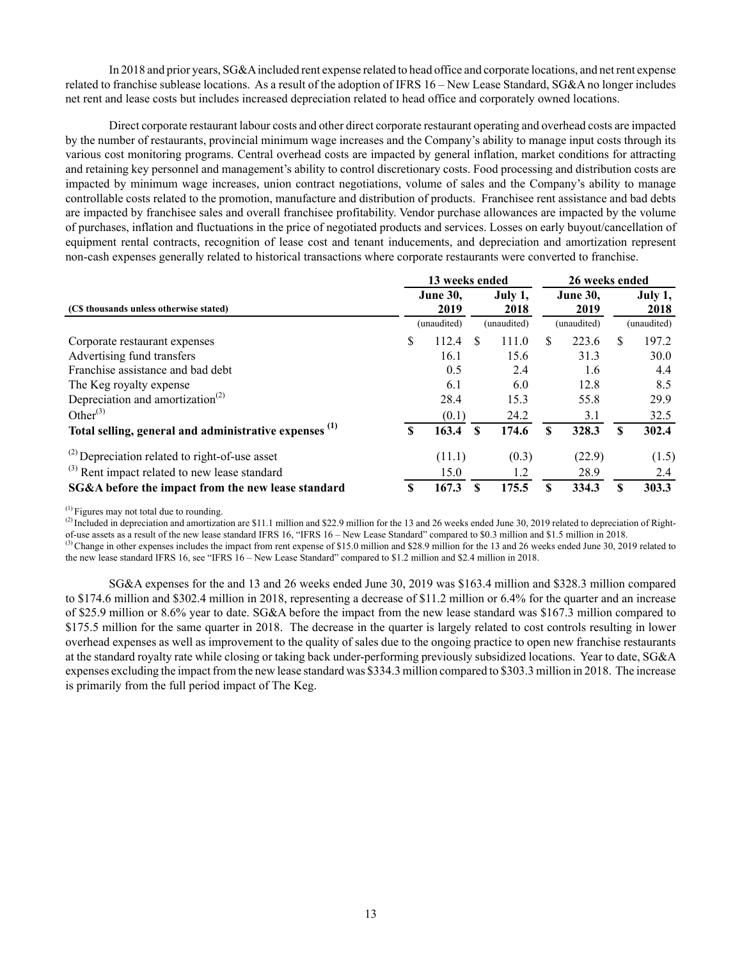In 2018 and prior years, SG&A included rent expense related to head office and corporate locations, and net rent expense related to franchise sublease locations. As a result of the adoption of IFRS 16 – New Lease Standard, SG&A no longer includes net rent and lease costs but includes increased depreciation related to head office and corporately owned locations.

Direct corporate restaurant labour costs and other direct corporate restaurant operating and overhead costs are impacted by the number of restaurants, provincial minimum wage increases and the Company's ability to manage input costs through its various cost monitoring programs. Central overhead costs are impacted by general inflation, market conditions for attracting and retaining key personnel and management's ability to control discretionary costs. Food processing and distribution costs are impacted by minimum wage increases, union contract negotiations, volume of sales and the Company's ability to manage controllable costs related to the promotion, manufacture and distribution of products. Franchisee rent assistance and bad debts are impacted by franchisee sales and overall franchisee profitability. Vendor purchase allowances are impacted by the volume of purchases, inflation and fluctuations in the price of negotiated products and services. Losses on early buyout/cancellation of equipment rental contracts, recognition of lease cost and tenant inducements, and depreciation and amortization represent non-cash expenses generally related to historical transactions where corporate restaurants were converted to franchise.

|                                                                   |                         | 13 weeks ended |   | 26 weeks ended |    |                 |             |       |  |
|-------------------------------------------------------------------|-------------------------|----------------|---|----------------|----|-----------------|-------------|-------|--|
|                                                                   | <b>June 30.</b><br>2019 |                |   | July 1,        |    | <b>June 30.</b> | July 1,     |       |  |
| (C\$ thousands unless otherwise stated)                           |                         |                |   | 2018           |    | 2019            |             | 2018  |  |
|                                                                   |                         | (unaudited)    |   | (unaudited)    |    | (unaudited)     | (unaudited) |       |  |
| Corporate restaurant expenses                                     | \$                      | 112.4          | S | 111.0          | S  | 223.6           | \$.         | 197.2 |  |
| Advertising fund transfers                                        |                         | 16.1           |   | 15.6           |    | 31.3            |             | 30.0  |  |
| Franchise assistance and bad debt                                 |                         | 0.5            |   | 2.4            |    | 1.6             |             | 4.4   |  |
| The Keg royalty expense                                           |                         | 6.1            |   | 6.0            |    | 12.8            |             | 8.5   |  |
| Depreciation and amortization <sup>(2)</sup>                      |                         | 28.4           |   | 15.3           |    | 55.8            |             | 29.9  |  |
| Other $^{(3)}$                                                    |                         | (0.1)          |   | 24.2           |    | 3.1             |             | 32.5  |  |
| Total selling, general and administrative expenses <sup>(1)</sup> | \$                      | 163.4          | S | 174.6          | \$ | 328.3           | S           | 302.4 |  |
| $^{(2)}$ Depreciation related to right-of-use asset               |                         | (11.1)         |   | (0.3)          |    | (22.9)          |             | (1.5) |  |
| $^{(3)}$ Rent impact related to new lease standard                |                         | 15.0           |   | 1.2            |    | 28.9            |             | 2.4   |  |
| SG&A before the impact from the new lease standard                | S                       | 167.3          | S | 175.5          |    | 334.3           | S           | 303.3 |  |

(1) Figures may not total due to rounding.

 $^{(2)}$  Included in depreciation and amortization are \$11.1 million and \$22.9 million for the 13 and 26 weeks ended June 30, 2019 related to depreciation of Rightof-use assets as a result of the new lease standard IFRS 16, "IFRS 16 – New Lease Standard" compared to \$0.3 million and \$1.5 million in 2018.

<sup>(3)</sup> Change in other expenses includes the impact from rent expense of \$15.0 million and \$28.9 million for the 13 and 26 weeks ended June 30, 2019 related to the new lease standard IFRS 16, see "IFRS 16 – New Lease Standard" compared to \$1.2 million and \$2.4 million in 2018.

SG&A expenses for the and 13 and 26 weeks ended June 30, 2019 was \$163.4 million and \$328.3 million compared to \$174.6 million and \$302.4 million in 2018, representing a decrease of \$11.2 million or 6.4% for the quarter and an increase of \$25.9 million or 8.6% year to date. SG&A before the impact from the new lease standard was \$167.3 million compared to \$175.5 million for the same quarter in 2018. The decrease in the quarter is largely related to cost controls resulting in lower overhead expenses as well as improvement to the quality of sales due to the ongoing practice to open new franchise restaurants at the standard royalty rate while closing or taking back under-performing previously subsidized locations. Year to date, SG&A expenses excluding the impact from the new lease standard was \$334.3 million compared to \$303.3 million in 2018. The increase is primarily from the full period impact of The Keg.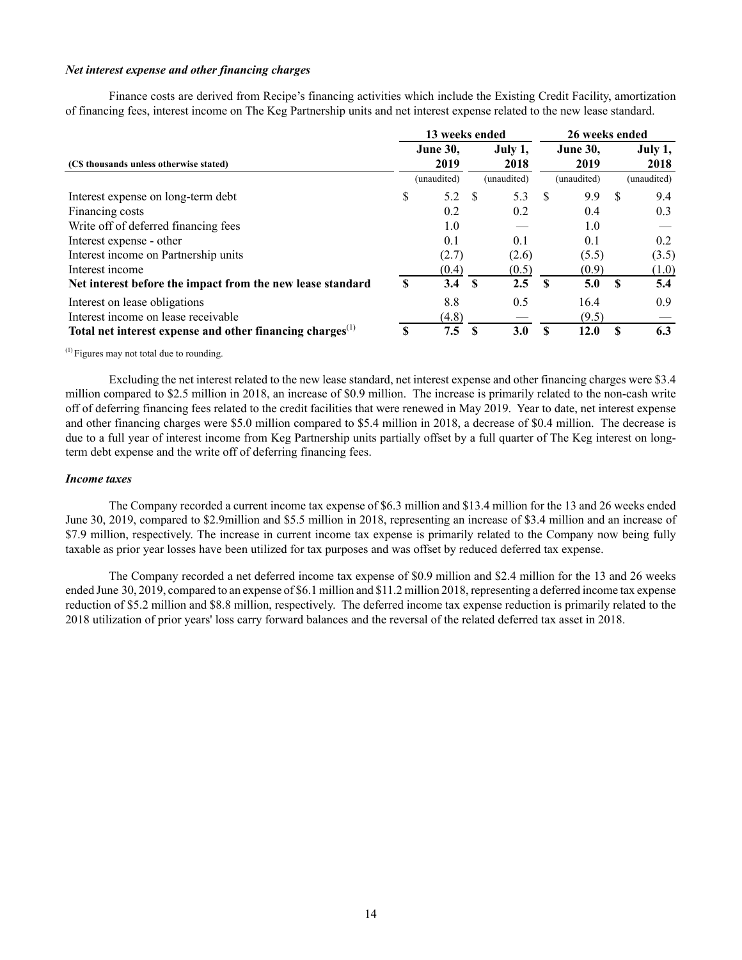#### *Net interest expense and other financing charges*

Finance costs are derived from Recipe's financing activities which include the Existing Credit Facility, amortization of financing fees, interest income on The Keg Partnership units and net interest expense related to the new lease standard.

|                                                                       |    | 13 weeks ended          |              |                 | 26 weeks ended |                         |          |                 |  |
|-----------------------------------------------------------------------|----|-------------------------|--------------|-----------------|----------------|-------------------------|----------|-----------------|--|
| (C\$ thousands unless otherwise stated)                               |    | <b>June 30.</b><br>2019 |              | July 1,<br>2018 |                | <b>June 30.</b><br>2019 |          | July 1,<br>2018 |  |
|                                                                       |    | (unaudited)             |              | (unaudited)     |                | (unaudited)             |          | (unaudited)     |  |
| Interest expense on long-term debt                                    | \$ | 5.2                     | <sup>S</sup> | 5.3             | -S             | 9.9                     | -S       | 9.4             |  |
| Financing costs                                                       |    | 0.2                     |              | 0.2             |                | 0.4                     |          | 0.3             |  |
| Write off of deferred financing fees                                  |    | 1.0                     |              |                 |                | 1.0                     |          |                 |  |
| Interest expense - other                                              |    | 0.1                     |              | 0.1             |                | 0.1                     |          | 0.2             |  |
| Interest income on Partnership units                                  |    | (2.7)                   |              | (2.6)           |                | (5.5)                   |          | (3.5)           |  |
| Interest income                                                       |    | (0.4)                   |              | (0.5)           |                | (0.9)                   |          | (1.0)           |  |
| Net interest before the impact from the new lease standard            | S  | 3.4                     | $\mathbf{s}$ | 2.5             | $\mathbf{s}$   | 5.0                     | <b>S</b> | 5.4             |  |
| Interest on lease obligations                                         |    | 8.8                     |              | 0.5             |                | 16.4                    |          | 0.9             |  |
| Interest income on lease receivable                                   |    | (4.8)                   |              |                 |                | (9.5)                   |          |                 |  |
| Total net interest expense and other financing charges <sup>(1)</sup> | S  | 7.5                     | -S           | 3.0             | \$             | 12.0                    | £.       | 6.3             |  |

 $<sup>(1)</sup>$  Figures may not total due to rounding.</sup>

Excluding the net interest related to the new lease standard, net interest expense and other financing charges were \$3.4 million compared to \$2.5 million in 2018, an increase of \$0.9 million. The increase is primarily related to the non-cash write off of deferring financing fees related to the credit facilities that were renewed in May 2019. Year to date, net interest expense and other financing charges were \$5.0 million compared to \$5.4 million in 2018, a decrease of \$0.4 million. The decrease is due to a full year of interest income from Keg Partnership units partially offset by a full quarter of The Keg interest on longterm debt expense and the write off of deferring financing fees.

#### *Income taxes*

The Company recorded a current income tax expense of \$6.3 million and \$13.4 million for the 13 and 26 weeks ended June 30, 2019, compared to \$2.9million and \$5.5 million in 2018, representing an increase of \$3.4 million and an increase of \$7.9 million, respectively. The increase in current income tax expense is primarily related to the Company now being fully taxable as prior year losses have been utilized for tax purposes and was offset by reduced deferred tax expense.

The Company recorded a net deferred income tax expense of \$0.9 million and \$2.4 million for the 13 and 26 weeks ended June 30, 2019, compared to an expense of \$6.1 million and \$11.2 million 2018, representing a deferred income tax expense reduction of \$5.2 million and \$8.8 million, respectively. The deferred income tax expense reduction is primarily related to the 2018 utilization of prior years' loss carry forward balances and the reversal of the related deferred tax asset in 2018.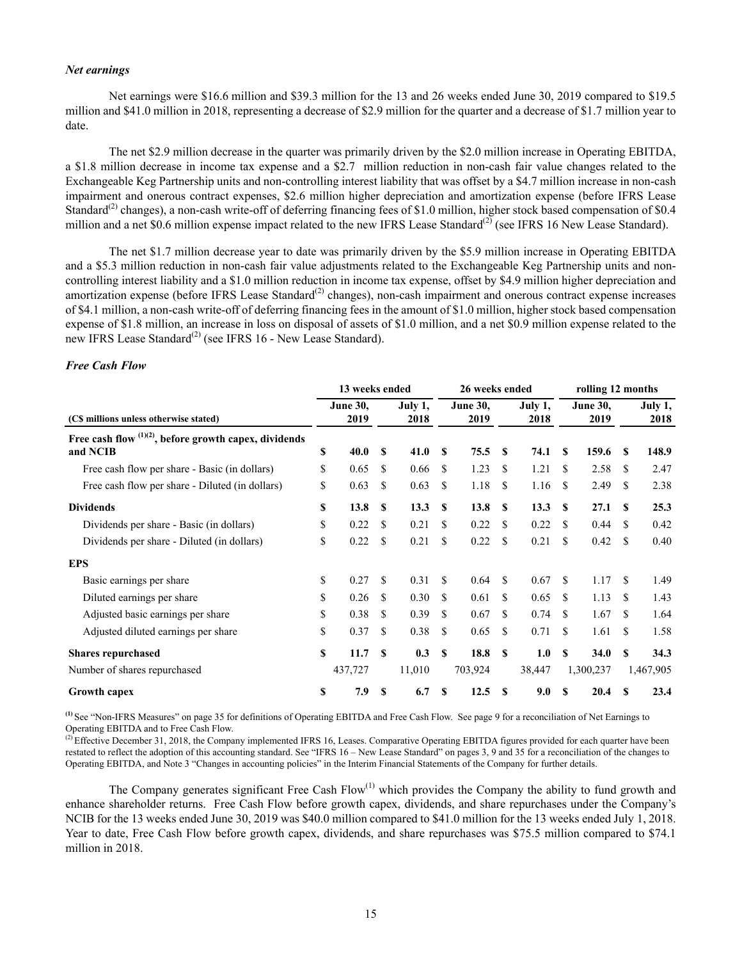### *Net earnings*

Net earnings were \$16.6 million and \$39.3 million for the 13 and 26 weeks ended June 30, 2019 compared to \$19.5 million and \$41.0 million in 2018, representing a decrease of \$2.9 million for the quarter and a decrease of \$1.7 million year to date.

The net \$2.9 million decrease in the quarter was primarily driven by the \$2.0 million increase in Operating EBITDA, a \$1.8 million decrease in income tax expense and a \$2.7 million reduction in non-cash fair value changes related to the Exchangeable Keg Partnership units and non-controlling interest liability that was offset by a \$4.7 million increase in non-cash impairment and onerous contract expenses, \$2.6 million higher depreciation and amortization expense (before IFRS Lease Standard<sup>(2)</sup> changes), a non-cash write-off of deferring financing fees of \$1.0 million, higher stock based compensation of \$0.4 million and a net \$0.6 million expense impact related to the new IFRS Lease Standard<sup>(2)</sup> (see IFRS 16 New Lease Standard).

The net \$1.7 million decrease year to date was primarily driven by the \$5.9 million increase in Operating EBITDA and a \$5.3 million reduction in non-cash fair value adjustments related to the Exchangeable Keg Partnership units and noncontrolling interest liability and a \$1.0 million reduction in income tax expense, offset by \$4.9 million higher depreciation and amortization expense (before IFRS Lease Standard<sup>(2)</sup> changes), non-cash impairment and onerous contract expense increases of \$4.1 million, a non-cash write-off of deferring financing fees in the amount of \$1.0 million, higher stock based compensation expense of \$1.8 million, an increase in loss on disposal of assets of \$1.0 million, and a net \$0.9 million expense related to the new IFRS Lease Standard<sup>(2)</sup> (see IFRS 16 - New Lease Standard).

#### *Free Cash Flow*

|                                                                      | 13 weeks ended |                         |     |                 |              | 26 weeks ended          |              | rolling 12 months |     |                         |                    |                 |
|----------------------------------------------------------------------|----------------|-------------------------|-----|-----------------|--------------|-------------------------|--------------|-------------------|-----|-------------------------|--------------------|-----------------|
| (C\$ millions unless otherwise stated)                               |                | <b>June 30.</b><br>2019 |     | July 1,<br>2018 |              | <b>June 30,</b><br>2019 |              | July 1,<br>2018   |     | <b>June 30,</b><br>2019 |                    | July 1,<br>2018 |
| Free cash flow $(1)(2)$ , before growth capex, dividends<br>and NCIB | S              | 40.0                    | -S  | 41.0            | \$.          | 75.5                    | \$.          | 74.1              | \$. | 159.6                   | S                  | 148.9           |
| Free cash flow per share - Basic (in dollars)                        | \$             | 0.65                    | \$. | 0.66            | \$.          | 1.23                    | \$.          | 1.21              | \$. | 2.58                    | -S                 | 2.47            |
| Free cash flow per share - Diluted (in dollars)                      | \$             | 0.63                    | S   | 0.63            | \$           | 1.18                    | \$.          | 1.16              | S   | 2.49                    | S                  | 2.38            |
| <b>Dividends</b>                                                     | $\mathbf s$    | 13.8                    | S   | 13.3            | \$.          | 13.8                    | \$.          | 13.3              | -S  | 27.1                    | $\mathbf{\hat{s}}$ | 25.3            |
| Dividends per share - Basic (in dollars)                             | \$             | 0.22                    | S   | 0.21            | \$.          | 0.22                    | \$.          | 0.22              | -S  | 0.44                    | -S                 | 0.42            |
| Dividends per share - Diluted (in dollars)                           | \$             | 0.22                    | \$  | 0.21            | \$.          | 0.22                    | \$.          | 0.21              | \$. | 0.42                    | -S                 | 0.40            |
| <b>EPS</b>                                                           |                |                         |     |                 |              |                         |              |                   |     |                         |                    |                 |
| Basic earnings per share                                             | \$             | 0.27                    | \$  | 0.31            | £.           | 0.64                    | \$.          | 0.67              | \$. | 1.17                    | \$.                | 1.49            |
| Diluted earnings per share                                           | \$             | 0.26                    | \$  | 0.30            | \$.          | 0.61                    | \$           | 0.65              | \$  | 1.13                    | \$.                | 1.43            |
| Adjusted basic earnings per share                                    | \$             | 0.38                    | \$  | 0.39            | \$.          | 0.67                    | \$.          | 0.74              | \$. | 1.67                    | \$.                | 1.64            |
| Adjusted diluted earnings per share                                  | \$             | 0.37                    | \$  | 0.38            | \$.          | 0.65                    | \$           | 0.71              | \$  | 1.61                    | \$.                | 1.58            |
| <b>Shares repurchased</b>                                            | \$             | 11.7                    | S   | 0.3             | $\mathbf{s}$ | 18.8                    | $\mathbf{s}$ | 1.0               | S   | <b>34.0</b>             | \$.                | 34.3            |
| Number of shares repurchased                                         |                | 437,727                 |     | 11,010          |              | 703,924                 |              | 38,447            |     | 1,300,237               |                    | 1,467,905       |
| <b>Growth capex</b>                                                  | <b>S</b>       | 7.9                     | S   | 6.7             | \$.          | 12.5                    | <b>S</b>     | 9.0               | S   | 20.4                    | <b>S</b>           | 23.4            |

**(1)** See "Non-IFRS Measures" on page 35 for definitions of Operating EBITDA and Free Cash Flow. See page 9 for a reconciliation of Net Earnings to Operating EBITDA and to Free Cash Flow.

 $^{(2)}$  Effective December 31, 2018, the Company implemented IFRS 16, Leases. Comparative Operating EBITDA figures provided for each quarter have been restated to reflect the adoption of this accounting standard. See "IFRS 16 – New Lease Standard" on pages 3, 9 and 35 for a reconciliation of the changes to Operating EBITDA, and Note 3 "Changes in accounting policies" in the Interim Financial Statements of the Company for further details.

The Company generates significant Free Cash  $Flow^{(1)}$  which provides the Company the ability to fund growth and enhance shareholder returns. Free Cash Flow before growth capex, dividends, and share repurchases under the Company's NCIB for the 13 weeks ended June 30, 2019 was \$40.0 million compared to \$41.0 million for the 13 weeks ended July 1, 2018. Year to date, Free Cash Flow before growth capex, dividends, and share repurchases was \$75.5 million compared to \$74.1 million in 2018.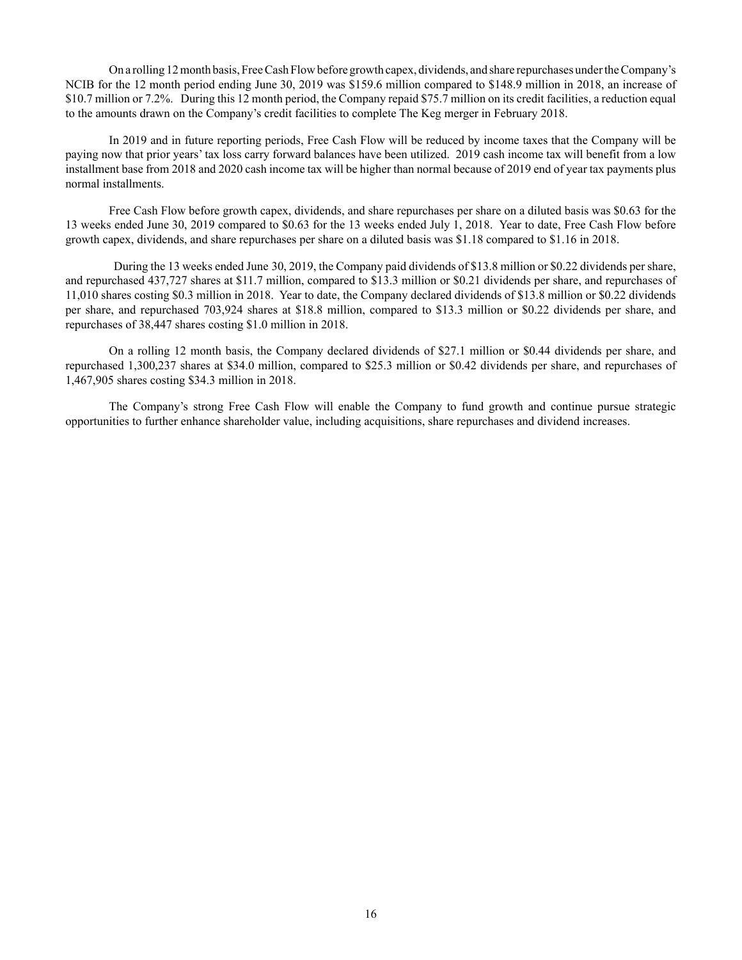On a rolling 12 month basis, Free Cash Flow before growth capex, dividends, and share repurchases under the Company's NCIB for the 12 month period ending June 30, 2019 was \$159.6 million compared to \$148.9 million in 2018, an increase of \$10.7 million or 7.2%. During this 12 month period, the Company repaid \$75.7 million on its credit facilities, a reduction equal to the amounts drawn on the Company's credit facilities to complete The Keg merger in February 2018.

In 2019 and in future reporting periods, Free Cash Flow will be reduced by income taxes that the Company will be paying now that prior years' tax loss carry forward balances have been utilized. 2019 cash income tax will benefit from a low installment base from 2018 and 2020 cash income tax will be higher than normal because of 2019 end of year tax payments plus normal installments.

Free Cash Flow before growth capex, dividends, and share repurchases per share on a diluted basis was \$0.63 for the 13 weeks ended June 30, 2019 compared to \$0.63 for the 13 weeks ended July 1, 2018. Year to date, Free Cash Flow before growth capex, dividends, and share repurchases per share on a diluted basis was \$1.18 compared to \$1.16 in 2018.

 During the 13 weeks ended June 30, 2019, the Company paid dividends of \$13.8 million or \$0.22 dividends per share, and repurchased 437,727 shares at \$11.7 million, compared to \$13.3 million or \$0.21 dividends per share, and repurchases of 11,010 shares costing \$0.3 million in 2018. Year to date, the Company declared dividends of \$13.8 million or \$0.22 dividends per share, and repurchased 703,924 shares at \$18.8 million, compared to \$13.3 million or \$0.22 dividends per share, and repurchases of 38,447 shares costing \$1.0 million in 2018.

On a rolling 12 month basis, the Company declared dividends of \$27.1 million or \$0.44 dividends per share, and repurchased 1,300,237 shares at \$34.0 million, compared to \$25.3 million or \$0.42 dividends per share, and repurchases of 1,467,905 shares costing \$34.3 million in 2018.

The Company's strong Free Cash Flow will enable the Company to fund growth and continue pursue strategic opportunities to further enhance shareholder value, including acquisitions, share repurchases and dividend increases.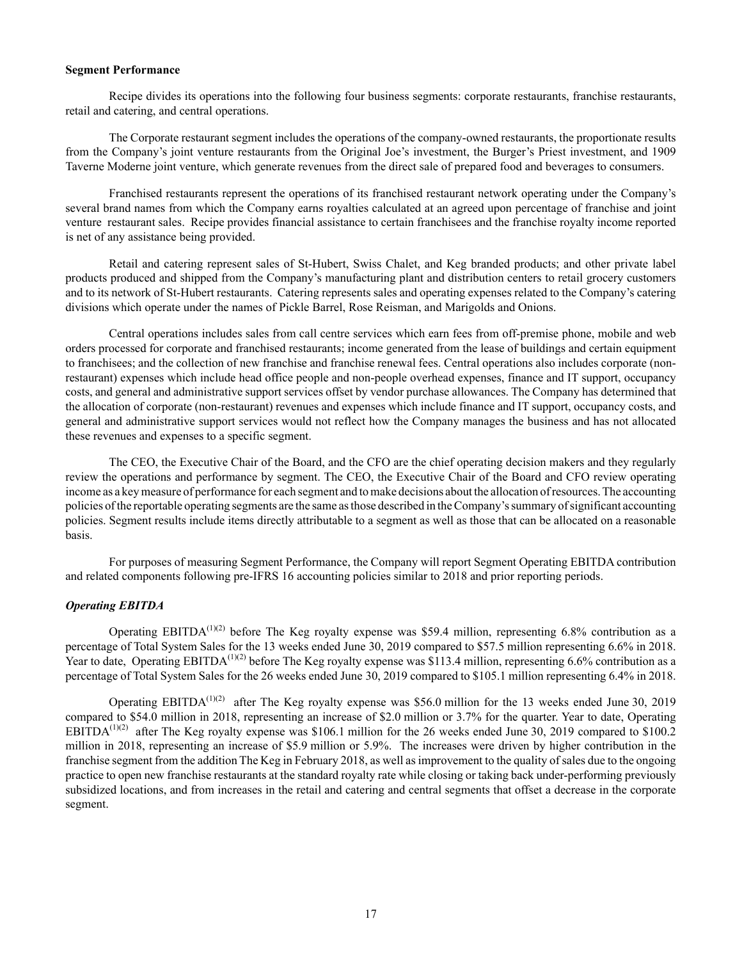#### **Segment Performance**

Recipe divides its operations into the following four business segments: corporate restaurants, franchise restaurants, retail and catering, and central operations.

The Corporate restaurant segment includes the operations of the company-owned restaurants, the proportionate results from the Company's joint venture restaurants from the Original Joe's investment, the Burger's Priest investment, and 1909 Taverne Moderne joint venture, which generate revenues from the direct sale of prepared food and beverages to consumers.

Franchised restaurants represent the operations of its franchised restaurant network operating under the Company's several brand names from which the Company earns royalties calculated at an agreed upon percentage of franchise and joint venture restaurant sales. Recipe provides financial assistance to certain franchisees and the franchise royalty income reported is net of any assistance being provided.

Retail and catering represent sales of St-Hubert, Swiss Chalet, and Keg branded products; and other private label products produced and shipped from the Company's manufacturing plant and distribution centers to retail grocery customers and to its network of St-Hubert restaurants. Catering represents sales and operating expenses related to the Company's catering divisions which operate under the names of Pickle Barrel, Rose Reisman, and Marigolds and Onions.

Central operations includes sales from call centre services which earn fees from off-premise phone, mobile and web orders processed for corporate and franchised restaurants; income generated from the lease of buildings and certain equipment to franchisees; and the collection of new franchise and franchise renewal fees. Central operations also includes corporate (nonrestaurant) expenses which include head office people and non-people overhead expenses, finance and IT support, occupancy costs, and general and administrative support services offset by vendor purchase allowances. The Company has determined that the allocation of corporate (non-restaurant) revenues and expenses which include finance and IT support, occupancy costs, and general and administrative support services would not reflect how the Company manages the business and has not allocated these revenues and expenses to a specific segment.

The CEO, the Executive Chair of the Board, and the CFO are the chief operating decision makers and they regularly review the operations and performance by segment. The CEO, the Executive Chair of the Board and CFO review operating income as a key measure of performance for each segment and to make decisions about the allocation of resources. The accounting policies of the reportable operating segments are the same as those described in the Company's summary of significant accounting policies. Segment results include items directly attributable to a segment as well as those that can be allocated on a reasonable basis.

For purposes of measuring Segment Performance, the Company will report Segment Operating EBITDA contribution and related components following pre-IFRS 16 accounting policies similar to 2018 and prior reporting periods.

## *Operating EBITDA*

Operating EBITDA<sup>(1)(2)</sup> before The Keg royalty expense was \$59.4 million, representing 6.8% contribution as a percentage of Total System Sales for the 13 weeks ended June 30, 2019 compared to \$57.5 million representing 6.6% in 2018. Year to date, Operating EBITDA<sup> $(1)(2)$ </sup> before The Keg royalty expense was \$113.4 million, representing 6.6% contribution as a percentage of Total System Sales for the 26 weeks ended June 30, 2019 compared to \$105.1 million representing 6.4% in 2018.

Operating EBITDA<sup>(1)(2)</sup> after The Keg royalty expense was \$56.0 million for the 13 weeks ended June 30, 2019 compared to \$54.0 million in 2018, representing an increase of \$2.0 million or 3.7% for the quarter. Year to date, Operating EBITDA<sup>(1)(2)</sup> after The Keg royalty expense was \$106.1 million for the 26 weeks ended June 30, 2019 compared to \$100.2 million in 2018, representing an increase of \$5.9 million or 5.9%. The increases were driven by higher contribution in the franchise segment from the addition The Keg in February 2018, as well as improvement to the quality of sales due to the ongoing practice to open new franchise restaurants at the standard royalty rate while closing or taking back under-performing previously subsidized locations, and from increases in the retail and catering and central segments that offset a decrease in the corporate segment.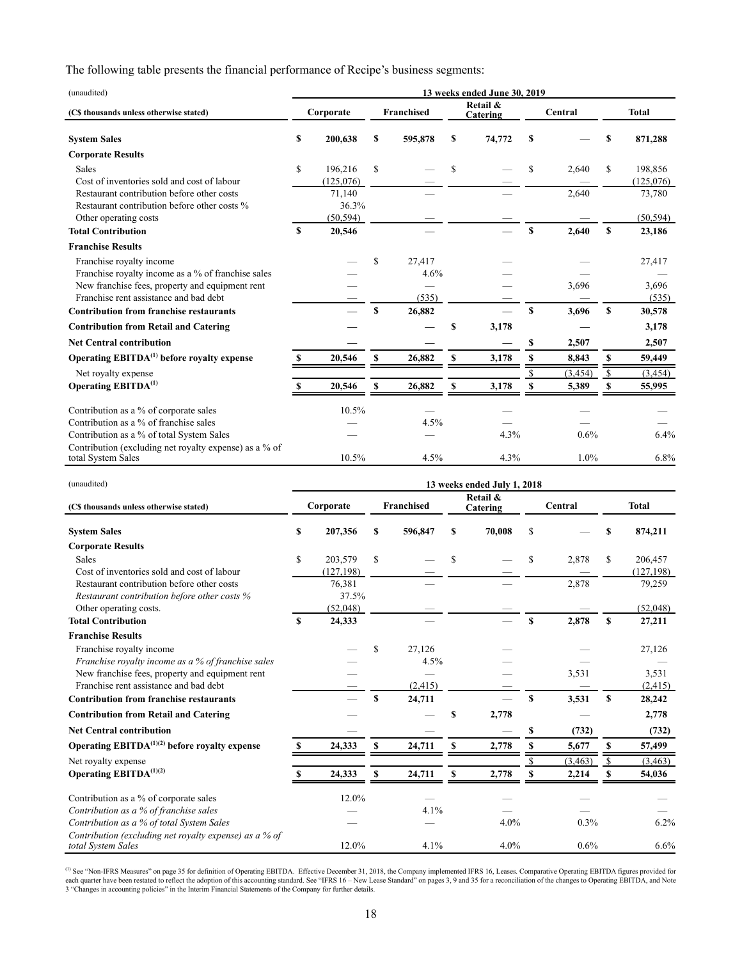The following table presents the financial performance of Recipe's business segments:

| (unaudited)                                            | 13 weeks ended June 30, 2019 |           |    |                   |    |                      |    |          |             |              |
|--------------------------------------------------------|------------------------------|-----------|----|-------------------|----|----------------------|----|----------|-------------|--------------|
| (C\$ thousands unless otherwise stated)                |                              | Corporate |    | <b>Franchised</b> |    | Retail &<br>Catering |    | Central  |             | <b>Total</b> |
| <b>System Sales</b>                                    | S                            | 200,638   | S  | 595,878           | \$ | 74,772               | S  |          | S           | 871,288      |
| <b>Corporate Results</b>                               |                              |           |    |                   |    |                      |    |          |             |              |
| <b>Sales</b>                                           | $\mathbf S$                  | 196,216   | S  |                   | S  |                      | S  | 2,640    | S           | 198,856      |
| Cost of inventories sold and cost of labour            |                              | (125,076) |    |                   |    |                      |    |          |             | (125,076)    |
| Restaurant contribution before other costs             |                              | 71,140    |    |                   |    |                      |    | 2,640    |             | 73,780       |
| Restaurant contribution before other costs %           |                              | 36.3%     |    |                   |    |                      |    |          |             |              |
| Other operating costs                                  |                              | (50, 594) |    |                   |    |                      |    |          |             | (50, 594)    |
| <b>Total Contribution</b>                              | \$.                          | 20,546    |    |                   |    |                      | S  | 2,640    | S           | 23,186       |
| <b>Franchise Results</b>                               |                              |           |    |                   |    |                      |    |          |             |              |
| Franchise royalty income                               |                              |           | \$ | 27.417            |    |                      |    |          |             | 27,417       |
| Franchise royalty income as a % of franchise sales     |                              |           |    | 4.6%              |    |                      |    |          |             |              |
| New franchise fees, property and equipment rent        |                              |           |    |                   |    |                      |    | 3,696    |             | 3,696        |
| Franchise rent assistance and bad debt                 |                              |           |    | (535)             |    |                      |    |          |             | (535)        |
| <b>Contribution from franchise restaurants</b>         |                              |           | S  | 26,882            |    |                      | S  | 3,696    | $\mathbf S$ | 30,578       |
| <b>Contribution from Retail and Catering</b>           |                              |           |    |                   | \$ | 3,178                |    |          |             | 3,178        |
| <b>Net Central contribution</b>                        |                              |           |    |                   |    |                      | \$ | 2,507    |             | 2,507        |
| Operating EBITDA <sup>(1)</sup> before royalty expense |                              | 20,546    | S  | 26,882            | \$ | 3,178                | \$ | 8,843    | \$          | 59,449       |
| Net royalty expense                                    |                              |           |    |                   |    |                      |    | (3, 454) | -S          | (3, 454)     |
| Operating EBITDA <sup>(1)</sup>                        |                              | 20,546    | S  | 26,882            | \$ | 3,178                | S  | 5,389    | S           | 55,995       |
| Contribution as a % of corporate sales                 |                              | 10.5%     |    |                   |    |                      |    |          |             |              |
| Contribution as a % of franchise sales                 |                              |           |    | 4.5%              |    |                      |    |          |             |              |
| Contribution as a % of total System Sales              |                              |           |    |                   |    | 4.3%                 |    | 0.6%     |             | 6.4%         |
| Contribution (excluding net royalty expense) as a % of |                              |           |    |                   |    |                      |    |          |             |              |
| total System Sales                                     |                              | 10.5%     |    | 4.5%              |    | 4.3%                 |    | $1.0\%$  |             | 6.8%         |

| (unaudited)                                                                  | 13 weeks ended July 1, 2018 |            |    |            |    |                      |    |          |             |              |
|------------------------------------------------------------------------------|-----------------------------|------------|----|------------|----|----------------------|----|----------|-------------|--------------|
| (C\$ thousands unless otherwise stated)                                      |                             | Corporate  |    | Franchised |    | Retail &<br>Catering |    | Central  |             | <b>Total</b> |
| <b>System Sales</b>                                                          | S                           | 207,356    | s  | 596,847    | S  | 70,008               | \$ |          | S           | 874,211      |
| <b>Corporate Results</b>                                                     |                             |            |    |            |    |                      |    |          |             |              |
| Sales                                                                        | \$                          | 203,579    | \$ |            | S  |                      | S  | 2,878    | \$          | 206,457      |
| Cost of inventories sold and cost of labour                                  |                             | (127, 198) |    |            |    |                      |    |          |             | (127, 198)   |
| Restaurant contribution before other costs                                   |                             | 76,381     |    |            |    |                      |    | 2,878    |             | 79,259       |
| Restaurant contribution before other costs %                                 |                             | 37.5%      |    |            |    |                      |    |          |             |              |
| Other operating costs.                                                       |                             | (52,048)   |    |            |    |                      |    |          |             | (52,048)     |
| <b>Total Contribution</b>                                                    | S                           | 24,333     |    |            |    |                      | S  | 2,878    | $\mathbf S$ | 27,211       |
| <b>Franchise Results</b>                                                     |                             |            |    |            |    |                      |    |          |             |              |
| Franchise royalty income                                                     |                             |            | \$ | 27,126     |    |                      |    |          |             | 27,126       |
| Franchise royalty income as a % of franchise sales                           |                             |            |    | 4.5%       |    |                      |    |          |             |              |
| New franchise fees, property and equipment rent                              |                             |            |    |            |    |                      |    | 3,531    |             | 3,531        |
| Franchise rent assistance and bad debt                                       |                             |            |    | (2, 415)   |    |                      |    |          |             | (2, 415)     |
| <b>Contribution from franchise restaurants</b>                               |                             |            | S  | 24,711     |    |                      | \$ | 3,531    | \$          | 28,242       |
| <b>Contribution from Retail and Catering</b>                                 |                             |            |    |            | \$ | 2,778                |    |          |             | 2,778        |
| <b>Net Central contribution</b>                                              |                             |            |    |            |    |                      | \$ | (732)    |             | (732)        |
| Operating $EBITDA^{(1)(2)}$ before royalty expense                           | S                           | 24,333     | \$ | 24,711     | S  | 2,778                |    | 5,677    | \$          | 57,499       |
| Net royalty expense                                                          |                             |            |    |            |    |                      |    | (3, 463) | \$          | (3, 463)     |
| <b>Operating EBITDA</b> <sup>(1)(2)</sup>                                    |                             | 24,333     | S  | 24,711     | \$ | 2,778                | S  | 2,214    | S           | 54,036       |
| Contribution as a % of corporate sales                                       |                             | 12.0%      |    |            |    |                      |    |          |             |              |
| Contribution as a % of franchise sales                                       |                             |            |    | 4.1%       |    |                      |    |          |             |              |
| Contribution as a % of total System Sales                                    |                             |            |    |            |    | 4.0%                 |    | 0.3%     |             | 6.2%         |
| Contribution (excluding net royalty expense) as a % of<br>total System Sales |                             | 12.0%      |    | 4.1%       |    | 4.0%                 |    | 0.6%     |             | 6.6%         |

<sup>(1)</sup> See "Non-IFRS Measures" on page 35 for definition of Operating EBITDA. Effective December 31, 2018, the Company implemented IFRS 16, Leases. Comparative Operating EBITDA figures provided for each quarter have been re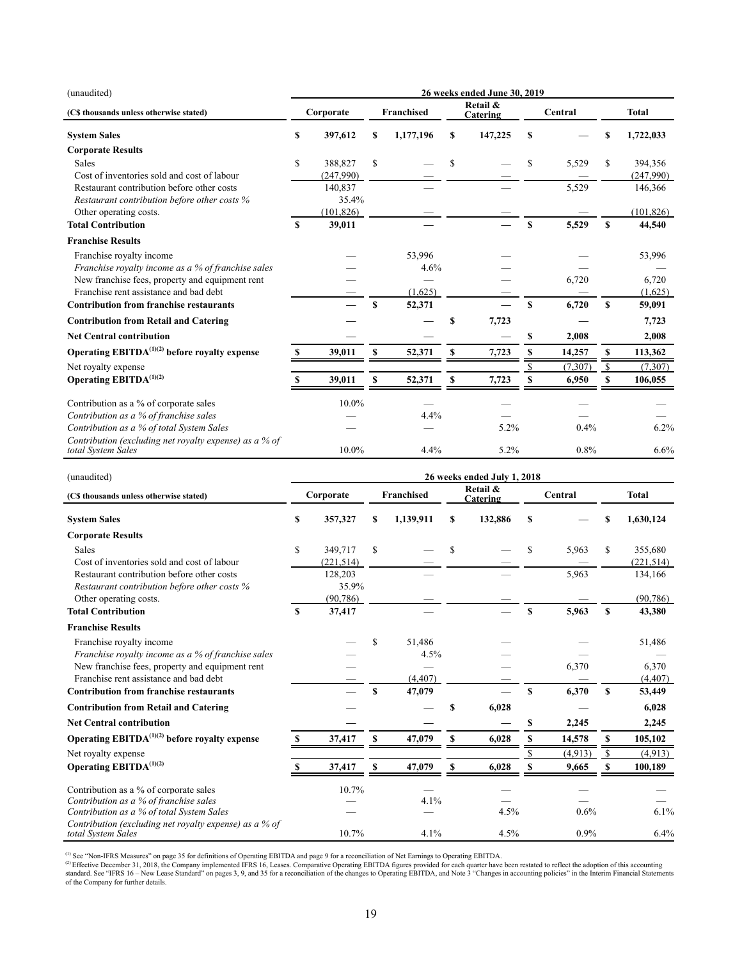| (unaudited)                                                                                | 26 weeks ended June 30, 2019 |                      |    |            |    |                      |               |          |              |                      |
|--------------------------------------------------------------------------------------------|------------------------------|----------------------|----|------------|----|----------------------|---------------|----------|--------------|----------------------|
| (C\$ thousands unless otherwise stated)                                                    |                              | Corporate            |    | Franchised |    | Retail &<br>Catering |               | Central  |              | <b>Total</b>         |
| <b>System Sales</b>                                                                        | \$                           | 397,612              | \$ | 1,177,196  | \$ | 147,225              | \$            |          | \$           | 1,722,033            |
| <b>Corporate Results</b>                                                                   |                              |                      |    |            |    |                      |               |          |              |                      |
| Sales<br>Cost of inventories sold and cost of labour                                       | \$                           | 388,827<br>(247,990) | S  |            | S  |                      | \$            | 5,529    | S            | 394,356<br>(247,990) |
| Restaurant contribution before other costs<br>Restaurant contribution before other costs % |                              | 140,837<br>35.4%     |    |            |    |                      |               | 5,529    |              | 146,366              |
| Other operating costs.                                                                     |                              | (101, 826)           |    |            |    |                      |               |          |              | (101, 826)           |
| <b>Total Contribution</b>                                                                  | \$                           | 39,011               |    |            |    |                      | <sup>\$</sup> | 5,529    | S            | 44,540               |
| <b>Franchise Results</b>                                                                   |                              |                      |    |            |    |                      |               |          |              |                      |
| Franchise royalty income                                                                   |                              |                      |    | 53,996     |    |                      |               |          |              | 53,996               |
| Franchise royalty income as a % of franchise sales                                         |                              |                      |    | 4.6%       |    |                      |               |          |              |                      |
| New franchise fees, property and equipment rent                                            |                              |                      |    |            |    |                      |               | 6,720    |              | 6,720                |
| Franchise rent assistance and bad debt                                                     |                              |                      |    | (1,625)    |    |                      |               |          |              | (1,625)              |
| <b>Contribution from franchise restaurants</b>                                             |                              |                      | \$ | 52,371     |    |                      | <sup>\$</sup> | 6,720    | \$           | 59,091               |
| <b>Contribution from Retail and Catering</b>                                               |                              |                      |    |            | \$ | 7,723                |               |          |              | 7,723                |
| <b>Net Central contribution</b>                                                            |                              |                      |    |            |    |                      | \$            | 2,008    |              | 2,008                |
| Operating $EBITDA(1)(2)$ before royalty expense                                            | \$                           | 39,011               | S  | 52,371     | s  | 7,723                | \$            | 14,257   | S            | 113,362              |
| Net royalty expense                                                                        |                              |                      |    |            |    |                      |               | (7, 307) | $\mathbb{S}$ | (7,307)              |
| Operating EBITD $A^{(1)(2)}$                                                               |                              | 39,011               | \$ | 52,371     | \$ | 7,723                |               | 6,950    | \$           | 106,055              |
| Contribution as a % of corporate sales                                                     |                              | 10.0%                |    |            |    |                      |               |          |              |                      |
| Contribution as a % of franchise sales                                                     |                              |                      |    | 4.4%       |    |                      |               |          |              |                      |
| Contribution as a % of total System Sales                                                  |                              |                      |    |            |    | 5.2%                 |               | 0.4%     |              | 6.2%                 |
| Contribution (excluding net royalty expense) as a % of<br>total System Sales               |                              | 10.0%                |    | 4.4%       |    | 5.2%                 |               | 0.8%     |              | 6.6%                 |

| (unaudited)                                                                  | 26 weeks ended July 1, 2018 |            |             |            |    |                      |             |         |             |              |
|------------------------------------------------------------------------------|-----------------------------|------------|-------------|------------|----|----------------------|-------------|---------|-------------|--------------|
| (C\$ thousands unless otherwise stated)                                      |                             | Corporate  |             | Franchised |    | Retail &<br>Catering |             | Central |             | <b>Total</b> |
| <b>System Sales</b>                                                          | \$                          | 357,327    | \$          | 1,139,911  | \$ | 132,886              | S           |         | \$          | 1,630,124    |
| <b>Corporate Results</b>                                                     |                             |            |             |            |    |                      |             |         |             |              |
| Sales                                                                        | \$                          | 349,717    | S           |            | \$ |                      | \$          | 5,963   | S           | 355,680      |
| Cost of inventories sold and cost of labour                                  |                             | (221, 514) |             |            |    |                      |             |         |             | (221, 514)   |
| Restaurant contribution before other costs                                   |                             | 128,203    |             |            |    |                      |             | 5,963   |             | 134,166      |
| Restaurant contribution before other costs %                                 |                             | 35.9%      |             |            |    |                      |             |         |             |              |
| Other operating costs.                                                       |                             | (90, 786)  |             |            |    |                      |             |         |             | (90, 786)    |
| <b>Total Contribution</b>                                                    | S                           | 37,417     |             |            |    |                      | \$          | 5,963   | $\mathbf S$ | 43,380       |
| <b>Franchise Results</b>                                                     |                             |            |             |            |    |                      |             |         |             |              |
| Franchise royalty income                                                     |                             |            | \$          | 51,486     |    |                      |             |         |             | 51,486       |
| Franchise royalty income as a % of franchise sales                           |                             |            |             | 4.5%       |    |                      |             |         |             |              |
| New franchise fees, property and equipment rent                              |                             |            |             |            |    |                      |             | 6,370   |             | 6,370        |
| Franchise rent assistance and had debt                                       |                             |            |             | (4, 407)   |    |                      |             |         |             | (4, 407)     |
| <b>Contribution from franchise restaurants</b>                               |                             |            | $\mathbf S$ | 47,079     |    |                      | $\mathbf S$ | 6,370   | <b>S</b>    | 53,449       |
| <b>Contribution from Retail and Catering</b>                                 |                             |            |             |            | \$ | 6,028                |             |         |             | 6,028        |
| <b>Net Central contribution</b>                                              |                             |            |             |            |    |                      | \$          | 2,245   |             | 2,245        |
| Operating $EBITDA(1)(2)$ before royalty expense                              | -S                          | 37,417     | S           | 47,079     | S  | 6,028                | S           | 14,578  | S           | 105,102      |
| Net royalty expense                                                          |                             |            |             |            |    |                      |             | (4.913) | S           | (4,913)      |
| <b>Operating EBITDA</b> <sup>(1)(2)</sup>                                    | S                           | 37,417     | S           | 47,079     | S  | 6,028                |             | 9,665   | \$          | 100,189      |
| Contribution as a % of corporate sales                                       |                             | 10.7%      |             |            |    |                      |             |         |             |              |
| Contribution as a % of franchise sales                                       |                             |            |             | 4.1%       |    |                      |             |         |             |              |
| Contribution as a % of total System Sales                                    |                             |            |             |            |    | 4.5%                 |             | 0.6%    |             | 6.1%         |
| Contribution (excluding net royalty expense) as a % of<br>total System Sales |                             | 10.7%      |             | 4.1%       |    | 4.5%                 |             | 0.9%    |             | 6.4%         |

(1) See "Non-IFRS Measures" on page 35 for definitions of Operating EBITDA and page 9 for a reconciliation of Net Earnings to Operating EBITDA.<br>© Effective December 31, 2018, the Company implemented IFRS 16, Leases. Compar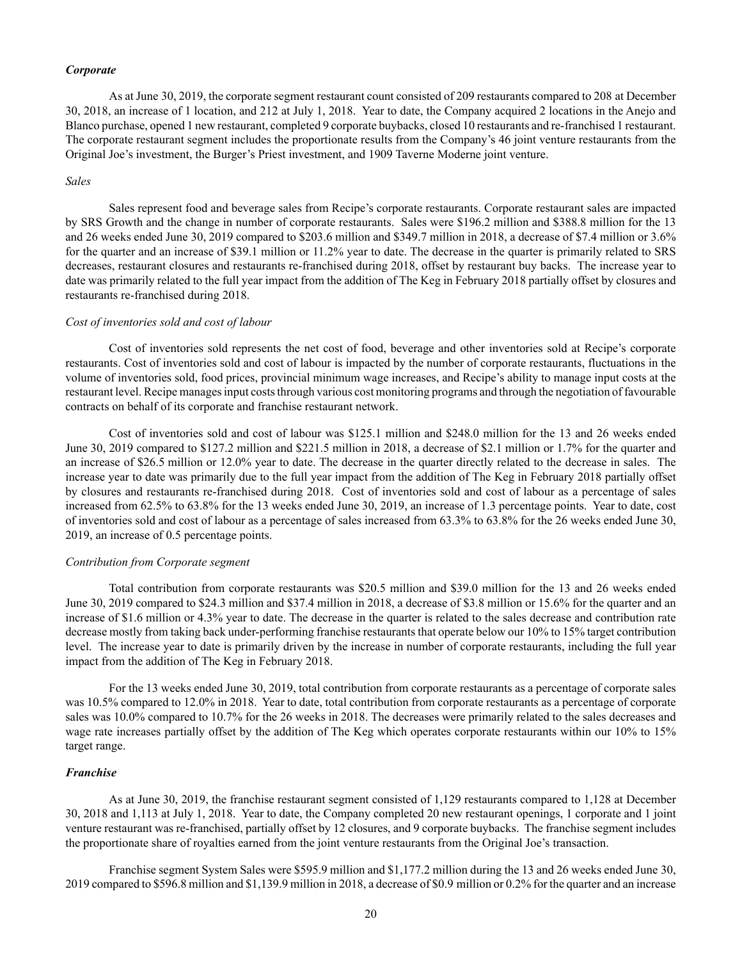#### *Corporate*

As at June 30, 2019, the corporate segment restaurant count consisted of 209 restaurants compared to 208 at December 30, 2018, an increase of 1 location, and 212 at July 1, 2018. Year to date, the Company acquired 2 locations in the Anejo and Blanco purchase, opened 1 new restaurant, completed 9 corporate buybacks, closed 10 restaurants and re-franchised 1 restaurant. The corporate restaurant segment includes the proportionate results from the Company's 46 joint venture restaurants from the Original Joe's investment, the Burger's Priest investment, and 1909 Taverne Moderne joint venture.

#### *Sales*

Sales represent food and beverage sales from Recipe's corporate restaurants. Corporate restaurant sales are impacted by SRS Growth and the change in number of corporate restaurants. Sales were \$196.2 million and \$388.8 million for the 13 and 26 weeks ended June 30, 2019 compared to \$203.6 million and \$349.7 million in 2018, a decrease of \$7.4 million or 3.6% for the quarter and an increase of \$39.1 million or 11.2% year to date. The decrease in the quarter is primarily related to SRS decreases, restaurant closures and restaurants re-franchised during 2018, offset by restaurant buy backs. The increase year to date was primarily related to the full year impact from the addition of The Keg in February 2018 partially offset by closures and restaurants re-franchised during 2018.

#### *Cost of inventories sold and cost of labour*

Cost of inventories sold represents the net cost of food, beverage and other inventories sold at Recipe's corporate restaurants. Cost of inventories sold and cost of labour is impacted by the number of corporate restaurants, fluctuations in the volume of inventories sold, food prices, provincial minimum wage increases, and Recipe's ability to manage input costs at the restaurant level. Recipe manages input costs through various cost monitoring programs and through the negotiation of favourable contracts on behalf of its corporate and franchise restaurant network.

Cost of inventories sold and cost of labour was \$125.1 million and \$248.0 million for the 13 and 26 weeks ended June 30, 2019 compared to \$127.2 million and \$221.5 million in 2018, a decrease of \$2.1 million or 1.7% for the quarter and an increase of \$26.5 million or 12.0% year to date. The decrease in the quarter directly related to the decrease in sales. The increase year to date was primarily due to the full year impact from the addition of The Keg in February 2018 partially offset by closures and restaurants re-franchised during 2018. Cost of inventories sold and cost of labour as a percentage of sales increased from 62.5% to 63.8% for the 13 weeks ended June 30, 2019, an increase of 1.3 percentage points. Year to date, cost of inventories sold and cost of labour as a percentage of sales increased from 63.3% to 63.8% for the 26 weeks ended June 30, 2019, an increase of 0.5 percentage points.

### *Contribution from Corporate segment*

Total contribution from corporate restaurants was \$20.5 million and \$39.0 million for the 13 and 26 weeks ended June 30, 2019 compared to \$24.3 million and \$37.4 million in 2018, a decrease of \$3.8 million or 15.6% for the quarter and an increase of \$1.6 million or 4.3% year to date. The decrease in the quarter is related to the sales decrease and contribution rate decrease mostly from taking back under-performing franchise restaurants that operate below our 10% to 15% target contribution level. The increase year to date is primarily driven by the increase in number of corporate restaurants, including the full year impact from the addition of The Keg in February 2018.

For the 13 weeks ended June 30, 2019, total contribution from corporate restaurants as a percentage of corporate sales was 10.5% compared to 12.0% in 2018. Year to date, total contribution from corporate restaurants as a percentage of corporate sales was 10.0% compared to 10.7% for the 26 weeks in 2018. The decreases were primarily related to the sales decreases and wage rate increases partially offset by the addition of The Keg which operates corporate restaurants within our 10% to 15% target range.

# *Franchise*

As at June 30, 2019, the franchise restaurant segment consisted of 1,129 restaurants compared to 1,128 at December 30, 2018 and 1,113 at July 1, 2018. Year to date, the Company completed 20 new restaurant openings, 1 corporate and 1 joint venture restaurant was re-franchised, partially offset by 12 closures, and 9 corporate buybacks. The franchise segment includes the proportionate share of royalties earned from the joint venture restaurants from the Original Joe's transaction.

Franchise segment System Sales were \$595.9 million and \$1,177.2 million during the 13 and 26 weeks ended June 30, 2019 compared to \$596.8 million and \$1,139.9 million in 2018, a decrease of \$0.9 million or 0.2% for the quarter and an increase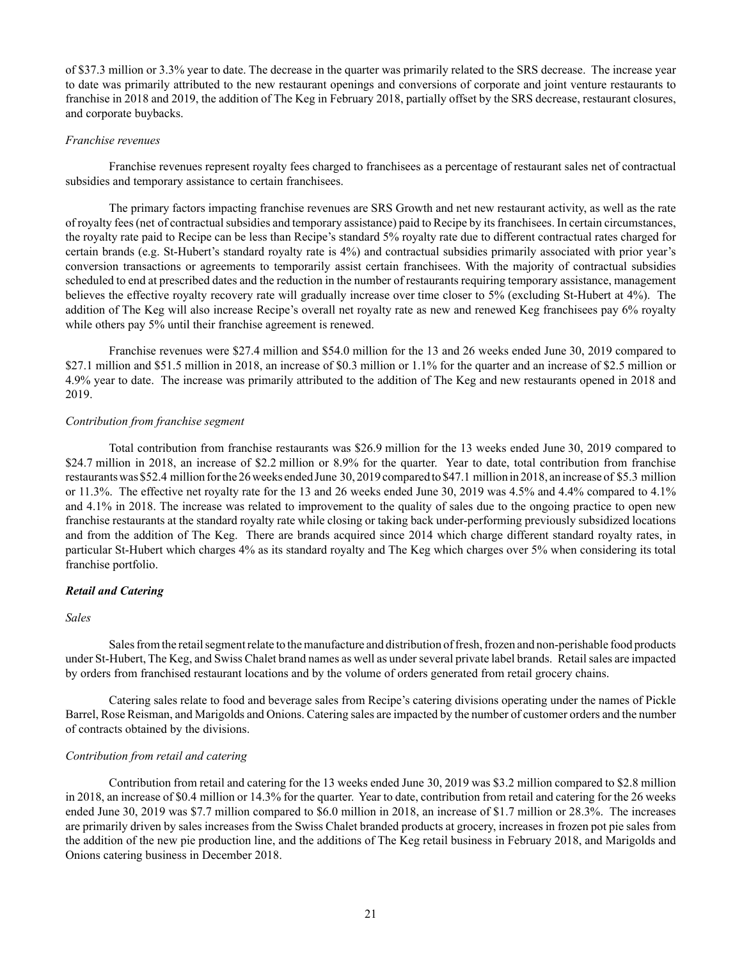of \$37.3 million or 3.3% year to date. The decrease in the quarter was primarily related to the SRS decrease. The increase year to date was primarily attributed to the new restaurant openings and conversions of corporate and joint venture restaurants to franchise in 2018 and 2019, the addition of The Keg in February 2018, partially offset by the SRS decrease, restaurant closures, and corporate buybacks.

## *Franchise revenues*

Franchise revenues represent royalty fees charged to franchisees as a percentage of restaurant sales net of contractual subsidies and temporary assistance to certain franchisees.

The primary factors impacting franchise revenues are SRS Growth and net new restaurant activity, as well as the rate of royalty fees (net of contractual subsidies and temporary assistance) paid to Recipe by its franchisees. In certain circumstances, the royalty rate paid to Recipe can be less than Recipe's standard 5% royalty rate due to different contractual rates charged for certain brands (e.g. St-Hubert's standard royalty rate is 4%) and contractual subsidies primarily associated with prior year's conversion transactions or agreements to temporarily assist certain franchisees. With the majority of contractual subsidies scheduled to end at prescribed dates and the reduction in the number of restaurants requiring temporary assistance, management believes the effective royalty recovery rate will gradually increase over time closer to 5% (excluding St-Hubert at 4%). The addition of The Keg will also increase Recipe's overall net royalty rate as new and renewed Keg franchisees pay 6% royalty while others pay 5% until their franchise agreement is renewed.

Franchise revenues were \$27.4 million and \$54.0 million for the 13 and 26 weeks ended June 30, 2019 compared to \$27.1 million and \$51.5 million in 2018, an increase of \$0.3 million or 1.1% for the quarter and an increase of \$2.5 million or 4.9% year to date. The increase was primarily attributed to the addition of The Keg and new restaurants opened in 2018 and 2019.

### *Contribution from franchise segment*

Total contribution from franchise restaurants was \$26.9 million for the 13 weeks ended June 30, 2019 compared to \$24.7 million in 2018, an increase of \$2.2 million or 8.9% for the quarter. Year to date, total contribution from franchise restaurants was \$52.4 million for the 26 weeks ended June 30, 2019 compared to \$47.1 million in 2018, an increase of \$5.3 million or 11.3%. The effective net royalty rate for the 13 and 26 weeks ended June 30, 2019 was 4.5% and 4.4% compared to 4.1% and 4.1% in 2018. The increase was related to improvement to the quality of sales due to the ongoing practice to open new franchise restaurants at the standard royalty rate while closing or taking back under-performing previously subsidized locations and from the addition of The Keg. There are brands acquired since 2014 which charge different standard royalty rates, in particular St-Hubert which charges 4% as its standard royalty and The Keg which charges over 5% when considering its total franchise portfolio.

## *Retail and Catering*

## *Sales*

Sales from the retail segment relate to the manufacture and distribution of fresh, frozen and non-perishable food products under St-Hubert, The Keg, and Swiss Chalet brand names as well as under several private label brands. Retail sales are impacted by orders from franchised restaurant locations and by the volume of orders generated from retail grocery chains.

Catering sales relate to food and beverage sales from Recipe's catering divisions operating under the names of Pickle Barrel, Rose Reisman, and Marigolds and Onions. Catering sales are impacted by the number of customer orders and the number of contracts obtained by the divisions.

## *Contribution from retail and catering*

Contribution from retail and catering for the 13 weeks ended June 30, 2019 was \$3.2 million compared to \$2.8 million in 2018, an increase of \$0.4 million or 14.3% for the quarter. Year to date, contribution from retail and catering for the 26 weeks ended June 30, 2019 was \$7.7 million compared to \$6.0 million in 2018, an increase of \$1.7 million or 28.3%. The increases are primarily driven by sales increases from the Swiss Chalet branded products at grocery, increases in frozen pot pie sales from the addition of the new pie production line, and the additions of The Keg retail business in February 2018, and Marigolds and Onions catering business in December 2018.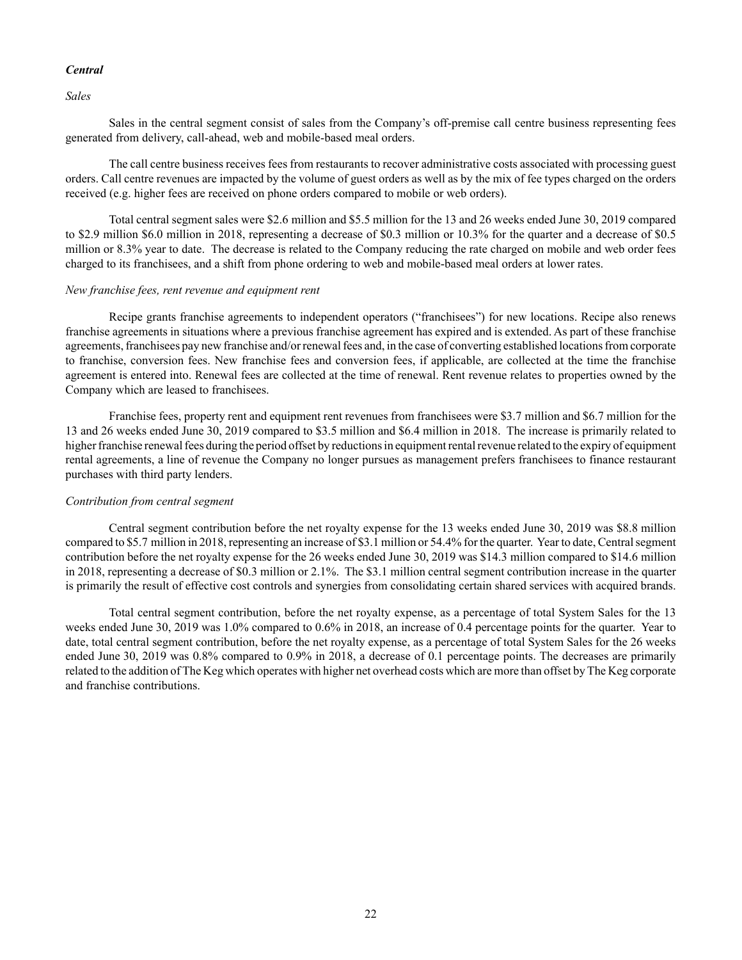# *Central*

*Sales*

Sales in the central segment consist of sales from the Company's off-premise call centre business representing fees generated from delivery, call-ahead, web and mobile-based meal orders.

The call centre business receives fees from restaurants to recover administrative costs associated with processing guest orders. Call centre revenues are impacted by the volume of guest orders as well as by the mix of fee types charged on the orders received (e.g. higher fees are received on phone orders compared to mobile or web orders).

Total central segment sales were \$2.6 million and \$5.5 million for the 13 and 26 weeks ended June 30, 2019 compared to \$2.9 million \$6.0 million in 2018, representing a decrease of \$0.3 million or 10.3% for the quarter and a decrease of \$0.5 million or 8.3% year to date. The decrease is related to the Company reducing the rate charged on mobile and web order fees charged to its franchisees, and a shift from phone ordering to web and mobile-based meal orders at lower rates.

# *New franchise fees, rent revenue and equipment rent*

Recipe grants franchise agreements to independent operators ("franchisees") for new locations. Recipe also renews franchise agreements in situations where a previous franchise agreement has expired and is extended. As part of these franchise agreements, franchisees pay new franchise and/or renewal fees and, in the case of converting established locations from corporate to franchise, conversion fees. New franchise fees and conversion fees, if applicable, are collected at the time the franchise agreement is entered into. Renewal fees are collected at the time of renewal. Rent revenue relates to properties owned by the Company which are leased to franchisees.

Franchise fees, property rent and equipment rent revenues from franchisees were \$3.7 million and \$6.7 million for the 13 and 26 weeks ended June 30, 2019 compared to \$3.5 million and \$6.4 million in 2018. The increase is primarily related to higher franchise renewal fees during the period offset by reductions in equipment rental revenue related to the expiry of equipment rental agreements, a line of revenue the Company no longer pursues as management prefers franchisees to finance restaurant purchases with third party lenders.

# *Contribution from central segment*

Central segment contribution before the net royalty expense for the 13 weeks ended June 30, 2019 was \$8.8 million compared to \$5.7 million in 2018, representing an increase of \$3.1 million or 54.4% for the quarter. Year to date, Central segment contribution before the net royalty expense for the 26 weeks ended June 30, 2019 was \$14.3 million compared to \$14.6 million in 2018, representing a decrease of \$0.3 million or 2.1%. The \$3.1 million central segment contribution increase in the quarter is primarily the result of effective cost controls and synergies from consolidating certain shared services with acquired brands.

Total central segment contribution, before the net royalty expense, as a percentage of total System Sales for the 13 weeks ended June 30, 2019 was 1.0% compared to 0.6% in 2018, an increase of 0.4 percentage points for the quarter. Year to date, total central segment contribution, before the net royalty expense, as a percentage of total System Sales for the 26 weeks ended June 30, 2019 was 0.8% compared to 0.9% in 2018, a decrease of 0.1 percentage points. The decreases are primarily related to the addition of The Keg which operates with higher net overhead costs which are more than offset by The Keg corporate and franchise contributions.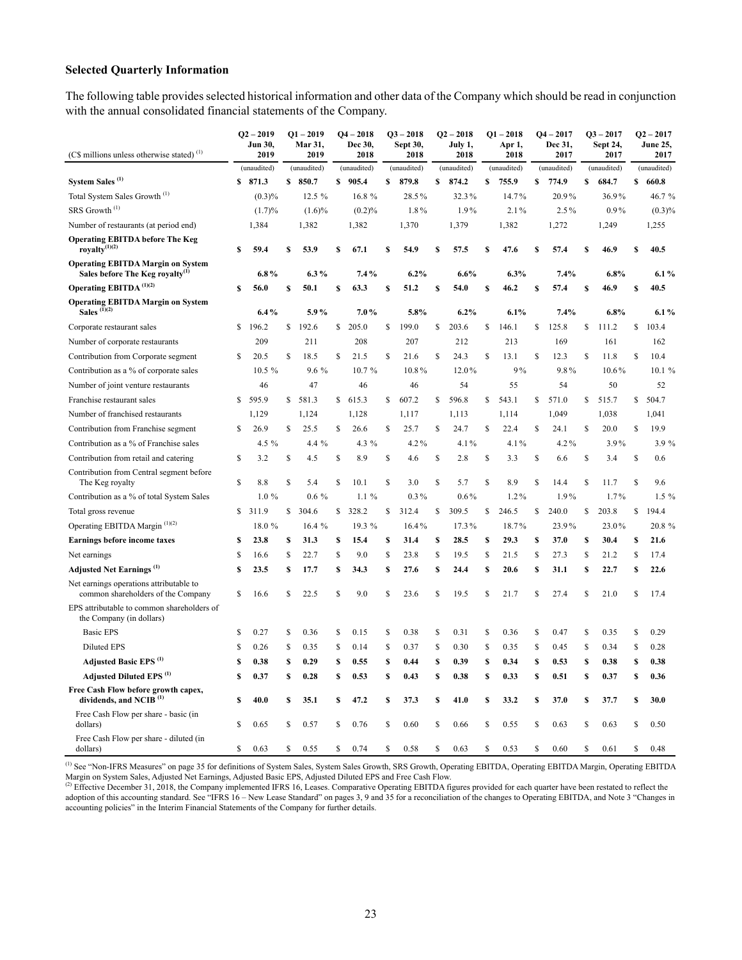# **Selected Quarterly Information**

The following table provides selected historical information and other data of the Company which should be read in conjunction with the annual consolidated financial statements of the Company.

| (C\$ millions unless otherwise stated) <sup>(1)</sup>                                   |    | $Q2 - 2019$<br>Jun 30,<br>2019 |    | $Q1 - 2019$<br>Mar 31,<br>2019 |              | $Q4 - 2018$<br>Dec 30,<br>2018 |    | $Q3 - 2018$<br>Sept 30,<br>2018 |             | $Q2 - 2018$<br>July 1,<br>2018 |    | $Q1 - 2018$<br>Apr 1,<br>2018 |    | $Q4 - 2017$<br>Dec 31,<br>2017 |    | $Q3 - 2017$<br>Sept 24,<br>2017 |    | $Q2 - 2017$<br><b>June 25,</b><br>2017 |
|-----------------------------------------------------------------------------------------|----|--------------------------------|----|--------------------------------|--------------|--------------------------------|----|---------------------------------|-------------|--------------------------------|----|-------------------------------|----|--------------------------------|----|---------------------------------|----|----------------------------------------|
|                                                                                         |    | (unaudited)                    |    | (unaudited)                    |              | (unaudited)                    |    | (unaudited)                     |             | (unaudited)                    |    | (unaudited)                   |    | (unaudited)                    |    | (unaudited)                     |    | (unaudited)                            |
| System Sales <sup>(1)</sup>                                                             |    | \$871.3                        |    | \$850.7                        |              | \$905.4                        | S  | 879.8                           | \$          | 874.2                          | \$ | 755.9                         | \$ | 774.9                          | \$ | 684.7                           |    | \$660.8                                |
| Total System Sales Growth <sup>(1)</sup>                                                |    | (0.3)%                         |    | 12.5 %                         |              | 16.8 %                         |    | 28.5%                           |             | 32.3%                          |    | 14.7%                         |    | 20.9%                          |    | 36.9%                           |    | 46.7 %                                 |
| SRS Growth <sup>(1)</sup>                                                               |    | (1.7)%                         |    | $(1.6)\%$                      |              | (0.2)%                         |    | 1.8%                            |             | 1.9%                           |    | 2.1%                          |    | 2.5%                           |    | $0.9\%$                         |    | (0.3)%                                 |
| Number of restaurants (at period end)                                                   |    | 1,384                          |    | 1,382                          |              | 1,382                          |    | 1,370                           |             | 1,379                          |    | 1,382                         |    | 1,272                          |    | 1,249                           |    | 1,255                                  |
| <b>Operating EBITDA before The Keg</b><br>royalty $(1)(2)$                              | S  | 59.4                           | S  | 53.9                           | S            | 67.1                           | S  | 54.9                            | S           | 57.5                           | S  | 47.6                          | S  | 57.4                           | S  | 46.9                            | S  | 40.5                                   |
| <b>Operating EBITDA Margin on System</b><br>Sales before The Keg royalty <sup>(1)</sup> |    | $6.8\%$                        |    | $6.3\%$                        |              | 7.4%                           |    | 6.2%                            |             | 6.6%                           |    | 6.3%                          |    | 7.4%                           |    | 6.8%                            |    | 6.1%                                   |
| Operating EBITDA <sup>(1)(2)</sup>                                                      | \$ | 56.0                           | \$ | 50.1                           | \$           | 63.3                           | S  | 51.2                            | \$          | 54.0                           | \$ | 46.2                          | \$ | 57.4                           | \$ | 46.9                            | \$ | 40.5                                   |
| <b>Operating EBITDA Margin on System</b><br>Sales $(\check{I})^{(2)}$                   |    | $6.4\%$                        |    | 5.9%                           |              | 7.0%                           |    | 5.8%                            |             | 6.2%                           |    | 6.1%                          |    | 7.4%                           |    | 6.8%                            |    | 6.1%                                   |
| Corporate restaurant sales                                                              | \$ | 196.2                          | \$ | 192.6                          | \$           | 205.0                          | \$ | 199.0                           | \$          | 203.6                          | \$ | 146.1                         | \$ | 125.8                          | \$ | 111.2                           | \$ | 103.4                                  |
| Number of corporate restaurants                                                         |    | 209                            |    | 211                            |              | 208                            |    | 207                             |             | 212                            |    | 213                           |    | 169                            |    | 161                             |    | 162                                    |
| Contribution from Corporate segment                                                     | S  | 20.5                           | \$ | 18.5                           | \$           | 21.5                           | \$ | 21.6                            | \$          | 24.3                           | \$ | 13.1                          | S  | 12.3                           | S  | 11.8                            | \$ | 10.4                                   |
| Contribution as a % of corporate sales                                                  |    | 10.5 %                         |    | 9.6 %                          |              | 10.7%                          |    | 10.8%                           |             | 12.0%                          |    | 9%                            |    | 9.8%                           |    | $10.6\%$                        |    | 10.1 %                                 |
| Number of joint venture restaurants                                                     |    | 46                             |    | 47                             |              | 46                             |    | 46                              |             | 54                             |    | 55                            |    | 54                             |    | 50                              |    | 52                                     |
| Franchise restaurant sales                                                              | S. | 595.9                          |    | \$581.3                        |              | \$615.3                        | S  | 607.2                           | S.          | 596.8                          | \$ | 543.1                         | \$ | 571.0                          | \$ | 515.7                           |    | \$504.7                                |
| Number of franchised restaurants                                                        |    | 1,129                          |    | 1,124                          |              | 1,128                          |    | 1,117                           |             | 1,113                          |    | 1,114                         |    | 1,049                          |    | 1,038                           |    | 1,041                                  |
| Contribution from Franchise segment                                                     | \$ | 26.9                           | \$ | 25.5                           | \$           | 26.6                           | \$ | 25.7                            | \$          | 24.7                           | \$ | 22.4                          | \$ | 24.1                           | \$ | 20.0                            | \$ | 19.9                                   |
| Contribution as a % of Franchise sales                                                  |    | 4.5 $%$                        |    | 4.4 %                          |              | 4.3 %                          |    | 4.2%                            |             | 4.1%                           |    | 4.1%                          |    | 4.2%                           |    | 3.9%                            |    | 3.9%                                   |
| Contribution from retail and catering                                                   | \$ | 3.2                            | \$ | 4.5                            | \$           | 8.9                            | \$ | 4.6                             | \$          | 2.8                            | \$ | 3.3                           | \$ | 6.6                            | \$ | 3.4                             | \$ | 0.6                                    |
| Contribution from Central segment before<br>The Keg royalty                             | S  | 8.8                            | \$ | 5.4                            | \$           | 10.1                           | \$ | 3.0                             | S           | 5.7                            | \$ | 8.9                           | \$ | 14.4                           | S  | 11.7                            | \$ | 9.6                                    |
| Contribution as a % of total System Sales                                               |    | $1.0\%$                        |    | $0.6\%$                        |              | $1.1\%$                        |    | $0.3\%$                         |             | $0.6\%$                        |    | $1.2\%$                       |    | 1.9%                           |    | $1.7\%$                         |    | $1.5\%$                                |
| Total gross revenue                                                                     | S  | 311.9                          | \$ | 304.6                          | $\mathbb{S}$ | 328.2                          | S  | 312.4                           | S           | 309.5                          | \$ | 246.5                         | \$ | 240.0                          | \$ | 203.8                           | \$ | 194.4                                  |
| Operating EBITDA Margin <sup>(1)(2)</sup>                                               |    | 18.0 %                         |    | 16.4%                          |              | 19.3%                          |    | 16.4%                           |             | $17.3\%$                       |    | 18.7%                         |    | 23.9%                          |    | 23.0%                           |    | 20.8%                                  |
| <b>Earnings before income taxes</b>                                                     | \$ | 23.8                           | \$ | 31.3                           | S            | 15.4                           | \$ | 31.4                            | \$          | 28.5                           | \$ | 29.3                          | \$ | 37.0                           | \$ | 30.4                            | \$ | 21.6                                   |
| Net earnings                                                                            | \$ | 16.6                           | \$ | 22.7                           | \$           | 9.0                            | \$ | 23.8                            | S           | 19.5                           | \$ | 21.5                          | \$ | 27.3                           | \$ | 21.2                            | \$ | 17.4                                   |
| <b>Adjusted Net Earnings</b> <sup>(1)</sup>                                             | \$ | 23.5                           | \$ | 17.7                           | s            | 34.3                           | S  | 27.6                            | S           | 24.4                           | \$ | 20.6                          | \$ | 31.1                           | \$ | 22.7                            | \$ | 22.6                                   |
| Net earnings operations attributable to<br>common shareholders of the Company           | \$ | 16.6                           | \$ | 22.5                           | \$           | 9.0                            | \$ | 23.6                            | \$          | 19.5                           | \$ | 21.7                          | S  | 27.4                           | \$ | 21.0                            | \$ | 17.4                                   |
| EPS attributable to common shareholders of<br>the Company (in dollars)                  |    |                                |    |                                |              |                                |    |                                 |             |                                |    |                               |    |                                |    |                                 |    |                                        |
| <b>Basic EPS</b>                                                                        | \$ | 0.27                           | \$ | 0.36                           | \$           | 0.15                           | \$ | 0.38                            | \$          | 0.31                           | \$ | 0.36                          | \$ | 0.47                           | \$ | 0.35                            | \$ | 0.29                                   |
| <b>Diluted EPS</b>                                                                      | \$ | 0.26                           | \$ | 0.35                           | \$           | 0.14                           | \$ | 0.37                            | \$          | 0.30                           | \$ | 0.35                          | \$ | 0.45                           | \$ | 0.34                            | \$ | 0.28                                   |
| Adjusted Basic EPS <sup>(1)</sup>                                                       | S  | 0.38                           | S  | 0.29                           | S            | 0.55                           | S  | 0.44                            | S           | 0.39                           | S  | 0.34                          | S  | 0.53                           | \$ | 0.38                            | \$ | 0.38                                   |
| Adjusted Diluted EPS <sup>(1)</sup>                                                     | S  | 0.37                           | \$ | 0.28                           | S            | 0.53                           | S  | 0.43                            | S           | 0.38                           | \$ | 0.33                          | \$ | 0.51                           | \$ | 0.37                            | S  | 0.36                                   |
| Free Cash Flow before growth capex,<br>dividends, and NCIB <sup>(1)</sup>               | S  | 40.0                           | \$ | 35.1                           | s            | 47.2                           | \$ | 37.3                            | \$          | 41.0                           | \$ | 33.2                          | \$ | 37.0                           | \$ | 37.7                            | \$ | 30.0                                   |
| Free Cash Flow per share - basic (in<br>dollars)                                        | S  | 0.65                           | S  | 0.57                           | S            | 0.76                           | S  | 0.60                            | S           | 0.66                           | S  | 0.55                          | \$ | 0.63                           | S  | 0.63                            | S  | 0.50                                   |
| Free Cash Flow per share - diluted (in<br>dollars)                                      | S  | 0.63                           | S  | 0.55                           | $\mathbf S$  | 0.74                           | Ś  | 0.58                            | $\mathbf S$ | 0.63                           | \$ | 0.53                          | \$ | 0.60                           | \$ | 0.61                            | \$ | 0.48                                   |

(1) See "Non-IFRS Measures" on page 35 for definitions of System Sales, System Sales Growth, SRS Growth, Operating EBITDA, Operating EBITDA Margin, Operating EBITDA Margin on System Sales, Adjusted Net Earnings, Adjusted Basic EPS, Adjusted Diluted EPS and Free Cash Flow.<br><sup>(2)</sup> Effective December 31, 2018, the Company implemented IFRS 16, Leases. Comparative Operating EBITDA figures p

adoption of this accounting standard. See "IFRS 16 – New Lease Standard" on pages 3, 9 and 35 for a reconciliation of the changes to Operating EBITDA, and Note 3 "Changes in accounting policies" in the Interim Financial Statements of the Company for further details.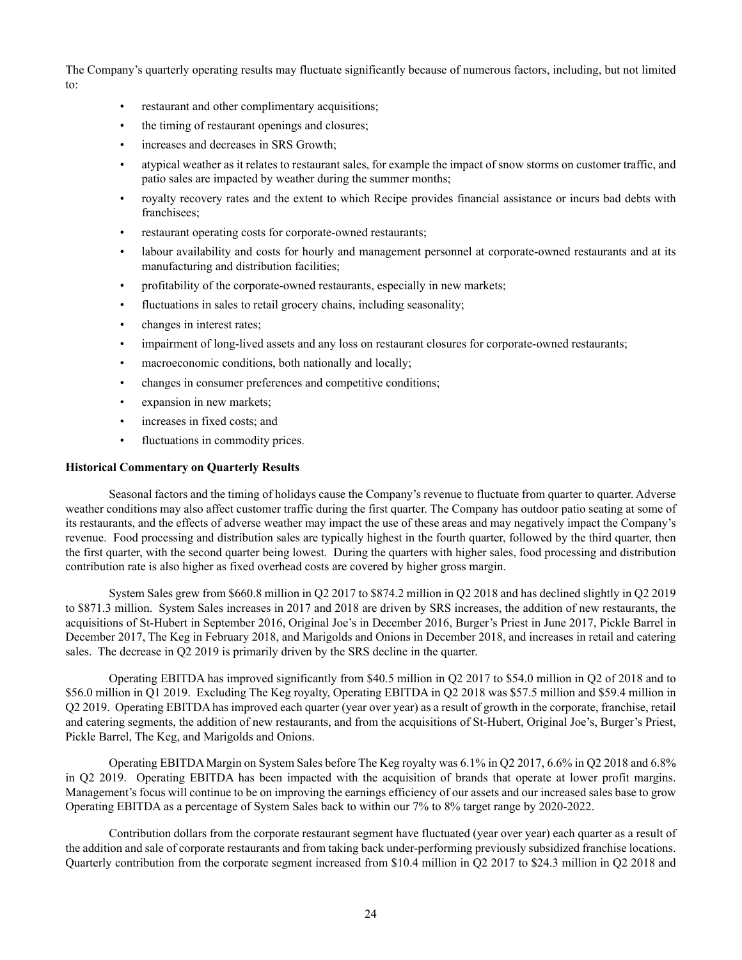The Company's quarterly operating results may fluctuate significantly because of numerous factors, including, but not limited to:

- restaurant and other complimentary acquisitions;
- the timing of restaurant openings and closures;
- increases and decreases in SRS Growth;
- atypical weather as it relates to restaurant sales, for example the impact of snow storms on customer traffic, and patio sales are impacted by weather during the summer months;
- royalty recovery rates and the extent to which Recipe provides financial assistance or incurs bad debts with franchisees;
- restaurant operating costs for corporate-owned restaurants;
- labour availability and costs for hourly and management personnel at corporate-owned restaurants and at its manufacturing and distribution facilities;
- profitability of the corporate-owned restaurants, especially in new markets;
- fluctuations in sales to retail grocery chains, including seasonality;
- changes in interest rates;
- impairment of long-lived assets and any loss on restaurant closures for corporate-owned restaurants;
- macroeconomic conditions, both nationally and locally;
- changes in consumer preferences and competitive conditions;
- expansion in new markets;
- increases in fixed costs; and
- fluctuations in commodity prices.

## **Historical Commentary on Quarterly Results**

Seasonal factors and the timing of holidays cause the Company's revenue to fluctuate from quarter to quarter. Adverse weather conditions may also affect customer traffic during the first quarter. The Company has outdoor patio seating at some of its restaurants, and the effects of adverse weather may impact the use of these areas and may negatively impact the Company's revenue. Food processing and distribution sales are typically highest in the fourth quarter, followed by the third quarter, then the first quarter, with the second quarter being lowest. During the quarters with higher sales, food processing and distribution contribution rate is also higher as fixed overhead costs are covered by higher gross margin.

System Sales grew from \$660.8 million in Q2 2017 to \$874.2 million in Q2 2018 and has declined slightly in Q2 2019 to \$871.3 million. System Sales increases in 2017 and 2018 are driven by SRS increases, the addition of new restaurants, the acquisitions of St-Hubert in September 2016, Original Joe's in December 2016, Burger's Priest in June 2017, Pickle Barrel in December 2017, The Keg in February 2018, and Marigolds and Onions in December 2018, and increases in retail and catering sales. The decrease in Q2 2019 is primarily driven by the SRS decline in the quarter.

Operating EBITDA has improved significantly from \$40.5 million in Q2 2017 to \$54.0 million in Q2 of 2018 and to \$56.0 million in Q1 2019. Excluding The Keg royalty, Operating EBITDA in Q2 2018 was \$57.5 million and \$59.4 million in Q2 2019. Operating EBITDA has improved each quarter (year over year) as a result of growth in the corporate, franchise, retail and catering segments, the addition of new restaurants, and from the acquisitions of St-Hubert, Original Joe's, Burger's Priest, Pickle Barrel, The Keg, and Marigolds and Onions.

Operating EBITDA Margin on System Sales before The Keg royalty was 6.1% in Q2 2017, 6.6% in Q2 2018 and 6.8% in Q2 2019. Operating EBITDA has been impacted with the acquisition of brands that operate at lower profit margins. Management's focus will continue to be on improving the earnings efficiency of our assets and our increased sales base to grow Operating EBITDA as a percentage of System Sales back to within our 7% to 8% target range by 2020-2022.

Contribution dollars from the corporate restaurant segment have fluctuated (year over year) each quarter as a result of the addition and sale of corporate restaurants and from taking back under-performing previously subsidized franchise locations. Quarterly contribution from the corporate segment increased from \$10.4 million in Q2 2017 to \$24.3 million in Q2 2018 and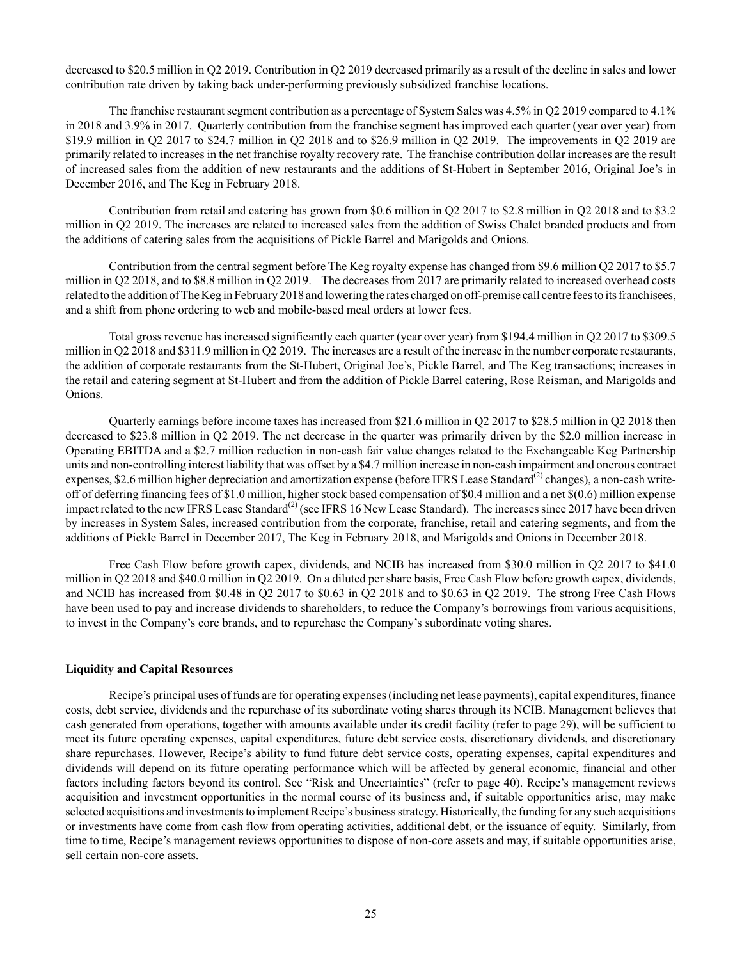decreased to \$20.5 million in Q2 2019. Contribution in Q2 2019 decreased primarily as a result of the decline in sales and lower contribution rate driven by taking back under-performing previously subsidized franchise locations.

The franchise restaurant segment contribution as a percentage of System Sales was 4.5% in Q2 2019 compared to 4.1% in 2018 and 3.9% in 2017. Quarterly contribution from the franchise segment has improved each quarter (year over year) from \$19.9 million in Q2 2017 to \$24.7 million in Q2 2018 and to \$26.9 million in Q2 2019. The improvements in Q2 2019 are primarily related to increases in the net franchise royalty recovery rate. The franchise contribution dollar increases are the result of increased sales from the addition of new restaurants and the additions of St-Hubert in September 2016, Original Joe's in December 2016, and The Keg in February 2018.

Contribution from retail and catering has grown from \$0.6 million in Q2 2017 to \$2.8 million in Q2 2018 and to \$3.2 million in Q2 2019. The increases are related to increased sales from the addition of Swiss Chalet branded products and from the additions of catering sales from the acquisitions of Pickle Barrel and Marigolds and Onions.

Contribution from the central segment before The Keg royalty expense has changed from \$9.6 million Q2 2017 to \$5.7 million in Q2 2018, and to \$8.8 million in Q2 2019. The decreases from 2017 are primarily related to increased overhead costs related to the addition of The Keg in February 2018 and lowering the rates charged on off-premise call centre fees to its franchisees, and a shift from phone ordering to web and mobile-based meal orders at lower fees.

Total gross revenue has increased significantly each quarter (year over year) from \$194.4 million in Q2 2017 to \$309.5 million in Q2 2018 and \$311.9 million in Q2 2019. The increases are a result of the increase in the number corporate restaurants, the addition of corporate restaurants from the St-Hubert, Original Joe's, Pickle Barrel, and The Keg transactions; increases in the retail and catering segment at St-Hubert and from the addition of Pickle Barrel catering, Rose Reisman, and Marigolds and Onions.

Quarterly earnings before income taxes has increased from \$21.6 million in Q2 2017 to \$28.5 million in Q2 2018 then decreased to \$23.8 million in Q2 2019. The net decrease in the quarter was primarily driven by the \$2.0 million increase in Operating EBITDA and a \$2.7 million reduction in non-cash fair value changes related to the Exchangeable Keg Partnership units and non-controlling interest liability that was offset by a \$4.7 million increase in non-cash impairment and onerous contract expenses, \$2.6 million higher depreciation and amortization expense (before IFRS Lease Standard<sup>(2)</sup> changes), a non-cash writeoff of deferring financing fees of \$1.0 million, higher stock based compensation of \$0.4 million and a net \$(0.6) million expense impact related to the new IFRS Lease Standard<sup>(2)</sup> (see IFRS 16 New Lease Standard). The increases since 2017 have been driven by increases in System Sales, increased contribution from the corporate, franchise, retail and catering segments, and from the additions of Pickle Barrel in December 2017, The Keg in February 2018, and Marigolds and Onions in December 2018.

Free Cash Flow before growth capex, dividends, and NCIB has increased from \$30.0 million in Q2 2017 to \$41.0 million in Q2 2018 and \$40.0 million in Q2 2019. On a diluted per share basis, Free Cash Flow before growth capex, dividends, and NCIB has increased from \$0.48 in Q2 2017 to \$0.63 in Q2 2018 and to \$0.63 in Q2 2019. The strong Free Cash Flows have been used to pay and increase dividends to shareholders, to reduce the Company's borrowings from various acquisitions, to invest in the Company's core brands, and to repurchase the Company's subordinate voting shares.

## **Liquidity and Capital Resources**

Recipe's principal uses of funds are for operating expenses (including net lease payments), capital expenditures, finance costs, debt service, dividends and the repurchase of its subordinate voting shares through its NCIB. Management believes that cash generated from operations, together with amounts available under its credit facility (refer to page 29), will be sufficient to meet its future operating expenses, capital expenditures, future debt service costs, discretionary dividends, and discretionary share repurchases. However, Recipe's ability to fund future debt service costs, operating expenses, capital expenditures and dividends will depend on its future operating performance which will be affected by general economic, financial and other factors including factors beyond its control. See "Risk and Uncertainties" (refer to page 40). Recipe's management reviews acquisition and investment opportunities in the normal course of its business and, if suitable opportunities arise, may make selected acquisitions and investments to implement Recipe's business strategy. Historically, the funding for any such acquisitions or investments have come from cash flow from operating activities, additional debt, or the issuance of equity. Similarly, from time to time, Recipe's management reviews opportunities to dispose of non-core assets and may, if suitable opportunities arise, sell certain non-core assets.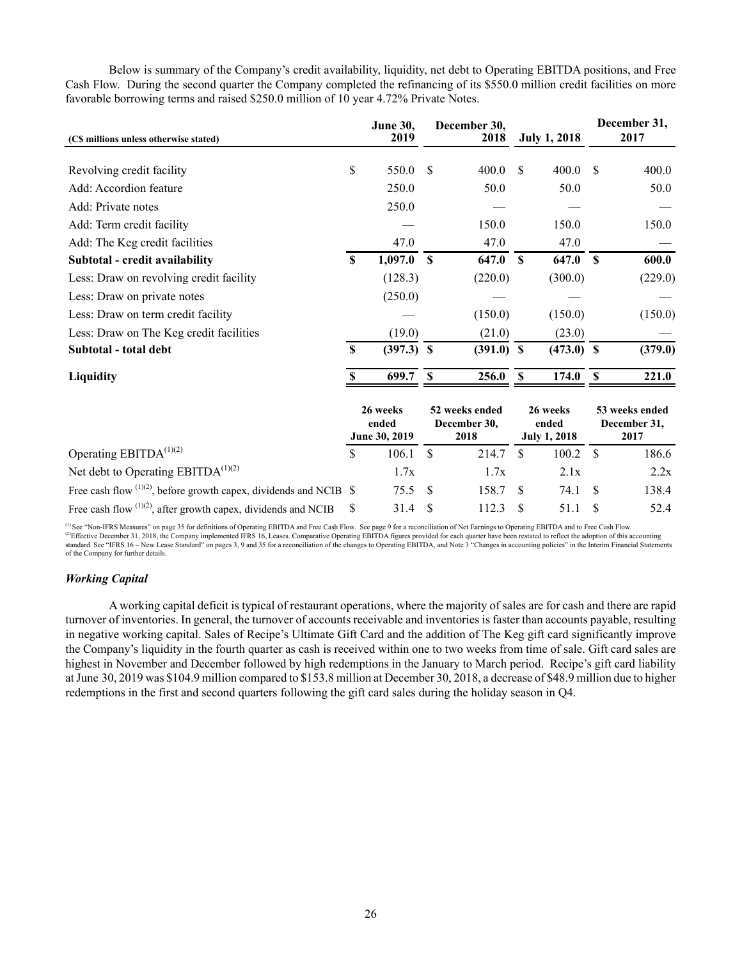Below is summary of the Company's credit availability, liquidity, net debt to Operating EBITDA positions, and Free Cash Flow. During the second quarter the Company completed the refinancing of its \$550.0 million credit facilities on more favorable borrowing terms and raised \$250.0 million of 10 year 4.72% Private Notes.

| (C\$ millions unless otherwise stated)                                  |             | <b>June 30,</b><br>2019            |             | December 30,<br>2018                   |          | <b>July 1, 2018</b>                      |             | December 31,<br>2017                   |
|-------------------------------------------------------------------------|-------------|------------------------------------|-------------|----------------------------------------|----------|------------------------------------------|-------------|----------------------------------------|
| Revolving credit facility                                               | \$          | 550.0                              | \$          | 400.0                                  | \$       | 400.0                                    | \$          | 400.0                                  |
| Add: Accordion feature                                                  |             | 250.0                              |             | 50.0                                   |          | 50.0                                     |             | 50.0                                   |
| Add: Private notes                                                      |             | 250.0                              |             |                                        |          |                                          |             |                                        |
| Add: Term credit facility                                               |             |                                    |             | 150.0                                  |          | 150.0                                    |             | 150.0                                  |
| Add: The Keg credit facilities                                          |             | 47.0                               |             | 47.0                                   |          | 47.0                                     |             |                                        |
| Subtotal - credit availability                                          | S           | 1,097.0                            | $\mathbf s$ | 647.0                                  | <b>S</b> | 647.0                                    | <b>S</b>    | 600.0                                  |
| Less: Draw on revolving credit facility                                 |             | (128.3)                            |             | (220.0)                                |          | (300.0)                                  |             | (229.0)                                |
| Less: Draw on private notes                                             |             | (250.0)                            |             |                                        |          |                                          |             |                                        |
| Less: Draw on term credit facility                                      |             |                                    |             | (150.0)                                |          | (150.0)                                  |             | (150.0)                                |
| Less: Draw on The Keg credit facilities                                 |             | (19.0)                             |             | (21.0)                                 |          | (23.0)                                   |             |                                        |
| Subtotal - total debt                                                   | $\mathbf S$ | $(397.3)$ \$                       |             | $(391.0)$ \$                           |          | $(473.0)$ \$                             |             | (379.0)                                |
| Liquidity                                                               |             | 699.7                              | \$          | 256.0                                  | <b>S</b> | 174.0                                    | <b>S</b>    | 221.0                                  |
|                                                                         |             | 26 weeks<br>ended<br>June 30, 2019 |             | 52 weeks ended<br>December 30,<br>2018 |          | 26 weeks<br>ended<br><b>July 1, 2018</b> |             | 53 weeks ended<br>December 31,<br>2017 |
| Operating EBITDA <sup>(1)(2)</sup>                                      | \$          | 106.1                              | \$          | 214.7                                  | \$       | 100.2                                    | $\mathbf S$ | 186.6                                  |
| Net debt to Operating EBITD $A^{(1)(2)}$                                |             | 1.7x                               |             | 1.7x                                   |          | 2.1x                                     |             | 2.2x                                   |
| Free cash flow $^{(1)(2)}$ , before growth capex, dividends and NCIB \$ |             | 75.5                               | S           | 158.7                                  | \$       | 74.1                                     | \$.         | 138.4                                  |
| Free cash flow $^{(1)(2)}$ , after growth capex, dividends and NCIB     | \$          | 31.4                               | S           | 112.3                                  | S        | 51.1                                     | \$          | 52.4                                   |

<sup>(1)</sup> See "Non-IFRS Measures" on page 35 for definitions of Operating EBITDA and Free Cash Flow. See page 9 for a reconciliation of Net Earnings to Operating EBITDA and to Free Cash Flow.<br><sup>(2)</sup>Effective December 31, 2018, of the Company for further details.

# *Working Capital*

A working capital deficit is typical of restaurant operations, where the majority of sales are for cash and there are rapid turnover of inventories. In general, the turnover of accounts receivable and inventories is faster than accounts payable, resulting in negative working capital. Sales of Recipe's Ultimate Gift Card and the addition of The Keg gift card significantly improve the Company's liquidity in the fourth quarter as cash is received within one to two weeks from time of sale. Gift card sales are highest in November and December followed by high redemptions in the January to March period. Recipe's gift card liability at June 30, 2019 was \$104.9 million compared to \$153.8 million at December 30, 2018, a decrease of \$48.9 million due to higher redemptions in the first and second quarters following the gift card sales during the holiday season in Q4.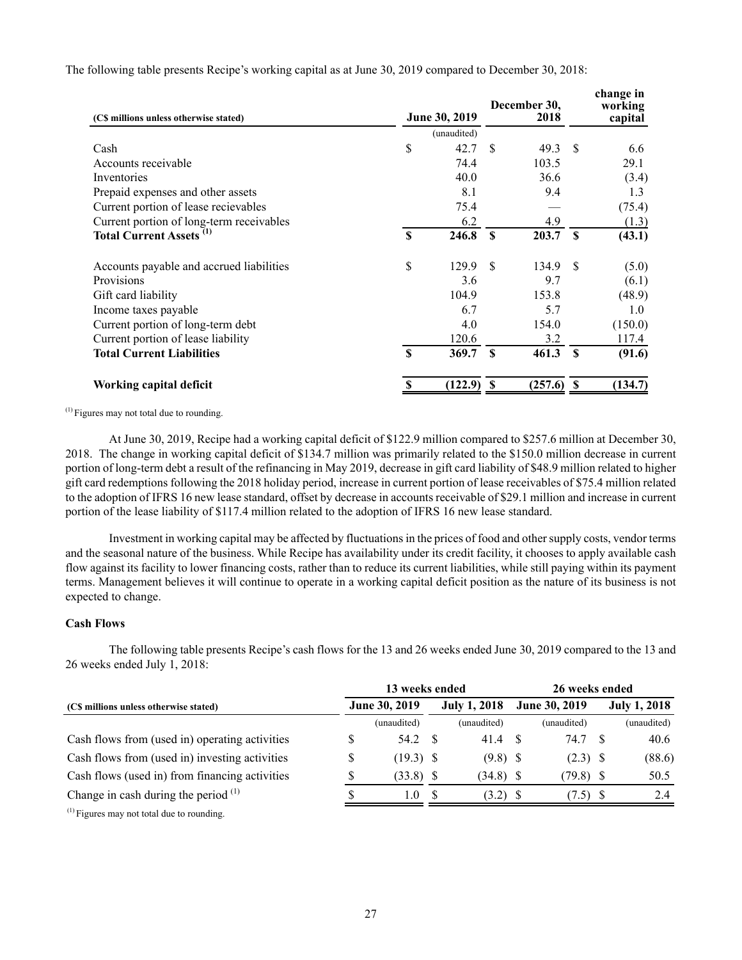| (C\$ millions unless otherwise stated)     | June 30, 2019 |             | December 30,<br>2018 |         | change in<br>working<br>capital |         |
|--------------------------------------------|---------------|-------------|----------------------|---------|---------------------------------|---------|
|                                            |               | (unaudited) |                      |         |                                 |         |
| Cash                                       | \$            | 42.7        | \$                   | 49.3    | <sup>\$</sup>                   | 6.6     |
| Accounts receivable                        |               | 74.4        |                      | 103.5   |                                 | 29.1    |
| Inventories                                |               | 40.0        |                      | 36.6    |                                 | (3.4)   |
| Prepaid expenses and other assets          |               | 8.1         |                      | 9.4     |                                 | 1.3     |
| Current portion of lease recievables       |               | 75.4        |                      |         |                                 | (75.4)  |
| Current portion of long-term receivables   |               | 6.2         |                      | 4.9     |                                 | (1.3)   |
| <b>Total Current Assets</b> <sup>(1)</sup> | <b>S</b>      | 246.8       | $\mathbf{s}$         | 203.7   | $\mathbf{s}$                    | (43.1)  |
| Accounts payable and accrued liabilities   | \$            | 129.9       | \$.                  | 134.9   | \$.                             | (5.0)   |
| Provisions                                 |               | 3.6         |                      | 9.7     |                                 | (6.1)   |
| Gift card liability                        |               | 104.9       |                      | 153.8   |                                 | (48.9)  |
| Income taxes payable                       |               | 6.7         |                      | 5.7     |                                 | 1.0     |
| Current portion of long-term debt          |               | 4.0         |                      | 154.0   |                                 | (150.0) |
| Current portion of lease liability         |               | 120.6       |                      | 3.2     |                                 | 117.4   |
| <b>Total Current Liabilities</b>           | <b>S</b>      | 369.7       | $\mathbf{s}$         | 461.3   | $\mathbf{s}$                    | (91.6)  |
| Working capital deficit                    | S             | (122.9)     | -S                   | (257.6) | \$                              | (134.7) |

The following table presents Recipe's working capital as at June 30, 2019 compared to December 30, 2018:

(1) Figures may not total due to rounding.

At June 30, 2019, Recipe had a working capital deficit of \$122.9 million compared to \$257.6 million at December 30, 2018. The change in working capital deficit of \$134.7 million was primarily related to the \$150.0 million decrease in current portion of long-term debt a result of the refinancing in May 2019, decrease in gift card liability of \$48.9 million related to higher gift card redemptions following the 2018 holiday period, increase in current portion of lease receivables of \$75.4 million related to the adoption of IFRS 16 new lease standard, offset by decrease in accounts receivable of \$29.1 million and increase in current portion of the lease liability of \$117.4 million related to the adoption of IFRS 16 new lease standard.

Investment in working capital may be affected by fluctuations in the prices of food and other supply costs, vendor terms and the seasonal nature of the business. While Recipe has availability under its credit facility, it chooses to apply available cash flow against its facility to lower financing costs, rather than to reduce its current liabilities, while still paying within its payment terms. Management believes it will continue to operate in a working capital deficit position as the nature of its business is not expected to change.

# **Cash Flows**

The following table presents Recipe's cash flows for the 13 and 26 weeks ended June 30, 2019 compared to the 13 and 26 weeks ended July 1, 2018:

|                                                 | 13 weeks ended |     | 26 weeks ended      |     |               |      |                     |  |  |
|-------------------------------------------------|----------------|-----|---------------------|-----|---------------|------|---------------------|--|--|
| (C\$ millions unless otherwise stated)          | June 30, 2019  |     | <b>July 1, 2018</b> |     | June 30, 2019 |      | <b>July 1, 2018</b> |  |  |
|                                                 | (unaudited)    |     | (unaudited)         |     | (unaudited)   |      | (unaudited)         |  |  |
| Cash flows from (used in) operating activities  | 54.2           | - S | 41.4                |     | 74.7          | - \$ | 40.6                |  |  |
| Cash flows from (used in) investing activities  | $(19.3)$ \$    |     | $(9.8)$ \$          |     | $(2.3)$ \$    |      | (88.6)              |  |  |
| Cash flows (used in) from financing activities  | (33.8)         | - S | $(34.8)$ \$         |     | $(79.8)$ \$   |      | 50.5                |  |  |
| Change in cash during the period $(1)$          | 1.0            | £.  | (3.2)               | - S | $(7.5)$ \$    |      | 2.4                 |  |  |
| $^{(1)}$ Figures may not total due to rounding. |                |     |                     |     |               |      |                     |  |  |

27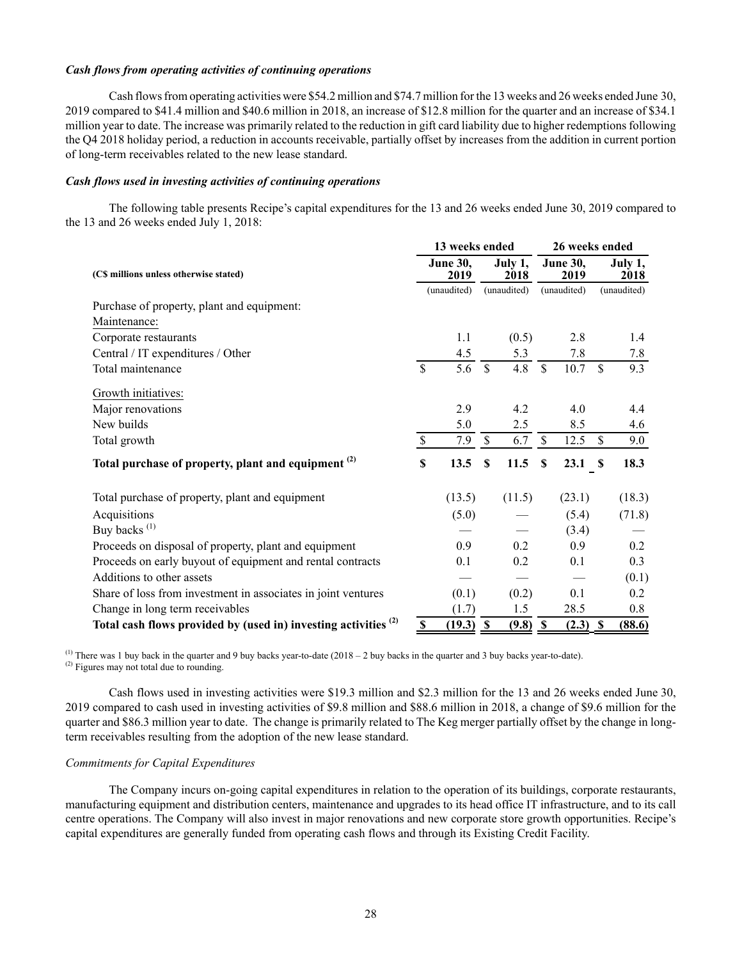### *Cash flows from operating activities of continuing operations*

Cash flows from operating activities were \$54.2 million and \$74.7 million for the 13 weeks and 26 weeks ended June 30, 2019 compared to \$41.4 million and \$40.6 million in 2018, an increase of \$12.8 million for the quarter and an increase of \$34.1 million year to date. The increase was primarily related to the reduction in gift card liability due to higher redemptions following the Q4 2018 holiday period, a reduction in accounts receivable, partially offset by increases from the addition in current portion of long-term receivables related to the new lease standard.

### *Cash flows used in investing activities of continuing operations*

The following table presents Recipe's capital expenditures for the 13 and 26 weeks ended June 30, 2019 compared to the 13 and 26 weeks ended July 1, 2018:

|                                                                            |                        | 13 weeks ended          |                           |                 | 26 weeks ended |                         |               |                 |  |
|----------------------------------------------------------------------------|------------------------|-------------------------|---------------------------|-----------------|----------------|-------------------------|---------------|-----------------|--|
| (CS millions unless otherwise stated)                                      |                        | <b>June 30,</b><br>2019 |                           | July 1,<br>2018 |                | <b>June 30,</b><br>2019 |               | July 1,<br>2018 |  |
|                                                                            |                        | (unaudited)             |                           | (unaudited)     |                | (unaudited)             |               | (unaudited)     |  |
| Purchase of property, plant and equipment:                                 |                        |                         |                           |                 |                |                         |               |                 |  |
| Maintenance:                                                               |                        |                         |                           |                 |                |                         |               |                 |  |
| Corporate restaurants                                                      |                        | 1.1                     |                           | (0.5)           |                | 2.8                     |               | 1.4             |  |
| Central / IT expenditures / Other                                          |                        | 4.5                     |                           | 5.3             |                | 7.8                     |               | 7.8             |  |
| Total maintenance                                                          | $\mathcal{S}$          | 5.6                     | $\mathbf{\hat{S}}$        | 4.8             | $\mathcal{S}$  | 10.7                    | $\mathsf{\$}$ | 9.3             |  |
| Growth initiatives:                                                        |                        |                         |                           |                 |                |                         |               |                 |  |
| Major renovations                                                          |                        | 2.9                     |                           | 4.2             |                | 4.0                     |               | 4.4             |  |
| New builds                                                                 |                        | 5.0                     |                           | 2.5             |                | 8.5                     |               | 4.6             |  |
| Total growth                                                               | \$                     | 7.9                     | $\mathbf{\hat{S}}$        | 6.7             | \$             | 12.5                    | \$            | 9.0             |  |
| Total purchase of property, plant and equipment <sup>(2)</sup>             | \$                     | 13.5                    | S                         | 11.5            | S              | 23.1                    | $\mathbf s$   | 18.3            |  |
| Total purchase of property, plant and equipment                            |                        | (13.5)                  |                           | (11.5)          |                | (23.1)                  |               | (18.3)          |  |
| Acquisitions                                                               |                        | (5.0)                   |                           |                 |                | (5.4)                   |               | (71.8)          |  |
| Buy backs <sup>(1)</sup>                                                   |                        |                         |                           |                 |                | (3.4)                   |               |                 |  |
| Proceeds on disposal of property, plant and equipment                      |                        | 0.9                     |                           | 0.2             |                | 0.9                     |               | 0.2             |  |
| Proceeds on early buyout of equipment and rental contracts                 |                        | 0.1                     |                           | 0.2             |                | 0.1                     |               | 0.3             |  |
| Additions to other assets                                                  |                        |                         |                           |                 |                |                         |               | (0.1)           |  |
| Share of loss from investment in associates in joint ventures              |                        | (0.1)                   |                           | (0.2)           |                | 0.1                     |               | 0.2             |  |
| Change in long term receivables                                            |                        | (1.7)                   |                           | 1.5             |                | 28.5                    |               | 0.8             |  |
| Total cash flows provided by (used in) investing activities <sup>(2)</sup> | $\frac{\mathbb{S}}{2}$ | (19.3)                  | $\boldsymbol{\mathsf{s}}$ | (9.8)           | $\mathbf{s}$   | $(2.3)$ \$              |               | (88.6)          |  |

<sup>(1)</sup> There was 1 buy back in the quarter and 9 buy backs year-to-date (2018 – 2 buy backs in the quarter and 3 buy backs year-to-date). (2) Figures may not total due to rounding.

Cash flows used in investing activities were \$19.3 million and \$2.3 million for the 13 and 26 weeks ended June 30, 2019 compared to cash used in investing activities of \$9.8 million and \$88.6 million in 2018, a change of \$9.6 million for the quarter and \$86.3 million year to date. The change is primarily related to The Keg merger partially offset by the change in longterm receivables resulting from the adoption of the new lease standard.

## *Commitments for Capital Expenditures*

The Company incurs on–going capital expenditures in relation to the operation of its buildings, corporate restaurants, manufacturing equipment and distribution centers, maintenance and upgrades to its head office IT infrastructure, and to its call centre operations. The Company will also invest in major renovations and new corporate store growth opportunities. Recipe's capital expenditures are generally funded from operating cash flows and through its Existing Credit Facility.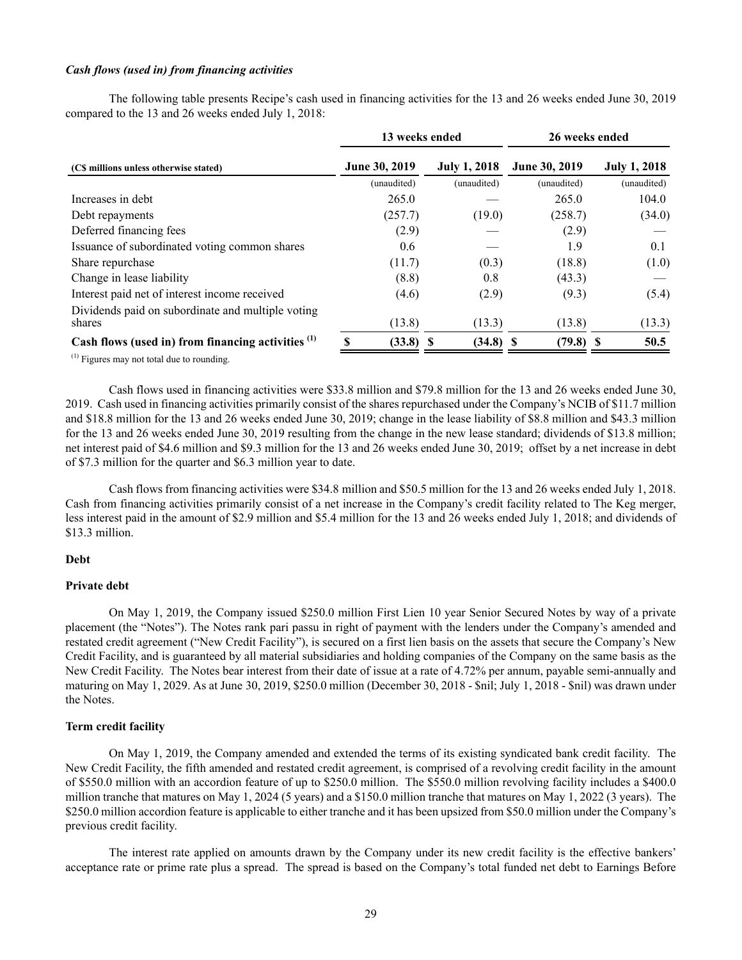### *Cash flows (used in) from financing activities*

The following table presents Recipe's cash used in financing activities for the 13 and 26 weeks ended June 30, 2019 compared to the 13 and 26 weeks ended July 1, 2018:

|                                                               | 13 weeks ended       |                     | 26 weeks ended       |                     |  |  |  |
|---------------------------------------------------------------|----------------------|---------------------|----------------------|---------------------|--|--|--|
| (C\$ millions unless otherwise stated)                        | <b>June 30, 2019</b> | <b>July 1, 2018</b> | <b>June 30, 2019</b> | <b>July 1, 2018</b> |  |  |  |
|                                                               | (unaudited)          | (unaudited)         | (unaudited)          | (unaudited)         |  |  |  |
| Increases in debt                                             | 265.0                |                     | 265.0                | 104.0               |  |  |  |
| Debt repayments                                               | (257.7)              | (19.0)              | (258.7)              | (34.0)              |  |  |  |
| Deferred financing fees                                       | (2.9)                |                     | (2.9)                |                     |  |  |  |
| Issuance of subordinated voting common shares                 | 0.6                  |                     | 1.9                  | 0.1                 |  |  |  |
| Share repurchase                                              | (11.7)               | (0.3)               | (18.8)               | (1.0)               |  |  |  |
| Change in lease liability                                     | (8.8)                | 0.8                 | (43.3)               |                     |  |  |  |
| Interest paid net of interest income received                 | (4.6)                | (2.9)               | (9.3)                | (5.4)               |  |  |  |
| Dividends paid on subordinate and multiple voting<br>shares   | (13.8)               | (13.3)              | (13.8)               | (13.3)              |  |  |  |
| Cash flows (used in) from financing activities <sup>(1)</sup> | $(33.8)$ \$          | (34.8)              | $(79.8)$ \$<br>-S    | 50.5                |  |  |  |

(1) Figures may not total due to rounding.

Cash flows used in financing activities were \$33.8 million and \$79.8 million for the 13 and 26 weeks ended June 30, 2019. Cash used in financing activities primarily consist of the shares repurchased under the Company's NCIB of \$11.7 million and \$18.8 million for the 13 and 26 weeks ended June 30, 2019; change in the lease liability of \$8.8 million and \$43.3 million for the 13 and 26 weeks ended June 30, 2019 resulting from the change in the new lease standard; dividends of \$13.8 million; net interest paid of \$4.6 million and \$9.3 million for the 13 and 26 weeks ended June 30, 2019; offset by a net increase in debt of \$7.3 million for the quarter and \$6.3 million year to date.

Cash flows from financing activities were \$34.8 million and \$50.5 million for the 13 and 26 weeks ended July 1, 2018. Cash from financing activities primarily consist of a net increase in the Company's credit facility related to The Keg merger, less interest paid in the amount of \$2.9 million and \$5.4 million for the 13 and 26 weeks ended July 1, 2018; and dividends of \$13.3 million.

#### **Debt**

### **Private debt**

On May 1, 2019, the Company issued \$250.0 million First Lien 10 year Senior Secured Notes by way of a private placement (the "Notes"). The Notes rank pari passu in right of payment with the lenders under the Company's amended and restated credit agreement ("New Credit Facility"), is secured on a first lien basis on the assets that secure the Company's New Credit Facility, and is guaranteed by all material subsidiaries and holding companies of the Company on the same basis as the New Credit Facility. The Notes bear interest from their date of issue at a rate of 4.72% per annum, payable semi-annually and maturing on May 1, 2029. As at June 30, 2019, \$250.0 million (December 30, 2018 - \$nil; July 1, 2018 - \$nil) was drawn under the Notes.

# **Term credit facility**

On May 1, 2019, the Company amended and extended the terms of its existing syndicated bank credit facility. The New Credit Facility, the fifth amended and restated credit agreement, is comprised of a revolving credit facility in the amount of \$550.0 million with an accordion feature of up to \$250.0 million. The \$550.0 million revolving facility includes a \$400.0 million tranche that matures on May 1, 2024 (5 years) and a \$150.0 million tranche that matures on May 1, 2022 (3 years). The \$250.0 million accordion feature is applicable to either tranche and it has been upsized from \$50.0 million under the Company's previous credit facility.

The interest rate applied on amounts drawn by the Company under its new credit facility is the effective bankers' acceptance rate or prime rate plus a spread. The spread is based on the Company's total funded net debt to Earnings Before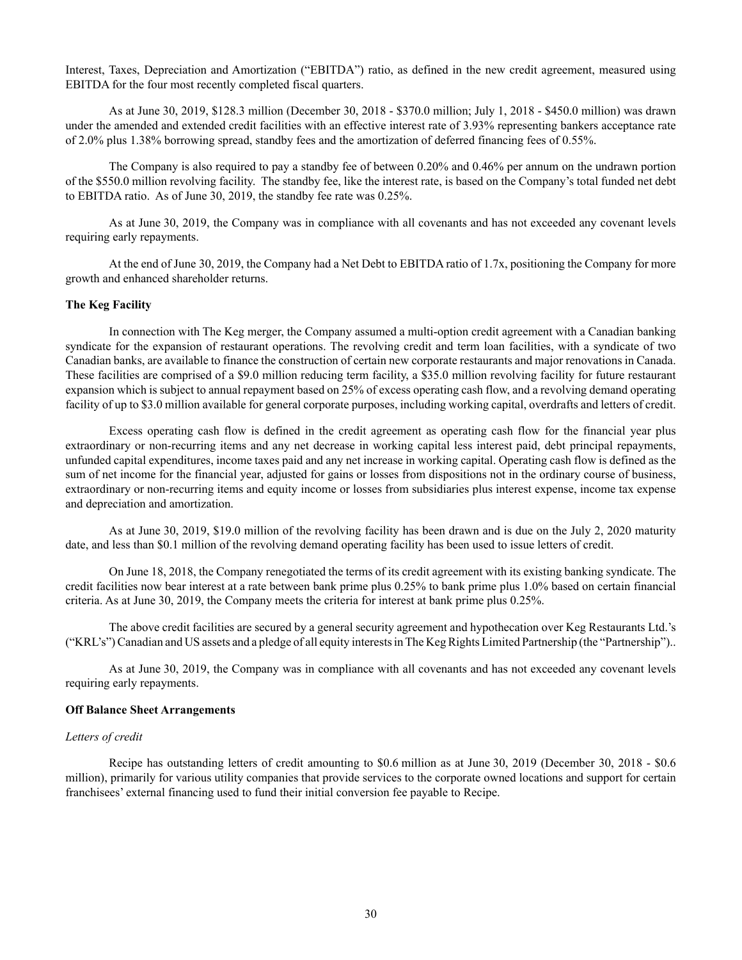Interest, Taxes, Depreciation and Amortization ("EBITDA") ratio, as defined in the new credit agreement, measured using EBITDA for the four most recently completed fiscal quarters.

As at June 30, 2019, \$128.3 million (December 30, 2018 - \$370.0 million; July 1, 2018 - \$450.0 million) was drawn under the amended and extended credit facilities with an effective interest rate of 3.93% representing bankers acceptance rate of 2.0% plus 1.38% borrowing spread, standby fees and the amortization of deferred financing fees of 0.55%.

The Company is also required to pay a standby fee of between 0.20% and 0.46% per annum on the undrawn portion of the \$550.0 million revolving facility. The standby fee, like the interest rate, is based on the Company's total funded net debt to EBITDA ratio. As of June 30, 2019, the standby fee rate was 0.25%.

As at June 30, 2019, the Company was in compliance with all covenants and has not exceeded any covenant levels requiring early repayments.

At the end of June 30, 2019, the Company had a Net Debt to EBITDA ratio of 1.7x, positioning the Company for more growth and enhanced shareholder returns.

### **The Keg Facility**

In connection with The Keg merger, the Company assumed a multi-option credit agreement with a Canadian banking syndicate for the expansion of restaurant operations. The revolving credit and term loan facilities, with a syndicate of two Canadian banks, are available to finance the construction of certain new corporate restaurants and major renovations in Canada. These facilities are comprised of a \$9.0 million reducing term facility, a \$35.0 million revolving facility for future restaurant expansion which is subject to annual repayment based on 25% of excess operating cash flow, and a revolving demand operating facility of up to \$3.0 million available for general corporate purposes, including working capital, overdrafts and letters of credit.

Excess operating cash flow is defined in the credit agreement as operating cash flow for the financial year plus extraordinary or non-recurring items and any net decrease in working capital less interest paid, debt principal repayments, unfunded capital expenditures, income taxes paid and any net increase in working capital. Operating cash flow is defined as the sum of net income for the financial year, adjusted for gains or losses from dispositions not in the ordinary course of business, extraordinary or non-recurring items and equity income or losses from subsidiaries plus interest expense, income tax expense and depreciation and amortization.

As at June 30, 2019, \$19.0 million of the revolving facility has been drawn and is due on the July 2, 2020 maturity date, and less than \$0.1 million of the revolving demand operating facility has been used to issue letters of credit.

On June 18, 2018, the Company renegotiated the terms of its credit agreement with its existing banking syndicate. The credit facilities now bear interest at a rate between bank prime plus 0.25% to bank prime plus 1.0% based on certain financial criteria. As at June 30, 2019, the Company meets the criteria for interest at bank prime plus 0.25%.

The above credit facilities are secured by a general security agreement and hypothecation over Keg Restaurants Ltd.'s ("KRL's") Canadian and US assets and a pledge of all equity interests in The Keg Rights Limited Partnership (the "Partnership")..

As at June 30, 2019, the Company was in compliance with all covenants and has not exceeded any covenant levels requiring early repayments.

#### **Off Balance Sheet Arrangements**

## *Letters of credit*

Recipe has outstanding letters of credit amounting to \$0.6 million as at June 30, 2019 (December 30, 2018 - \$0.6 million), primarily for various utility companies that provide services to the corporate owned locations and support for certain franchisees' external financing used to fund their initial conversion fee payable to Recipe.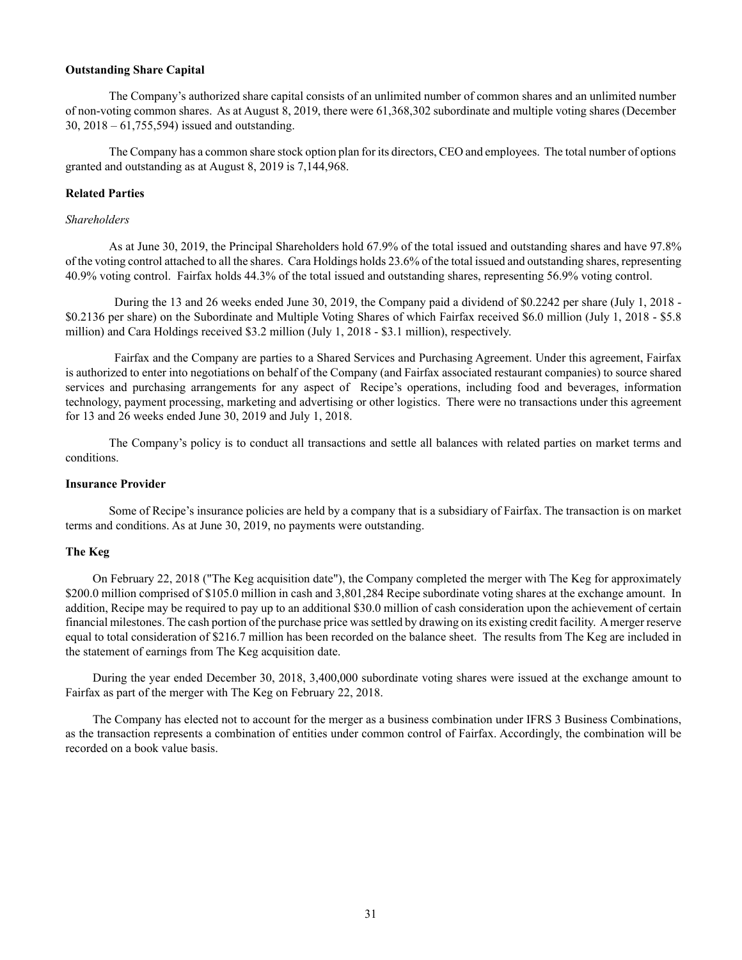### **Outstanding Share Capital**

The Company's authorized share capital consists of an unlimited number of common shares and an unlimited number of non-voting common shares. As at August 8, 2019, there were 61,368,302 subordinate and multiple voting shares (December 30, 2018 – 61,755,594) issued and outstanding.

The Company has a common share stock option plan for its directors, CEO and employees. The total number of options granted and outstanding as at August 8, 2019 is 7,144,968.

# **Related Parties**

# *Shareholders*

As at June 30, 2019, the Principal Shareholders hold 67.9% of the total issued and outstanding shares and have 97.8% of the voting control attached to all the shares. Cara Holdings holds 23.6% of the total issued and outstanding shares, representing 40.9% voting control. Fairfax holds 44.3% of the total issued and outstanding shares, representing 56.9% voting control.

During the 13 and 26 weeks ended June 30, 2019, the Company paid a dividend of \$0.2242 per share (July 1, 2018 - \$0.2136 per share) on the Subordinate and Multiple Voting Shares of which Fairfax received \$6.0 million (July 1, 2018 - \$5.8 million) and Cara Holdings received \$3.2 million (July 1, 2018 - \$3.1 million), respectively.

Fairfax and the Company are parties to a Shared Services and Purchasing Agreement. Under this agreement, Fairfax is authorized to enter into negotiations on behalf of the Company (and Fairfax associated restaurant companies) to source shared services and purchasing arrangements for any aspect of Recipe's operations, including food and beverages, information technology, payment processing, marketing and advertising or other logistics. There were no transactions under this agreement for 13 and 26 weeks ended June 30, 2019 and July 1, 2018.

The Company's policy is to conduct all transactions and settle all balances with related parties on market terms and conditions.

## **Insurance Provider**

Some of Recipe's insurance policies are held by a company that is a subsidiary of Fairfax. The transaction is on market terms and conditions. As at June 30, 2019, no payments were outstanding.

### **The Keg**

On February 22, 2018 ("The Keg acquisition date"), the Company completed the merger with The Keg for approximately \$200.0 million comprised of \$105.0 million in cash and 3,801,284 Recipe subordinate voting shares at the exchange amount. In addition, Recipe may be required to pay up to an additional \$30.0 million of cash consideration upon the achievement of certain financial milestones. The cash portion of the purchase price was settled by drawing on its existing credit facility. A merger reserve equal to total consideration of \$216.7 million has been recorded on the balance sheet. The results from The Keg are included in the statement of earnings from The Keg acquisition date.

During the year ended December 30, 2018, 3,400,000 subordinate voting shares were issued at the exchange amount to Fairfax as part of the merger with The Keg on February 22, 2018.

The Company has elected not to account for the merger as a business combination under IFRS 3 Business Combinations, as the transaction represents a combination of entities under common control of Fairfax. Accordingly, the combination will be recorded on a book value basis.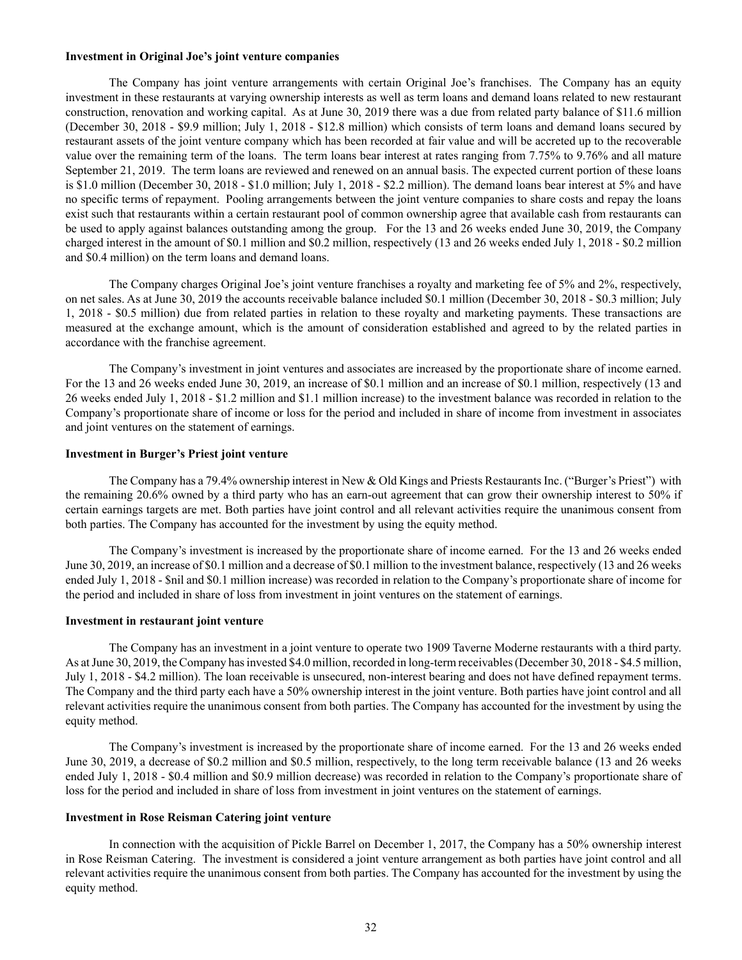#### **Investment in Original Joe's joint venture companies**

The Company has joint venture arrangements with certain Original Joe's franchises. The Company has an equity investment in these restaurants at varying ownership interests as well as term loans and demand loans related to new restaurant construction, renovation and working capital. As at June 30, 2019 there was a due from related party balance of \$11.6 million (December 30, 2018 - \$9.9 million; July 1, 2018 - \$12.8 million) which consists of term loans and demand loans secured by restaurant assets of the joint venture company which has been recorded at fair value and will be accreted up to the recoverable value over the remaining term of the loans. The term loans bear interest at rates ranging from 7.75% to 9.76% and all mature September 21, 2019. The term loans are reviewed and renewed on an annual basis. The expected current portion of these loans is \$1.0 million (December 30, 2018 - \$1.0 million; July 1, 2018 - \$2.2 million). The demand loans bear interest at 5% and have no specific terms of repayment. Pooling arrangements between the joint venture companies to share costs and repay the loans exist such that restaurants within a certain restaurant pool of common ownership agree that available cash from restaurants can be used to apply against balances outstanding among the group. For the 13 and 26 weeks ended June 30, 2019, the Company charged interest in the amount of \$0.1 million and \$0.2 million, respectively (13 and 26 weeks ended July 1, 2018 - \$0.2 million and \$0.4 million) on the term loans and demand loans.

The Company charges Original Joe's joint venture franchises a royalty and marketing fee of 5% and 2%, respectively, on net sales. As at June 30, 2019 the accounts receivable balance included \$0.1 million (December 30, 2018 - \$0.3 million; July 1, 2018 - \$0.5 million) due from related parties in relation to these royalty and marketing payments. These transactions are measured at the exchange amount, which is the amount of consideration established and agreed to by the related parties in accordance with the franchise agreement.

The Company's investment in joint ventures and associates are increased by the proportionate share of income earned. For the 13 and 26 weeks ended June 30, 2019, an increase of \$0.1 million and an increase of \$0.1 million, respectively (13 and 26 weeks ended July 1, 2018 - \$1.2 million and \$1.1 million increase) to the investment balance was recorded in relation to the Company's proportionate share of income or loss for the period and included in share of income from investment in associates and joint ventures on the statement of earnings.

### **Investment in Burger's Priest joint venture**

The Company has a 79.4% ownership interest in New & Old Kings and Priests Restaurants Inc. ("Burger's Priest") with the remaining 20.6% owned by a third party who has an earn-out agreement that can grow their ownership interest to 50% if certain earnings targets are met. Both parties have joint control and all relevant activities require the unanimous consent from both parties. The Company has accounted for the investment by using the equity method.

The Company's investment is increased by the proportionate share of income earned. For the 13 and 26 weeks ended June 30, 2019, an increase of \$0.1 million and a decrease of \$0.1 million to the investment balance, respectively (13 and 26 weeks ended July 1, 2018 - \$nil and \$0.1 million increase) was recorded in relation to the Company's proportionate share of income for the period and included in share of loss from investment in joint ventures on the statement of earnings.

## **Investment in restaurant joint venture**

The Company has an investment in a joint venture to operate two 1909 Taverne Moderne restaurants with a third party. As at June 30, 2019, the Company has invested \$4.0 million, recorded in long-term receivables (December 30, 2018 - \$4.5 million, July 1, 2018 - \$4.2 million). The loan receivable is unsecured, non-interest bearing and does not have defined repayment terms. The Company and the third party each have a 50% ownership interest in the joint venture. Both parties have joint control and all relevant activities require the unanimous consent from both parties. The Company has accounted for the investment by using the equity method.

The Company's investment is increased by the proportionate share of income earned. For the 13 and 26 weeks ended June 30, 2019, a decrease of \$0.2 million and \$0.5 million, respectively, to the long term receivable balance (13 and 26 weeks ended July 1, 2018 - \$0.4 million and \$0.9 million decrease) was recorded in relation to the Company's proportionate share of loss for the period and included in share of loss from investment in joint ventures on the statement of earnings.

### **Investment in Rose Reisman Catering joint venture**

In connection with the acquisition of Pickle Barrel on December 1, 2017, the Company has a 50% ownership interest in Rose Reisman Catering. The investment is considered a joint venture arrangement as both parties have joint control and all relevant activities require the unanimous consent from both parties. The Company has accounted for the investment by using the equity method.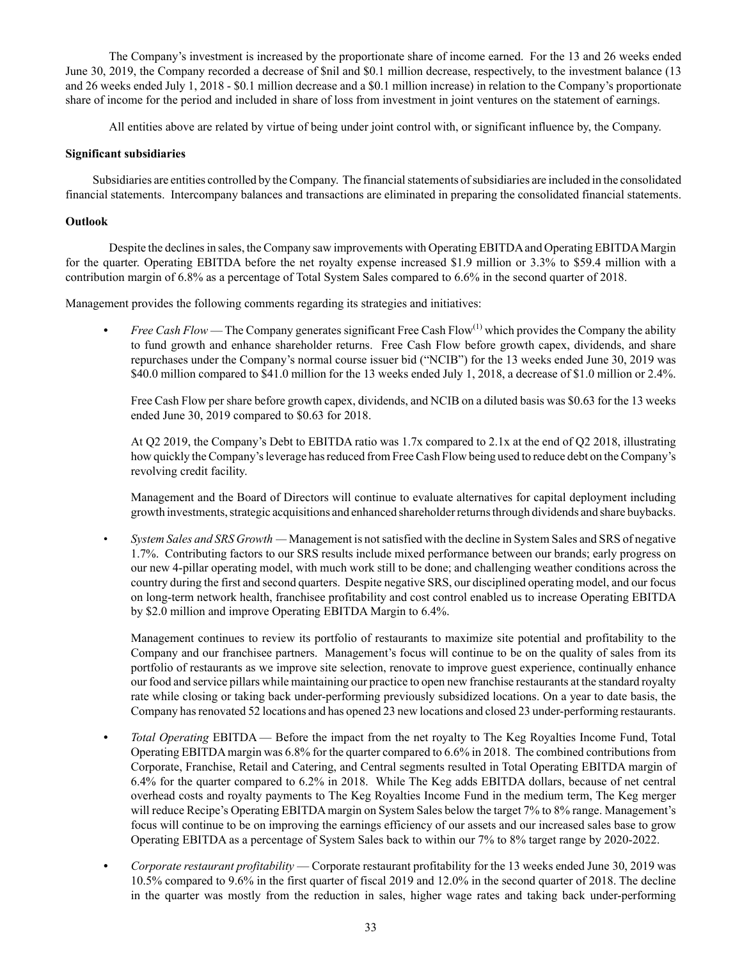The Company's investment is increased by the proportionate share of income earned. For the 13 and 26 weeks ended June 30, 2019, the Company recorded a decrease of \$nil and \$0.1 million decrease, respectively, to the investment balance (13 and 26 weeks ended July 1, 2018 - \$0.1 million decrease and a \$0.1 million increase) in relation to the Company's proportionate share of income for the period and included in share of loss from investment in joint ventures on the statement of earnings.

All entities above are related by virtue of being under joint control with, or significant influence by, the Company.

# **Significant subsidiaries**

Subsidiaries are entities controlled by the Company. The financial statements of subsidiaries are included in the consolidated financial statements. Intercompany balances and transactions are eliminated in preparing the consolidated financial statements.

# **Outlook**

Despite the declines in sales, the Company saw improvements with Operating EBITDA and Operating EBITDA Margin for the quarter. Operating EBITDA before the net royalty expense increased \$1.9 million or 3.3% to \$59.4 million with a contribution margin of 6.8% as a percentage of Total System Sales compared to 6.6% in the second quarter of 2018.

Management provides the following comments regarding its strategies and initiatives:

*Free Cash Flow* — The Company generates significant Free Cash Flow<sup>(1)</sup> which provides the Company the ability to fund growth and enhance shareholder returns. Free Cash Flow before growth capex, dividends, and share repurchases under the Company's normal course issuer bid ("NCIB") for the 13 weeks ended June 30, 2019 was \$40.0 million compared to \$41.0 million for the 13 weeks ended July 1, 2018, a decrease of \$1.0 million or 2.4%.

Free Cash Flow per share before growth capex, dividends, and NCIB on a diluted basis was \$0.63 for the 13 weeks ended June 30, 2019 compared to \$0.63 for 2018.

At Q2 2019, the Company's Debt to EBITDA ratio was 1.7x compared to 2.1x at the end of Q2 2018, illustrating how quickly the Company's leverage has reduced from Free Cash Flow being used to reduce debt on the Company's revolving credit facility.

Management and the Board of Directors will continue to evaluate alternatives for capital deployment including growth investments, strategic acquisitions and enhanced shareholder returns through dividends and share buybacks.

• *System Sales and SRS Growth —* Management is not satisfied with the decline in System Sales and SRS of negative 1.7%. Contributing factors to our SRS results include mixed performance between our brands; early progress on our new 4-pillar operating model, with much work still to be done; and challenging weather conditions across the country during the first and second quarters. Despite negative SRS, our disciplined operating model, and our focus on long-term network health, franchisee profitability and cost control enabled us to increase Operating EBITDA by \$2.0 million and improve Operating EBITDA Margin to 6.4%.

Management continues to review its portfolio of restaurants to maximize site potential and profitability to the Company and our franchisee partners. Management's focus will continue to be on the quality of sales from its portfolio of restaurants as we improve site selection, renovate to improve guest experience, continually enhance our food and service pillars while maintaining our practice to open new franchise restaurants at the standard royalty rate while closing or taking back under-performing previously subsidized locations. On a year to date basis, the Company has renovated 52 locations and has opened 23 new locations and closed 23 under-performing restaurants.

- *Fotal Operating EBITDA* Before the impact from the net royalty to The Keg Royalties Income Fund, Total Operating EBITDA margin was 6.8% for the quarter compared to 6.6% in 2018. The combined contributions from Corporate, Franchise, Retail and Catering, and Central segments resulted in Total Operating EBITDA margin of 6.4% for the quarter compared to 6.2% in 2018. While The Keg adds EBITDA dollars, because of net central overhead costs and royalty payments to The Keg Royalties Income Fund in the medium term, The Keg merger will reduce Recipe's Operating EBITDA margin on System Sales below the target 7% to 8% range. Management's focus will continue to be on improving the earnings efficiency of our assets and our increased sales base to grow Operating EBITDA as a percentage of System Sales back to within our 7% to 8% target range by 2020-2022.
- *• Corporate restaurant profitability* Corporate restaurant profitability for the 13 weeks ended June 30, 2019 was 10.5% compared to 9.6% in the first quarter of fiscal 2019 and 12.0% in the second quarter of 2018. The decline in the quarter was mostly from the reduction in sales, higher wage rates and taking back under-performing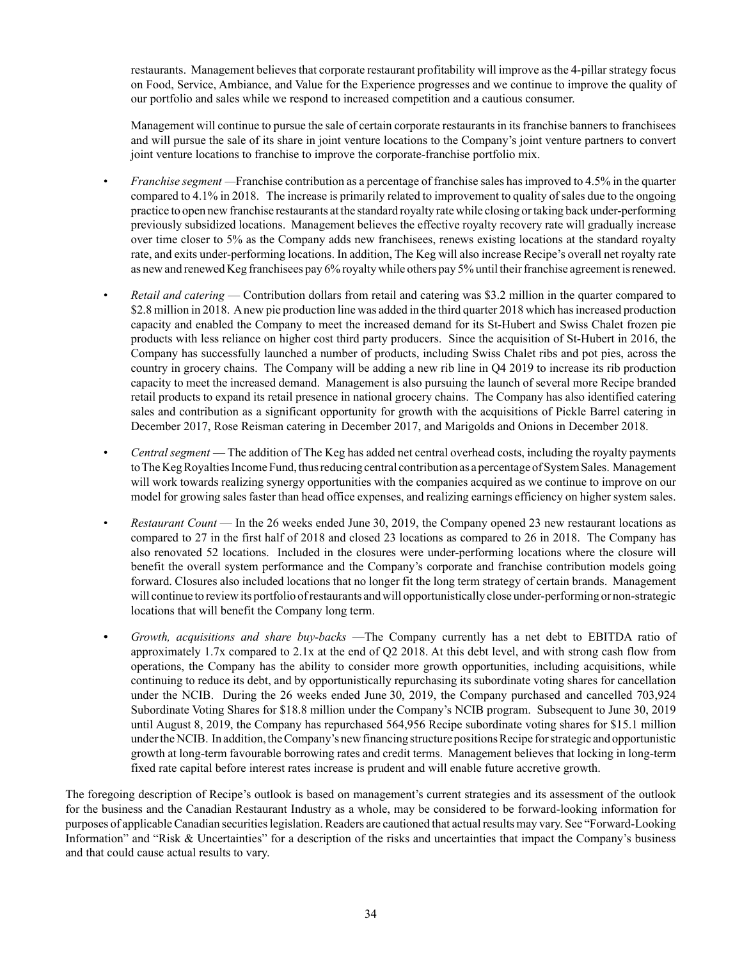restaurants. Management believes that corporate restaurant profitability will improve as the 4-pillar strategy focus on Food, Service, Ambiance, and Value for the Experience progresses and we continue to improve the quality of our portfolio and sales while we respond to increased competition and a cautious consumer.

Management will continue to pursue the sale of certain corporate restaurants in its franchise banners to franchisees and will pursue the sale of its share in joint venture locations to the Company's joint venture partners to convert joint venture locations to franchise to improve the corporate-franchise portfolio mix.

- *Franchise segment —*Franchise contribution as a percentage of franchise sales has improved to 4.5% in the quarter compared to 4.1% in 2018. The increase is primarily related to improvement to quality of sales due to the ongoing practice to open new franchise restaurants at the standard royalty rate while closing or taking back under-performing previously subsidized locations. Management believes the effective royalty recovery rate will gradually increase over time closer to 5% as the Company adds new franchisees, renews existing locations at the standard royalty rate, and exits under-performing locations. In addition, The Keg will also increase Recipe's overall net royalty rate as new and renewed Keg franchisees pay 6% royalty while others pay 5% until their franchise agreement is renewed.
- *Retail and catering*  Contribution dollars from retail and catering was \$3.2 million in the quarter compared to \$2.8 million in 2018. A new pie production line was added in the third quarter 2018 which has increased production capacity and enabled the Company to meet the increased demand for its St-Hubert and Swiss Chalet frozen pie products with less reliance on higher cost third party producers. Since the acquisition of St-Hubert in 2016, the Company has successfully launched a number of products, including Swiss Chalet ribs and pot pies, across the country in grocery chains. The Company will be adding a new rib line in Q4 2019 to increase its rib production capacity to meet the increased demand. Management is also pursuing the launch of several more Recipe branded retail products to expand its retail presence in national grocery chains. The Company has also identified catering sales and contribution as a significant opportunity for growth with the acquisitions of Pickle Barrel catering in December 2017, Rose Reisman catering in December 2017, and Marigolds and Onions in December 2018.
- *Central segment* The addition of The Keg has added net central overhead costs, including the royalty payments to The Keg Royalties Income Fund, thus reducing central contribution as a percentage of System Sales. Management will work towards realizing synergy opportunities with the companies acquired as we continue to improve on our model for growing sales faster than head office expenses, and realizing earnings efficiency on higher system sales.
- *Restaurant Count* In the 26 weeks ended June 30, 2019, the Company opened 23 new restaurant locations as compared to 27 in the first half of 2018 and closed 23 locations as compared to 26 in 2018. The Company has also renovated 52 locations. Included in the closures were under-performing locations where the closure will benefit the overall system performance and the Company's corporate and franchise contribution models going forward. Closures also included locations that no longer fit the long term strategy of certain brands. Management will continue to review its portfolio of restaurants and will opportunistically close under-performing or non-strategic locations that will benefit the Company long term.
- *• Growth, acquisitions and share buy-backs* —The Company currently has a net debt to EBITDA ratio of approximately 1.7x compared to 2.1x at the end of Q2 2018. At this debt level, and with strong cash flow from operations, the Company has the ability to consider more growth opportunities, including acquisitions, while continuing to reduce its debt, and by opportunistically repurchasing its subordinate voting shares for cancellation under the NCIB. During the 26 weeks ended June 30, 2019, the Company purchased and cancelled 703,924 Subordinate Voting Shares for \$18.8 million under the Company's NCIB program. Subsequent to June 30, 2019 until August 8, 2019, the Company has repurchased 564,956 Recipe subordinate voting shares for \$15.1 million under the NCIB. In addition, the Company's new financing structure positions Recipe for strategic and opportunistic growth at long-term favourable borrowing rates and credit terms. Management believes that locking in long-term fixed rate capital before interest rates increase is prudent and will enable future accretive growth.

The foregoing description of Recipe's outlook is based on management's current strategies and its assessment of the outlook for the business and the Canadian Restaurant Industry as a whole, may be considered to be forward-looking information for purposes of applicable Canadian securities legislation. Readers are cautioned that actual results may vary. See "Forward‑Looking Information" and "Risk & Uncertainties" for a description of the risks and uncertainties that impact the Company's business and that could cause actual results to vary.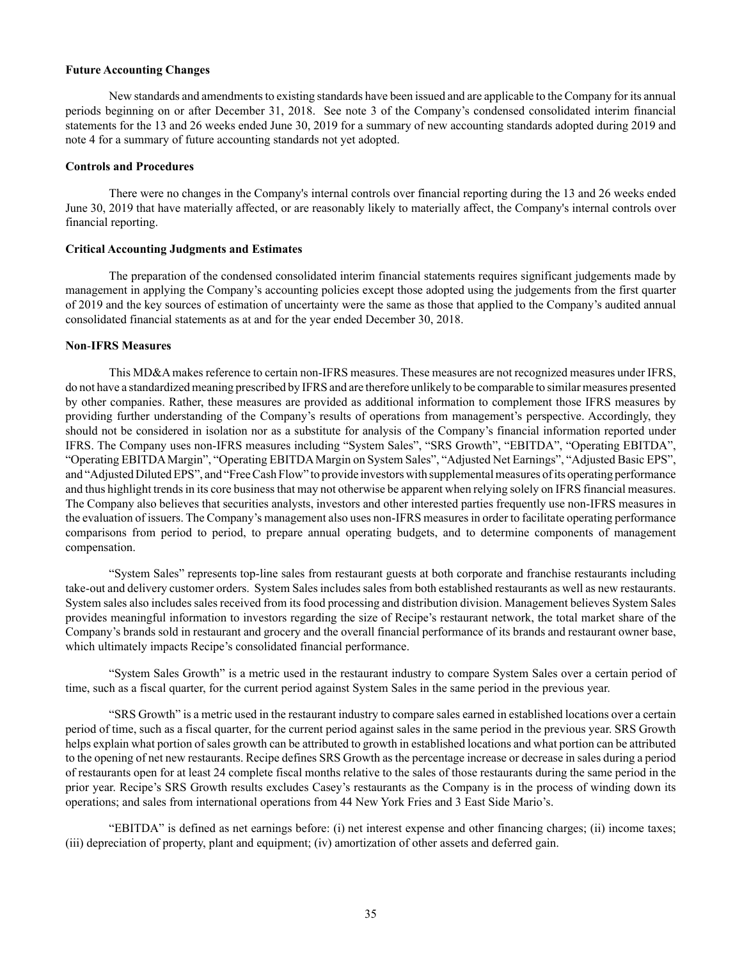### **Future Accounting Changes**

New standards and amendments to existing standards have been issued and are applicable to the Company for its annual periods beginning on or after December 31, 2018. See note 3 of the Company's condensed consolidated interim financial statements for the 13 and 26 weeks ended June 30, 2019 for a summary of new accounting standards adopted during 2019 and note 4 for a summary of future accounting standards not yet adopted.

## **Controls and Procedures**

There were no changes in the Company's internal controls over financial reporting during the 13 and 26 weeks ended June 30, 2019 that have materially affected, or are reasonably likely to materially affect, the Company's internal controls over financial reporting.

#### **Critical Accounting Judgments and Estimates**

The preparation of the condensed consolidated interim financial statements requires significant judgements made by management in applying the Company's accounting policies except those adopted using the judgements from the first quarter of 2019 and the key sources of estimation of uncertainty were the same as those that applied to the Company's audited annual consolidated financial statements as at and for the year ended December 30, 2018.

# **Non**‑**IFRS Measures**

This MD&A makes reference to certain non-IFRS measures. These measures are not recognized measures under IFRS, do not have a standardized meaning prescribed by IFRS and are therefore unlikely to be comparable to similar measures presented by other companies. Rather, these measures are provided as additional information to complement those IFRS measures by providing further understanding of the Company's results of operations from management's perspective. Accordingly, they should not be considered in isolation nor as a substitute for analysis of the Company's financial information reported under IFRS. The Company uses non‑IFRS measures including "System Sales", "SRS Growth", "EBITDA", "Operating EBITDA", "Operating EBITDA Margin", "Operating EBITDA Margin on System Sales", "Adjusted Net Earnings", "Adjusted Basic EPS", and "Adjusted Diluted EPS", and "Free Cash Flow" to provide investors with supplemental measures of its operating performance and thus highlight trends in its core business that may not otherwise be apparent when relying solely on IFRS financial measures. The Company also believes that securities analysts, investors and other interested parties frequently use non-IFRS measures in the evaluation of issuers. The Company's management also uses non‑IFRS measures in order to facilitate operating performance comparisons from period to period, to prepare annual operating budgets, and to determine components of management compensation.

"System Sales" represents top‑line sales from restaurant guests at both corporate and franchise restaurants including take‑out and delivery customer orders. System Sales includes sales from both established restaurants as well as new restaurants. System sales also includes sales received from its food processing and distribution division. Management believes System Sales provides meaningful information to investors regarding the size of Recipe's restaurant network, the total market share of the Company's brands sold in restaurant and grocery and the overall financial performance of its brands and restaurant owner base, which ultimately impacts Recipe's consolidated financial performance.

"System Sales Growth" is a metric used in the restaurant industry to compare System Sales over a certain period of time, such as a fiscal quarter, for the current period against System Sales in the same period in the previous year.

"SRS Growth" is a metric used in the restaurant industry to compare sales earned in established locations over a certain period of time, such as a fiscal quarter, for the current period against sales in the same period in the previous year. SRS Growth helps explain what portion of sales growth can be attributed to growth in established locations and what portion can be attributed to the opening of net new restaurants. Recipe defines SRS Growth as the percentage increase or decrease in sales during a period of restaurants open for at least 24 complete fiscal months relative to the sales of those restaurants during the same period in the prior year. Recipe's SRS Growth results excludes Casey's restaurants as the Company is in the process of winding down its operations; and sales from international operations from 44 New York Fries and 3 East Side Mario's.

"EBITDA" is defined as net earnings before: (i) net interest expense and other financing charges; (ii) income taxes; (iii) depreciation of property, plant and equipment; (iv) amortization of other assets and deferred gain.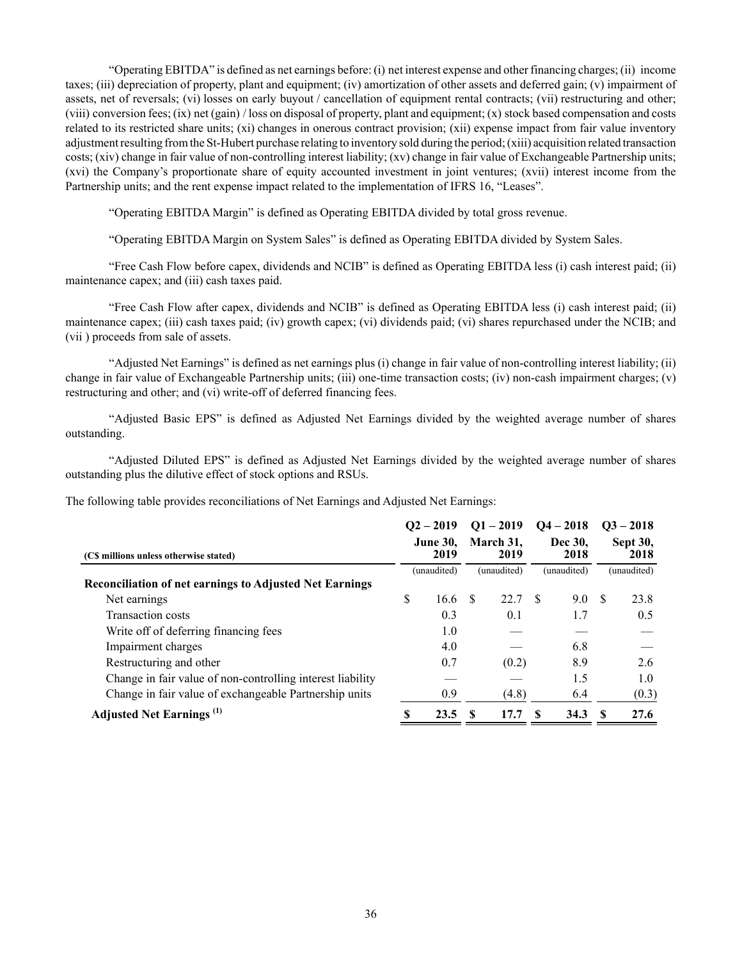"Operating EBITDA" is defined as net earnings before: (i) net interest expense and other financing charges; (ii) income taxes; (iii) depreciation of property, plant and equipment; (iv) amortization of other assets and deferred gain; (v) impairment of assets, net of reversals; (vi) losses on early buyout / cancellation of equipment rental contracts; (vii) restructuring and other; (viii) conversion fees; (ix) net (gain) / loss on disposal of property, plant and equipment; (x) stock based compensation and costs related to its restricted share units; (xi) changes in onerous contract provision; (xii) expense impact from fair value inventory adjustment resulting from the St-Hubert purchase relating to inventory sold during the period; (xiii) acquisition related transaction costs; (xiv) change in fair value of non-controlling interest liability; (xv) change in fair value of Exchangeable Partnership units; (xvi) the Company's proportionate share of equity accounted investment in joint ventures; (xvii) interest income from the Partnership units; and the rent expense impact related to the implementation of IFRS 16, "Leases".

"Operating EBITDA Margin" is defined as Operating EBITDA divided by total gross revenue.

"Operating EBITDA Margin on System Sales" is defined as Operating EBITDA divided by System Sales.

"Free Cash Flow before capex, dividends and NCIB" is defined as Operating EBITDA less (i) cash interest paid; (ii) maintenance capex; and (iii) cash taxes paid.

"Free Cash Flow after capex, dividends and NCIB" is defined as Operating EBITDA less (i) cash interest paid; (ii) maintenance capex; (iii) cash taxes paid; (iv) growth capex; (vi) dividends paid; (vi) shares repurchased under the NCIB; and (vii ) proceeds from sale of assets.

"Adjusted Net Earnings" is defined as net earnings plus (i) change in fair value of non-controlling interest liability; (ii) change in fair value of Exchangeable Partnership units; (iii) one-time transaction costs; (iv) non-cash impairment charges; (v) restructuring and other; and (vi) write-off of deferred financing fees.

"Adjusted Basic EPS" is defined as Adjusted Net Earnings divided by the weighted average number of shares outstanding.

"Adjusted Diluted EPS" is defined as Adjusted Net Earnings divided by the weighted average number of shares outstanding plus the dilutive effect of stock options and RSUs.

The following table provides reconciliations of Net Earnings and Adjusted Net Earnings:

|                                                                | $Q_2 - 2019$            | $Q1 - 2019$       | $Q4 - 2018$     |    | $Q3 - 2018$      |
|----------------------------------------------------------------|-------------------------|-------------------|-----------------|----|------------------|
| (C\$ millions unless otherwise stated)                         | <b>June 30.</b><br>2019 | March 31.<br>2019 | Dec 30.<br>2018 |    | Sept 30,<br>2018 |
|                                                                | (unaudited)             | (unaudited)       | (unaudited)     |    | (unaudited)      |
| <b>Reconciliation of net earnings to Adjusted Net Earnings</b> |                         |                   |                 |    |                  |
| Net earnings                                                   | \$<br>16.6              | 22.7 \$           | 9.0             | -S | 23.8             |
| <b>Transaction costs</b>                                       | 0.3                     | 0.1               | 1.7             |    | 0.5              |
| Write off of deferring financing fees                          | 1.0                     |                   |                 |    |                  |
| Impairment charges                                             | 4.0                     |                   | 6.8             |    |                  |
| Restructuring and other                                        | 0.7                     | (0.2)             | 8.9             |    | 2.6              |
| Change in fair value of non-controlling interest liability     |                         |                   | 1.5             |    | 1.0              |
| Change in fair value of exchangeable Partnership units         | 0.9                     | (4.8)             | 6.4             |    | (0.3)            |
| <b>Adjusted Net Earnings</b> <sup>(1)</sup>                    | 23.5                    | 17.7              | 34.3            | -8 | 27.6             |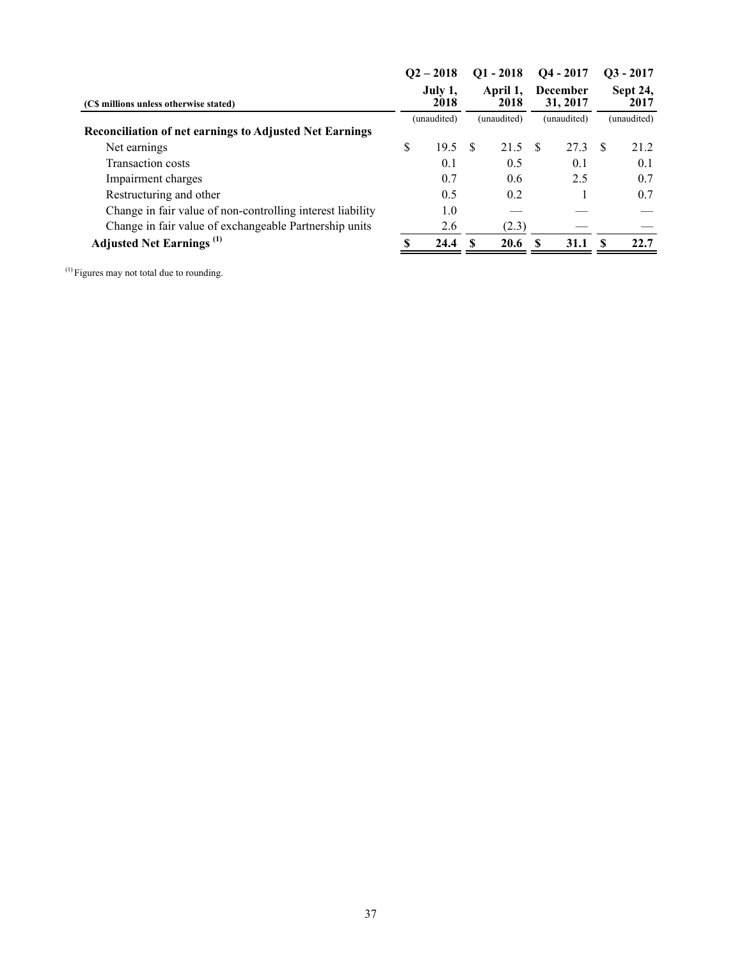|                                                                |   | $Q2 - 2018$     |          | $Q1 - 2018$      |    | $Q4 - 2017$                 |     | $Q3 - 2017$      |
|----------------------------------------------------------------|---|-----------------|----------|------------------|----|-----------------------------|-----|------------------|
| (CS millions unless otherwise stated)                          |   | July 1,<br>2018 |          | April 1,<br>2018 |    | <b>December</b><br>31, 2017 |     | Sept 24,<br>2017 |
|                                                                |   | (unaudited)     |          | (unaudited)      |    | (unaudited)                 |     | (unaudited)      |
| <b>Reconciliation of net earnings to Adjusted Net Earnings</b> |   |                 |          |                  |    |                             |     |                  |
| Net earnings                                                   | S | 19.5            | <b>S</b> | 21.5             | S. | 27.3                        | - S | 21.2             |
| <b>Transaction costs</b>                                       |   | 0.1             |          | 0.5              |    | 0.1                         |     | 0.1              |
| Impairment charges                                             |   | 0.7             |          | 0.6              |    | 2.5                         |     | 0.7              |
| Restructuring and other                                        |   | 0.5             |          | 0.2              |    |                             |     | 0.7              |
| Change in fair value of non-controlling interest liability     |   | 1.0             |          |                  |    |                             |     |                  |
| Change in fair value of exchangeable Partnership units         |   | 2.6             |          | (2.3)            |    |                             |     |                  |
| <b>Adjusted Net Earnings</b> <sup>(1)</sup>                    |   | 24.4            |          | 20.6             | £. | 31.1                        | Я   | 22.7             |
|                                                                |   |                 |          |                  |    |                             |     |                  |

(1) Figures may not total due to rounding.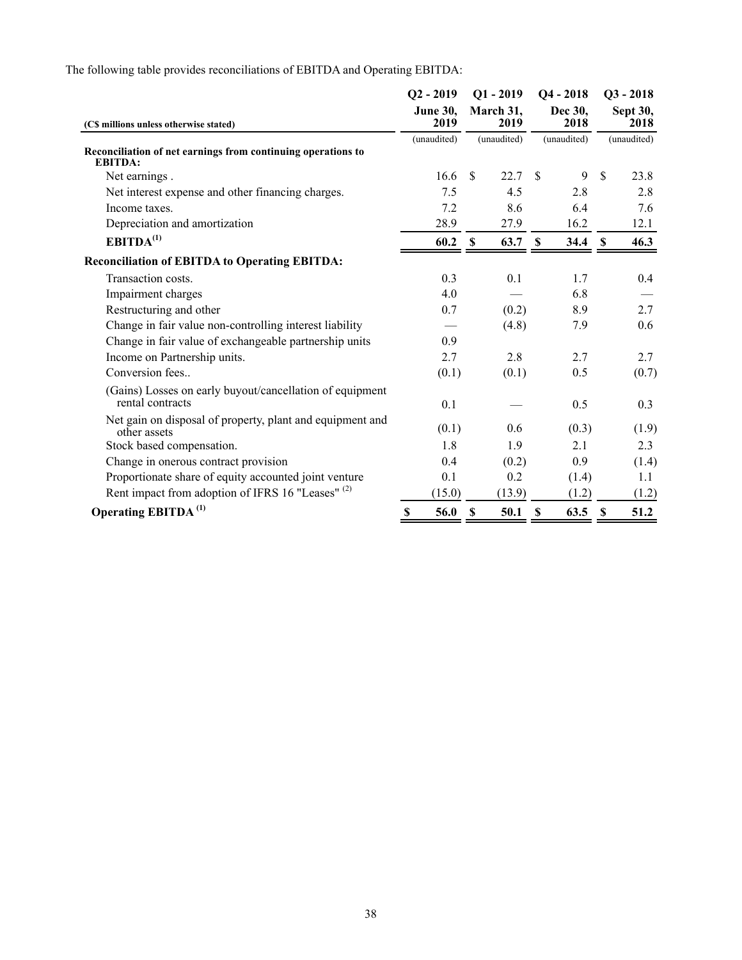|                                                                                |    | $Q2 - 2019$             |                           | $Q1 - 2019$       | $Q4 - 2018$               |       | $Q3 - 2018$               |       |
|--------------------------------------------------------------------------------|----|-------------------------|---------------------------|-------------------|---------------------------|-------|---------------------------|-------|
| (C\$ millions unless otherwise stated)                                         |    | <b>June 30,</b><br>2019 |                           | March 31,<br>2019 | Dec 30,<br>2018           |       | Sept 30,<br>2018          |       |
|                                                                                |    | (unaudited)             |                           | (unaudited)       | (unaudited)               |       | (unaudited)               |       |
| Reconciliation of net earnings from continuing operations to<br><b>EBITDA:</b> |    |                         |                           |                   |                           |       |                           |       |
| Net earnings.                                                                  |    | 16.6                    | \$.                       | 22.7              | <sup>\$</sup>             | 9     | $\mathbf{\hat{S}}$        | 23.8  |
| Net interest expense and other financing charges.                              |    | 7.5                     |                           | 4.5               |                           | 2.8   |                           | 2.8   |
| Income taxes.                                                                  |    | 7.2                     |                           | 8.6               |                           | 6.4   |                           | 7.6   |
| Depreciation and amortization                                                  |    | 28.9                    |                           | 27.9              |                           | 16.2  |                           | 12.1  |
| EBITDA <sup>(1)</sup>                                                          |    | 60.2                    | -S                        | 63.7 \$           |                           | 34.4  | $\mathbf{\$}$             | 46.3  |
| <b>Reconciliation of EBITDA to Operating EBITDA:</b>                           |    |                         |                           |                   |                           |       |                           |       |
| Transaction costs.                                                             |    | 0.3                     |                           | 0.1               |                           | 1.7   |                           | 0.4   |
| Impairment charges                                                             |    | 4.0                     |                           |                   |                           | 6.8   |                           |       |
| Restructuring and other                                                        |    | 0.7                     |                           | (0.2)             |                           | 8.9   |                           | 2.7   |
| Change in fair value non-controlling interest liability                        |    |                         |                           | (4.8)             |                           | 7.9   |                           | 0.6   |
| Change in fair value of exchangeable partnership units                         |    | 0.9                     |                           |                   |                           |       |                           |       |
| Income on Partnership units.                                                   |    | 2.7                     |                           | 2.8               |                           | 2.7   |                           | 2.7   |
| Conversion fees                                                                |    | (0.1)                   |                           | (0.1)             |                           | 0.5   |                           | (0.7) |
| (Gains) Losses on early buyout/cancellation of equipment<br>rental contracts   |    | 0.1                     |                           |                   |                           | 0.5   |                           | 0.3   |
| Net gain on disposal of property, plant and equipment and<br>other assets      |    | (0.1)                   |                           | 0.6               |                           | (0.3) |                           | (1.9) |
| Stock based compensation.                                                      |    | 1.8                     |                           | 1.9               |                           | 2.1   |                           | 2.3   |
| Change in onerous contract provision                                           |    | 0.4                     |                           | (0.2)             |                           | 0.9   |                           | (1.4) |
| Proportionate share of equity accounted joint venture                          |    | 0.1                     |                           | 0.2               |                           | (1.4) |                           | 1.1   |
| Rent impact from adoption of IFRS 16 "Leases" (2)                              |    | (15.0)                  |                           | (13.9)            |                           | (1.2) |                           | (1.2) |
| <b>Operating EBITDA</b> <sup>(1)</sup>                                         | \$ | 56.0                    | $\boldsymbol{\mathsf{S}}$ | 50.1              | $\boldsymbol{\mathsf{S}}$ | 63.5  | $\boldsymbol{\mathsf{s}}$ | 51.2  |

The following table provides reconciliations of EBITDA and Operating EBITDA: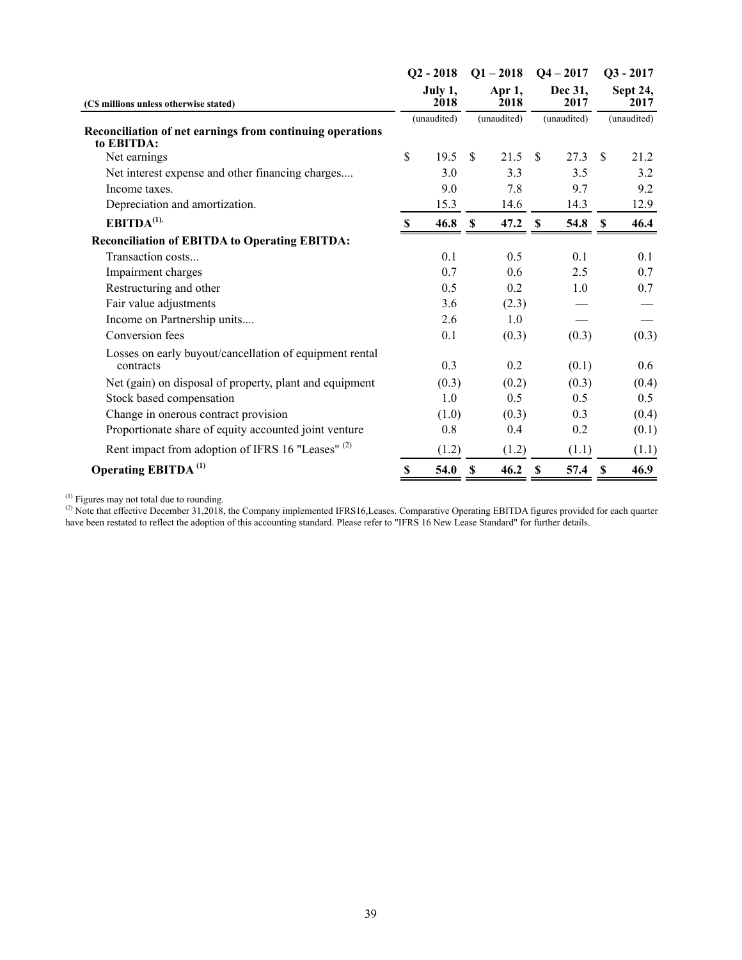|                                        |       |                                               |                |                            |       |                             | $Q3 - 2017$ |
|----------------------------------------|-------|-----------------------------------------------|----------------|----------------------------|-------|-----------------------------|-------------|
| (C\$ millions unless otherwise stated) |       |                                               | Apr 1,<br>2018 | Dec 31,<br>2017            |       | Sept 24,<br>2017            |             |
|                                        |       |                                               |                |                            |       |                             | (unaudited) |
| $\boldsymbol{\mathsf{S}}$              | 19.5  | -S                                            | 21.5           | -S                         | 27.3  | -S                          | 21.2        |
|                                        | 3.0   |                                               | 3.3            |                            | 3.5   |                             | 3.2         |
|                                        | 9.0   |                                               | 7.8            |                            | 9.7   |                             | 9.2         |
|                                        | 15.3  |                                               | 14.6           |                            | 14.3  |                             | 12.9        |
| S                                      | 46.8  | <b>S</b>                                      | 47.2           | -S                         | 54.8  | <b>S</b>                    | 46.4        |
|                                        |       |                                               |                |                            |       |                             |             |
|                                        | 0.1   |                                               | 0.5            |                            | 0.1   |                             | 0.1         |
|                                        | 0.7   |                                               | 0.6            |                            | 2.5   |                             | 0.7         |
|                                        | 0.5   |                                               | 0.2            |                            | 1.0   |                             | 0.7         |
|                                        | 3.6   |                                               | (2.3)          |                            |       |                             |             |
|                                        | 2.6   |                                               | 1.0            |                            |       |                             |             |
|                                        | 0.1   |                                               | (0.3)          |                            | (0.3) |                             | (0.3)       |
|                                        | 0.3   |                                               | 0.2            |                            | (0.1) |                             | 0.6         |
|                                        | (0.3) |                                               | (0.2)          |                            | (0.3) |                             | (0.4)       |
|                                        | 1.0   |                                               | 0.5            |                            | 0.5   |                             | 0.5         |
|                                        | (1.0) |                                               | (0.3)          |                            | 0.3   |                             | (0.4)       |
|                                        | 0.8   |                                               | 0.4            |                            | 0.2   |                             | (0.1)       |
|                                        | (1.2) |                                               | (1.2)          |                            | (1.1) |                             | (1.1)       |
| \$                                     | 54.0  | \$                                            | 46.2           | $\boldsymbol{\mathsf{S}}$  | 57.4  | $\boldsymbol{\mathsf{S}}$   | 46.9        |
|                                        |       | $Q2 - 2018$<br>July 1,<br>2018<br>(unaudited) |                | $Q1 - 2018$<br>(unaudited) |       | $Q_4 - 2017$<br>(unaudited) |             |

 $<sup>(1)</sup>$  Figures may not total due to rounding.</sup>

(2) Note that effective December 31,2018, the Company implemented IFRS16, Leases. Comparative Operating EBITDA figures provided for each quarter have been restated to reflect the adoption of this accounting standard. Please refer to "IFRS 16 New Lease Standard" for further details.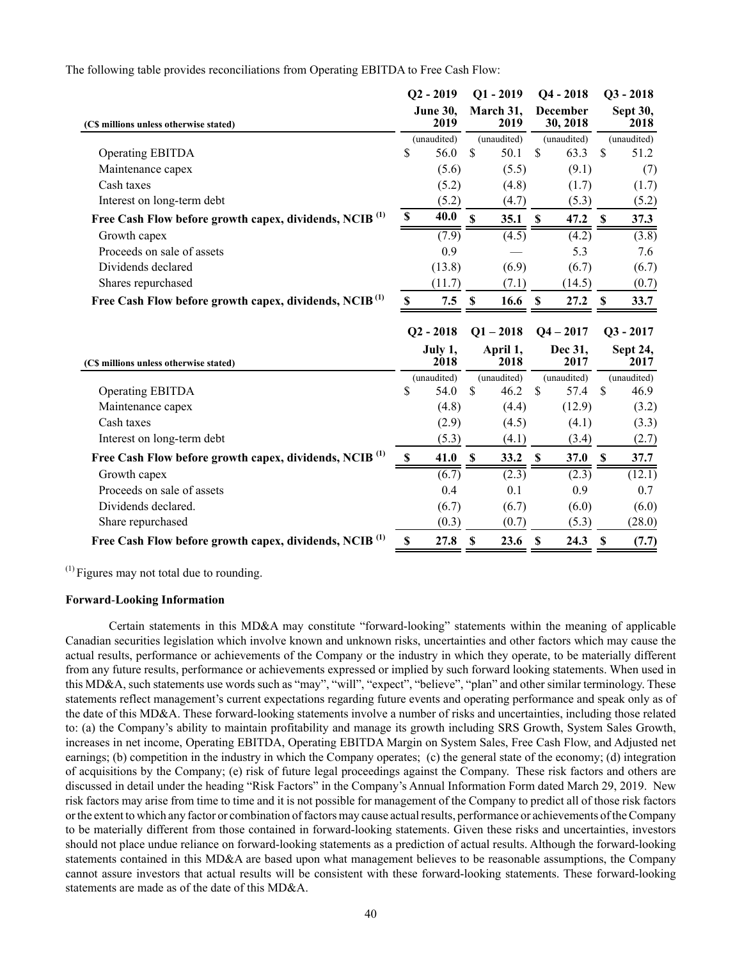The following table provides reconciliations from Operating EBITDA to Free Cash Flow:

|                                                                    | $Q2 - 2019$      |                 | $Q1 - 2019$  |                   | $Q4 - 2018$               |                      | $Q3 - 2018$   |                  |  |
|--------------------------------------------------------------------|------------------|-----------------|--------------|-------------------|---------------------------|----------------------|---------------|------------------|--|
| (C\$ millions unless otherwise stated)                             | June 30,<br>2019 |                 |              | March 31,<br>2019 |                           | December<br>30, 2018 |               | Sept 30,<br>2018 |  |
|                                                                    |                  | (unaudited)     |              | (unaudited)       |                           | (unaudited)          |               | (unaudited)      |  |
| <b>Operating EBITDA</b>                                            | \$               | 56.0            | $\mathbf S$  | 50.1              | \$                        | 63.3                 | $\mathbf S$   | 51.2             |  |
| Maintenance capex                                                  |                  | (5.6)           |              | (5.5)             |                           | (9.1)                |               | (7)              |  |
| Cash taxes                                                         |                  | (5.2)           |              | (4.8)             |                           | (1.7)                |               | (1.7)            |  |
| Interest on long-term debt                                         |                  | (5.2)           |              | (4.7)             |                           | (5.3)                |               | (5.2)            |  |
| Free Cash Flow before growth capex, dividends, NCIB <sup>(1)</sup> | \$               | 40.0            | $\mathbf S$  | 35.1              | $\mathbf S$               | 47.2                 | $\mathbf S$   | 37.3             |  |
| Growth capex                                                       |                  | (7.9)           |              | (4.5)             |                           | (4.2)                |               | (3.8)            |  |
| Proceeds on sale of assets                                         |                  | 0.9             |              |                   |                           | 5.3                  |               | 7.6              |  |
| Dividends declared                                                 |                  | (13.8)          |              | (6.9)             |                           | (6.7)                |               | (6.7)            |  |
| Shares repurchased                                                 |                  | (11.7)          |              | (7.1)             |                           | (14.5)               |               | (0.7)            |  |
| Free Cash Flow before growth capex, dividends, NCIB <sup>(1)</sup> | \$.              | 7.5             | -S           | 16.6              | <sup>S</sup>              | 27.2                 | <b>S</b>      | 33.7             |  |
|                                                                    |                  |                 |              |                   |                           |                      |               |                  |  |
|                                                                    |                  | $Q2 - 2018$     |              | $Q1 - 2018$       |                           | $Q4 - 2017$          |               | $Q3 - 2017$      |  |
| (C\$ millions unless otherwise stated)                             |                  | July 1,<br>2018 |              | April 1,<br>2018  |                           | Dec 31,<br>2017      |               | Sept 24,<br>2017 |  |
|                                                                    |                  | (unaudited)     |              | (unaudited)       |                           | (unaudited)          |               | (unaudited)      |  |
| <b>Operating EBITDA</b>                                            | \$               | 54.0            | $\mathbf S$  | 46.2              | $\boldsymbol{\mathsf{S}}$ | 57.4                 | $\mathcal{S}$ | 46.9             |  |
| Maintenance capex                                                  |                  | (4.8)           |              | (4.4)             |                           | (12.9)               |               | (3.2)            |  |
| Cash taxes                                                         |                  | (2.9)           |              | (4.5)             |                           | (4.1)                |               | (3.3)            |  |
| Interest on long-term debt                                         |                  | (5.3)           |              | (4.1)             |                           | (3.4)                |               | (2.7)            |  |
| Free Cash Flow before growth capex, dividends, NCIB <sup>(1)</sup> | \$               | 41.0            | $\mathbf{s}$ | 33.2              | $\mathbf{s}$              | 37.0                 | \$            | 37.7             |  |
| Growth capex                                                       |                  | (6.7)           |              | (2.3)             |                           | (2.3)                |               | (12.1)           |  |
| Proceeds on sale of assets                                         |                  | 0.4             |              | 0.1               |                           | 0.9                  |               | 0.7              |  |
| Dividends declared.                                                |                  | (6.7)           |              | (6.7)             |                           | (6.0)                |               | (6.0)            |  |
| Share repurchased                                                  |                  | (0.3)           |              | (0.7)             |                           | (5.3)                |               | (28.0)           |  |

 $<sup>(1)</sup>$  Figures may not total due to rounding.</sup>

## **Forward**‑**Looking Information**

Certain statements in this MD&A may constitute "forward-looking" statements within the meaning of applicable Canadian securities legislation which involve known and unknown risks, uncertainties and other factors which may cause the actual results, performance or achievements of the Company or the industry in which they operate, to be materially different from any future results, performance or achievements expressed or implied by such forward looking statements. When used in this MD&A, such statements use words such as "may", "will", "expect", "believe", "plan" and other similar terminology. These statements reflect management's current expectations regarding future events and operating performance and speak only as of the date of this MD&A. These forward-looking statements involve a number of risks and uncertainties, including those related to: (a) the Company's ability to maintain profitability and manage its growth including SRS Growth, System Sales Growth, increases in net income, Operating EBITDA, Operating EBITDA Margin on System Sales, Free Cash Flow, and Adjusted net earnings; (b) competition in the industry in which the Company operates; (c) the general state of the economy; (d) integration of acquisitions by the Company; (e) risk of future legal proceedings against the Company. These risk factors and others are discussed in detail under the heading "Risk Factors" in the Company's Annual Information Form dated March 29, 2019. New risk factors may arise from time to time and it is not possible for management of the Company to predict all of those risk factors or the extent to which any factor or combination of factors may cause actual results, performance or achievements of the Company to be materially different from those contained in forward-looking statements. Given these risks and uncertainties, investors should not place undue reliance on forward-looking statements as a prediction of actual results. Although the forward-looking statements contained in this MD&A are based upon what management believes to be reasonable assumptions, the Company cannot assure investors that actual results will be consistent with these forward-looking statements. These forward-looking statements are made as of the date of this MD&A.